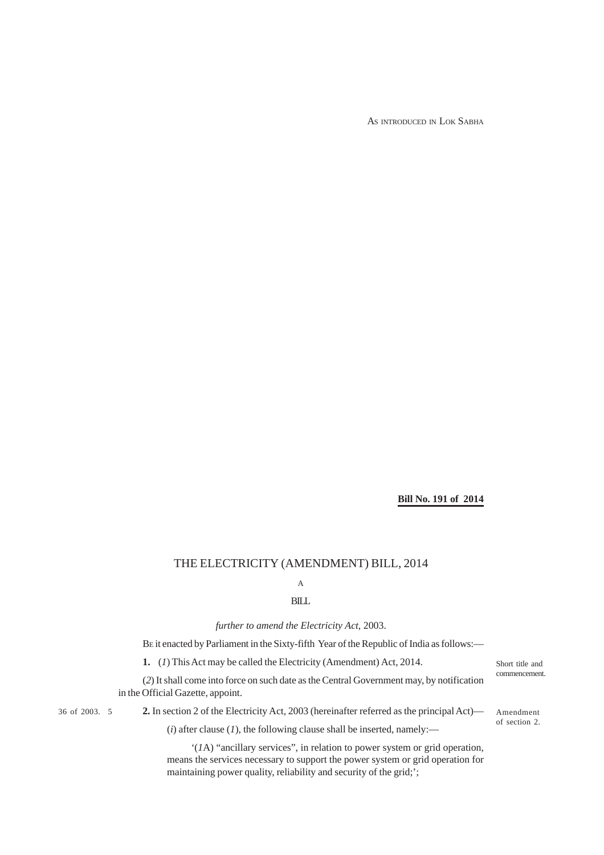AS INTRODUCED IN LOK SABHA

### **Bill No. 191 of 2014**

### THE ELECTRICITY (AMENDMENT) BILL, 2014

# A

### BILL

*further to amend the Electricity Act,* 2003.

BE it enacted by Parliament in the Sixty-fifth Year of the Republic of India as follows:—

**1.** (*1*) This Act may be called the Electricity (Amendment) Act, 2014.

(*2*) It shall come into force on such date as the Central Government may, by notification in the Official Gazette, appoint.

36 of 2003. 5

**2.** In section 2 of the Electricity Act, 2003 (hereinafter referred as the principal Act)—

 $(i)$  after clause  $(I)$ , the following clause shall be inserted, namely:—

'(*1*A) "ancillary services", in relation to power system or grid operation, means the services necessary to support the power system or grid operation for maintaining power quality, reliability and security of the grid;';

Short title and commencement.

Amendment of section 2.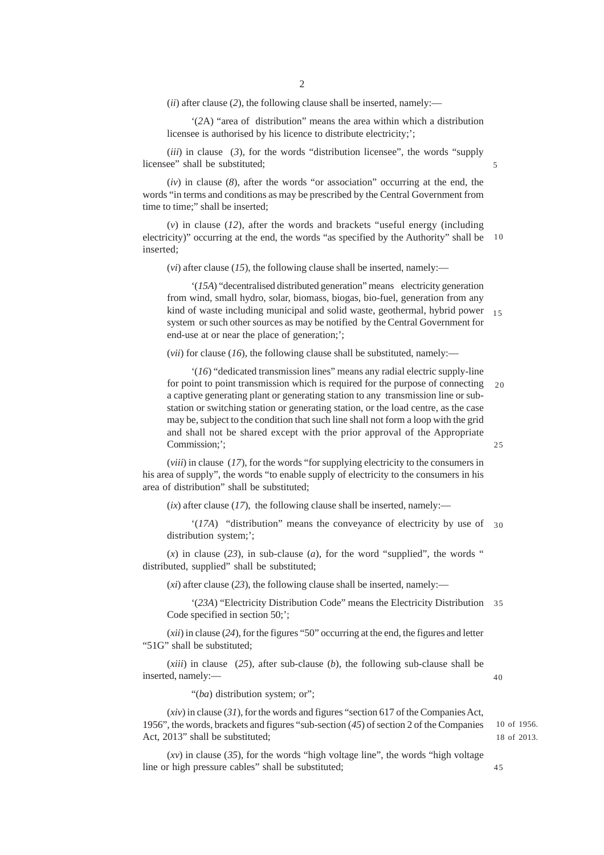(*ii*) after clause (*2*), the following clause shall be inserted, namely:—

'(*2*A) "area of distribution" means the area within which a distribution licensee is authorised by his licence to distribute electricity;';

(*iii*) in clause (*3*), for the words "distribution licensee", the words "supply licensee" shall be substituted;

(*iv*) in clause (*8*), after the words "or association" occurring at the end, the words "in terms and conditions as may be prescribed by the Central Government from time to time;" shall be inserted;

(*v*) in clause (*12*), after the words and brackets "useful energy (including electricity)" occurring at the end, the words "as specified by the Authority" shall be inserted; 10

(*vi*) after clause (*15*), the following clause shall be inserted, namely:—

'(*15A*) "decentralised distributed generation" means electricity generation from wind, small hydro, solar, biomass, biogas, bio-fuel, generation from any kind of waste including municipal and solid waste, geothermal, hybrid power 15 system or such other sources as may be notified by the Central Government for end-use at or near the place of generation;';

(*vii*) for clause (*16*), the following clause shall be substituted, namely:—

'(*16*) "dedicated transmission lines" means any radial electric supply-line for point to point transmission which is required for the purpose of connecting a captive generating plant or generating station to any transmission line or substation or switching station or generating station, or the load centre, as the case may be, subject to the condition that such line shall not form a loop with the grid and shall not be shared except with the prior approval of the Appropriate Commission:': 20  $25$ 

(*viii*) in clause (*17*), for the words "for supplying electricity to the consumers in his area of supply", the words "to enable supply of electricity to the consumers in his area of distribution" shall be substituted;

 $(ix)$  after clause  $(17)$ , the following clause shall be inserted, namely:—

'(*17A*) "distribution" means the conveyance of electricity by use of 30 distribution system;';

 $(x)$  in clause (23), in sub-clause (*a*), for the word "supplied", the words " distributed, supplied" shall be substituted;

 $(x_i)$  after clause (23), the following clause shall be inserted, namely:—

'(*23A*) "Electricity Distribution Code" means the Electricity Distribution 35 Code specified in section 50;';

(*xii*) in clause (*24*), for the figures "50" occurring at the end, the figures and letter "51G" shall be substituted;

(*xiii*) in clause (*25*), after sub-clause (*b*), the following sub-clause shall be inserted, namely:—

40

"(*ba*) distribution system; or";

(*xiv*) in clause (*31*), for the words and figures "section 617 of the Companies Act, 1956", the words, brackets and figures "sub-section (*45*) of section 2 of the Companies Act, 2013" shall be substituted;

(*xv*) in clause (*35*), for the words "high voltage line", the words "high voltage line or high pressure cables" shall be substituted;

45

18 of 2013. 10 of 1956.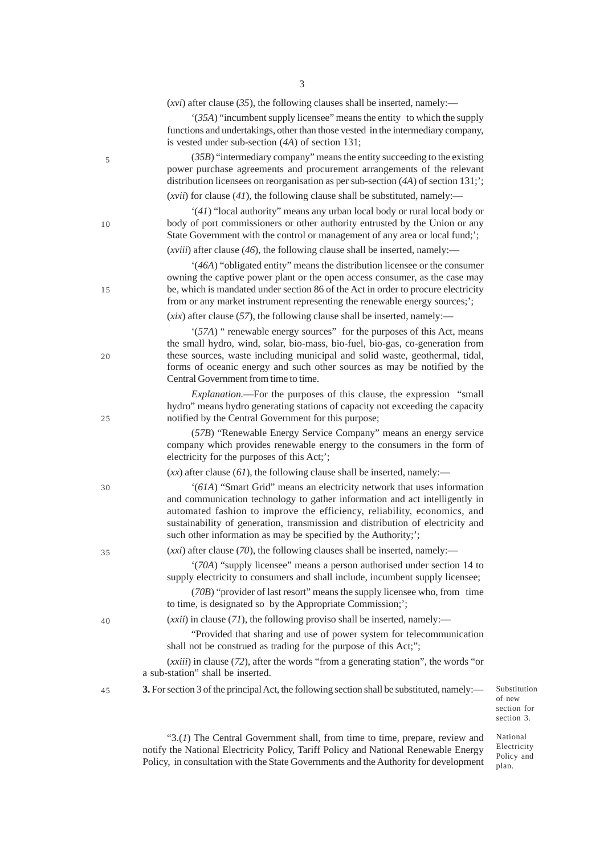|    | $(xvi)$ after clause (35), the following clauses shall be inserted, namely:—<br>'(35A) "incumbent supply licensee" means the entity to which the supply<br>functions and undertakings, other than those vested in the intermediary company,                                                                                                                                                   |
|----|-----------------------------------------------------------------------------------------------------------------------------------------------------------------------------------------------------------------------------------------------------------------------------------------------------------------------------------------------------------------------------------------------|
| 5  | is vested under sub-section $(4A)$ of section 131;<br>$(35B)$ "intermediary company" means the entity succeeding to the existing<br>power purchase agreements and procurement arrangements of the relevant<br>distribution licensees on reorganisation as per sub-section $(4A)$ of section 131;';<br>( <i>xvii</i> ) for clause $(41)$ , the following clause shall be substituted, namely:— |
| 10 | '(41) "local authority" means any urban local body or rural local body or<br>body of port commissioners or other authority entrusted by the Union or any<br>State Government with the control or management of any area or local fund;';                                                                                                                                                      |
|    | ( <i>xviii</i> ) after clause (46), the following clause shall be inserted, namely:—<br>'(46A) "obligated entity" means the distribution licensee or the consumer                                                                                                                                                                                                                             |
| 15 | owning the captive power plant or the open access consumer, as the case may<br>be, which is mandated under section 86 of the Act in order to procure electricity<br>from or any market instrument representing the renewable energy sources;';                                                                                                                                                |
|    | $(xix)$ after clause (57), the following clause shall be inserted, namely:—                                                                                                                                                                                                                                                                                                                   |
| 20 | '(57A) " renewable energy sources" for the purposes of this Act, means<br>the small hydro, wind, solar, bio-mass, bio-fuel, bio-gas, co-generation from<br>these sources, waste including municipal and solid waste, geothermal, tidal,<br>forms of oceanic energy and such other sources as may be notified by the<br>Central Government from time to time.                                  |
| 25 | <i>Explanation.</i> —For the purposes of this clause, the expression "small<br>hydro" means hydro generating stations of capacity not exceeding the capacity<br>notified by the Central Government for this purpose;                                                                                                                                                                          |
|    | (57B) "Renewable Energy Service Company" means an energy service<br>company which provides renewable energy to the consumers in the form of<br>electricity for the purposes of this Act;';                                                                                                                                                                                                    |
|    | $(xx)$ after clause (61), the following clause shall be inserted, namely:—                                                                                                                                                                                                                                                                                                                    |
| 30 | '(61A) "Smart Grid" means an electricity network that uses information<br>and communication technology to gather information and act intelligently in<br>automated fashion to improve the efficiency, reliability, economics, and<br>sustainability of generation, transmission and distribution of electricity and<br>such other information as may be specified by the Authority;';         |
| 35 | $(xxi)$ after clause (70), the following clauses shall be inserted, namely:—                                                                                                                                                                                                                                                                                                                  |
|    | '(70A) "supply licensee" means a person authorised under section 14 to<br>supply electricity to consumers and shall include, incumbent supply licensee;                                                                                                                                                                                                                                       |
|    | (70B) "provider of last resort" means the supply licensee who, from time<br>to time, is designated so by the Appropriate Commission;';                                                                                                                                                                                                                                                        |
| 40 | $(xxii)$ in clause (71), the following proviso shall be inserted, namely:—                                                                                                                                                                                                                                                                                                                    |
|    | "Provided that sharing and use of power system for telecommunication<br>shall not be construed as trading for the purpose of this Act;";                                                                                                                                                                                                                                                      |
|    | ( <i>xxiii</i> ) in clause (72), after the words "from a generating station", the words "or<br>a sub-station" shall be inserted.                                                                                                                                                                                                                                                              |
| 45 | 3. For section 3 of the principal Act, the following section shall be substituted, namely:-                                                                                                                                                                                                                                                                                                   |

Substitution of new section for section 3.

"3.(*1*) The Central Government shall, from time to time, prepare, review and notify the National Electricity Policy, Tariff Policy and National Renewable Energy Policy, in consultation with the State Governments and the Authority for development

National Electricity Policy and plan.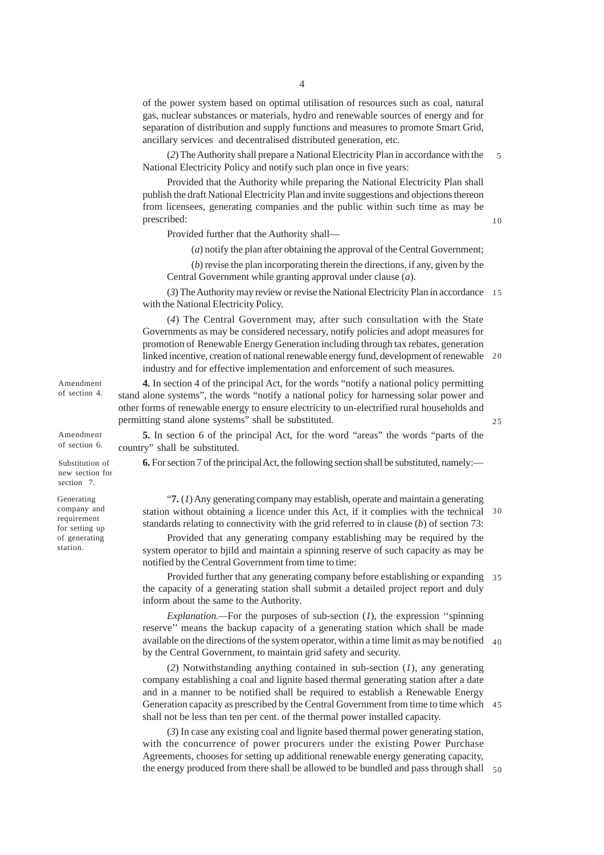of the power system based on optimal utilisation of resources such as coal, natural gas, nuclear substances or materials, hydro and renewable sources of energy and for separation of distribution and supply functions and measures to promote Smart Grid, ancillary services and decentralised distributed generation, etc.

(*2*) The Authority shall prepare a National Electricity Plan in accordance with the National Electricity Policy and notify such plan once in five years: 5

Provided that the Authority while preparing the National Electricity Plan shall publish the draft National Electricity Plan and invite suggestions and objections thereon from licensees, generating companies and the public within such time as may be prescribed:

Provided further that the Authority shall—

(*a*) notify the plan after obtaining the approval of the Central Government;

(*b*) revise the plan incorporating therein the directions, if any, given by the Central Government while granting approval under clause (*a*).

(*3*) The Authority may review or revise the National Electricity Plan in accordance 15 with the National Electricity Policy.

(*4*) The Central Government may, after such consultation with the State Governments as may be considered necessary, notify policies and adopt measures for promotion of Renewable Energy Generation including through tax rebates, generation linked incentive, creation of national renewable energy fund, development of renewable 20 industry and for effective implementation and enforcement of such measures.

**4.** In section 4 of the principal Act, for the words "notify a national policy permitting stand alone systems", the words "notify a national policy for harnessing solar power and other forms of renewable energy to ensure electricity to un-electrified rural households and permitting stand alone systems" shall be substituted.

**5.** In section 6 of the principal Act, for the word "areas" the words "parts of the country" shall be substituted.

**6.** For section 7 of the principal Act, the following section shall be substituted, namely:—

"**7.** (*1*) Any generating company may establish, operate and maintain a generating station without obtaining a licence under this Act, if it complies with the technical 30 standards relating to connectivity with the grid referred to in clause (*b*) of section 73:

Provided that any generating company establishing may be required by the system operator to bjild and maintain a spinning reserve of such capacity as may be notified by the Central Government from time to time:

Provided further that any generating company before establishing or expanding 35 the capacity of a generating station shall submit a detailed project report and duly inform about the same to the Authority.

*Explanation.—*For the purposes of sub-section (*1*), the expression ''spinning reserve'' means the backup capacity of a generating station which shall be made available on the directions of the system operator, within a time limit as may be notified 40 by the Central Government, to maintain grid safety and security.

(*2*) Notwithstanding anything contained in sub-section (*1*), any generating company establishing a coal and lignite based thermal generating station after a date and in a manner to be notified shall be required to establish a Renewable Energy Generation capacity as prescribed by the Central Government from time to time which 45 shall not be less than ten per cent. of the thermal power installed capacity.

(*3*) In case any existing coal and lignite based thermal power generating station, with the concurrence of power procurers under the existing Power Purchase Agreements, chooses for setting up additional renewable energy generating capacity, the energy produced from there shall be allowed to be bundled and pass through shall 50

Amendment of section 4.

Amendment of section 6.

Substitution of new section for section 7.

Generating company and requirement for setting up of generating station.

10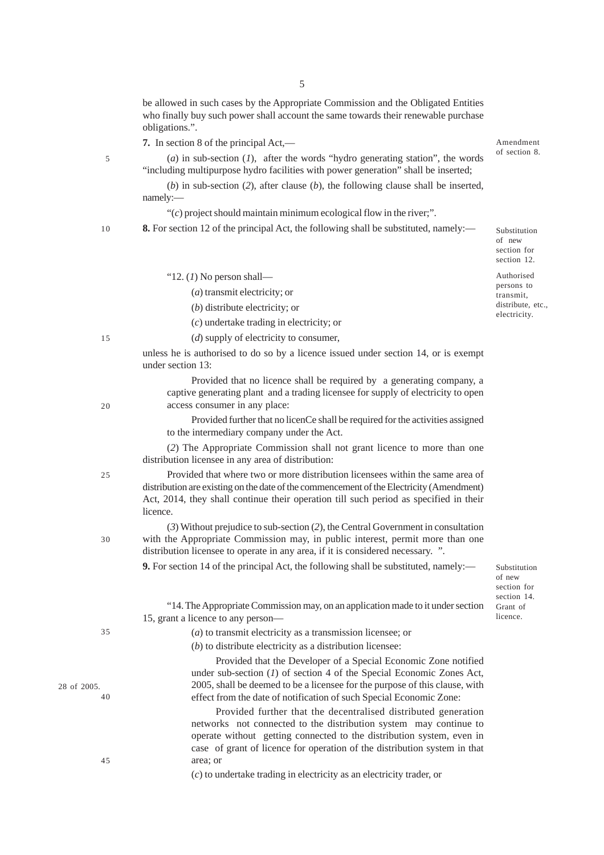be allowed in such cases by the Appropriate Commission and the Obligated Entities who finally buy such power shall account the same towards their renewable purchase obligations.".

**7.** In section 8 of the principal Act,—

"12. (*1*) No person shall—

(*a*) transmit electricity; or (*b*) distribute electricity; or

(*c*) undertake trading in electricity; or (*d*) supply of electricity to consumer,

(*a*) in sub-section (*1*), after the words "hydro generating station", the words "including multipurpose hydro facilities with power generation" shall be inserted;

(*b*) in sub-section (*2*), after clause (*b*), the following clause shall be inserted, namely:—

"(*c*) project should maintain minimum ecological flow in the river;".

**8.** For section 12 of the principal Act, the following shall be substituted, namely:—

Substitution of new section for section 12.

Amendment of section 8.

Authorised persons to transmit, distribute, etc., electricity.

15

5

10

unless he is authorised to do so by a licence issued under section 14, or is exempt under section 13:

Provided that no licence shall be required by a generating company, a captive generating plant and a trading licensee for supply of electricity to open access consumer in any place:

Provided further that no licenCe shall be required for the activities assigned to the intermediary company under the Act.

(*2*) The Appropriate Commission shall not grant licence to more than one distribution licensee in any area of distribution:

Provided that where two or more distribution licensees within the same area of distribution are existing on the date of the commencement of the Electricity (Amendment) Act, 2014, they shall continue their operation till such period as specified in their licence.

(*3*) Without prejudice to sub-section (*2*), the Central Government in consultation with the Appropriate Commission may, in public interest, permit more than one distribution licensee to operate in any area, if it is considered necessary. ".

**9.** For section 14 of the principal Act, the following shall be substituted, namely:—

Substitution of new section for section 14. Grant of licence.

"14. The Appropriate Commission may, on an application made to it under section 15, grant a licence to any person—

(*a*) to transmit electricity as a transmission licensee; or

(*b*) to distribute electricity as a distribution licensee:

Provided that the Developer of a Special Economic Zone notified under sub-section (*1*) of section 4 of the Special Economic Zones Act, 2005, shall be deemed to be a licensee for the purpose of this clause, with effect from the date of notification of such Special Economic Zone:

Provided further that the decentralised distributed generation networks not connected to the distribution system may continue to operate without getting connected to the distribution system, even in case of grant of licence for operation of the distribution system in that area; or

(*c*) to undertake trading in electricity as an electricity trader, or

5

 $20$ 

 $25$ 

30

35

28 of 2005. 40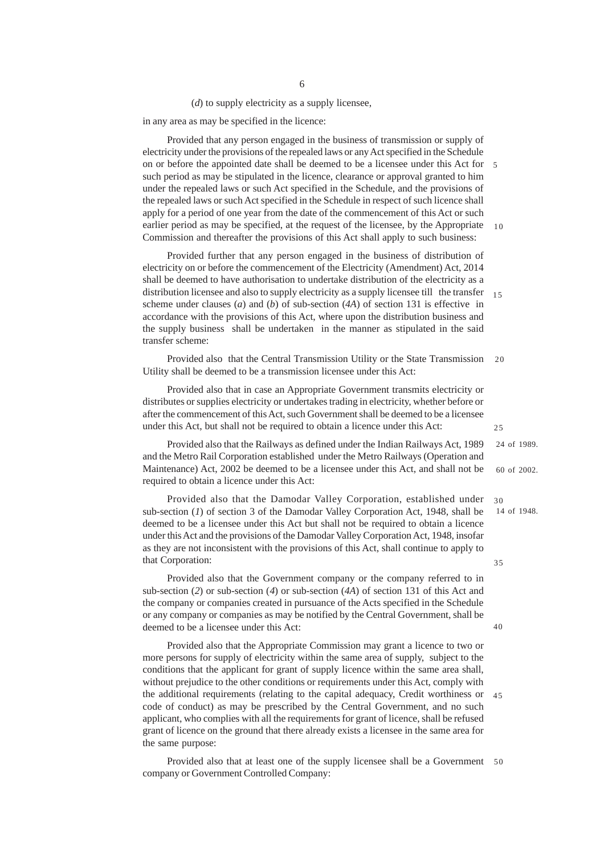(*d*) to supply electricity as a supply licensee,

in any area as may be specified in the licence:

Provided that any person engaged in the business of transmission or supply of electricity under the provisions of the repealed laws or any Act specified in the Schedule on or before the appointed date shall be deemed to be a licensee under this Act for 5 such period as may be stipulated in the licence, clearance or approval granted to him under the repealed laws or such Act specified in the Schedule, and the provisions of the repealed laws or such Act specified in the Schedule in respect of such licence shall apply for a period of one year from the date of the commencement of this Act or such earlier period as may be specified, at the request of the licensee, by the Appropriate Commission and thereafter the provisions of this Act shall apply to such business: 10

Provided further that any person engaged in the business of distribution of electricity on or before the commencement of the Electricity (Amendment) Act, 2014 shall be deemed to have authorisation to undertake distribution of the electricity as a distribution licensee and also to supply electricity as a supply licensee till the transfer scheme under clauses (*a*) and (*b*) of sub-section (*4A*) of section 131 is effective in accordance with the provisions of this Act, where upon the distribution business and the supply business shall be undertaken in the manner as stipulated in the said transfer scheme: 15

Provided also that the Central Transmission Utility or the State Transmission Utility shall be deemed to be a transmission licensee under this Act:  $20$ 

Provided also that in case an Appropriate Government transmits electricity or distributes or supplies electricity or undertakes trading in electricity, whether before or after the commencement of this Act, such Government shall be deemed to be a licensee under this Act, but shall not be required to obtain a licence under this Act:

Provided also that the Railways as defined under the Indian Railways Act, 1989 and the Metro Rail Corporation established under the Metro Railways (Operation and Maintenance) Act, 2002 be deemed to be a licensee under this Act, and shall not be required to obtain a licence under this Act: 24 of 1989. 60 of 2002.

14 of 1948.

 $25$ 

 $3<sub>0</sub>$ 

35

40

Provided also that the Damodar Valley Corporation, established under sub-section (*1*) of section 3 of the Damodar Valley Corporation Act, 1948, shall be deemed to be a licensee under this Act but shall not be required to obtain a licence under this Act and the provisions of the Damodar Valley Corporation Act, 1948, insofar as they are not inconsistent with the provisions of this Act, shall continue to apply to that Corporation:

Provided also that the Government company or the company referred to in sub-section (*2*) or sub-section (*4*) or sub-section (*4A*) of section 131 of this Act and the company or companies created in pursuance of the Acts specified in the Schedule or any company or companies as may be notified by the Central Government, shall be deemed to be a licensee under this Act:

Provided also that the Appropriate Commission may grant a licence to two or more persons for supply of electricity within the same area of supply, subject to the conditions that the applicant for grant of supply licence within the same area shall, without prejudice to the other conditions or requirements under this Act, comply with the additional requirements (relating to the capital adequacy, Credit worthiness or code of conduct) as may be prescribed by the Central Government, and no such applicant, who complies with all the requirements for grant of licence, shall be refused grant of licence on the ground that there already exists a licensee in the same area for the same purpose: 45

Provided also that at least one of the supply licensee shall be a Government 50 company or Government Controlled Company: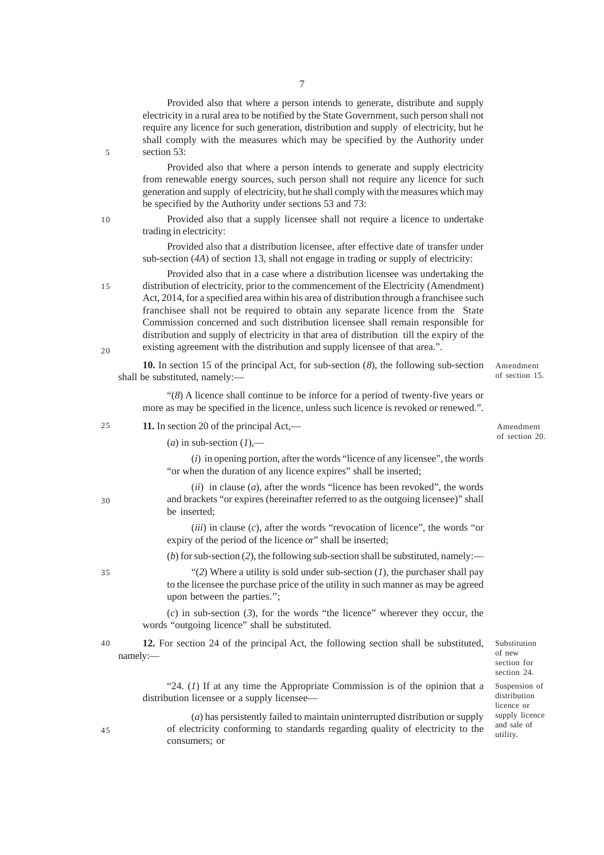Provided also that where a person intends to generate, distribute and supply electricity in a rural area to be notified by the State Government, such person shall not require any licence for such generation, distribution and supply of electricity, but he shall comply with the measures which may be specified by the Authority under section 53:

Provided also that where a person intends to generate and supply electricity from renewable energy sources, such person shall not require any licence for such generation and supply of electricity, but he shall comply with the measures which may be specified by the Authority under sections 53 and 73:

Provided also that a supply licensee shall not require a licence to undertake trading in electricity:

Provided also that a distribution licensee, after effective date of transfer under sub-section (*4A*) of section 13, shall not engage in trading or supply of electricity:

Provided also that in a case where a distribution licensee was undertaking the distribution of electricity, prior to the commencement of the Electricity (Amendment) Act, 2014, for a specified area within his area of distribution through a franchisee such franchisee shall not be required to obtain any separate licence from the State Commission concerned and such distribution licensee shall remain responsible for distribution and supply of electricity in that area of distribution till the expiry of the existing agreement with the distribution and supply licensee of that area.". 15 20

**10.** In section 15 of the principal Act, for sub-section (*8*), the following sub-section shall be substituted, namely:—

"(*8*) A licence shall continue to be inforce for a period of twenty-five years or more as may be specified in the licence, unless such licence is revoked or renewed.".

| 25 |  | 11. In section 20 of the principal Act,- |  |  |  |  |  |
|----|--|------------------------------------------|--|--|--|--|--|
|----|--|------------------------------------------|--|--|--|--|--|

Amendment of section 20.

Amendment of section 15.

 $(a)$  in sub-section  $(I)$ ,—

(*i*) in opening portion, after the words "licence of any licensee", the words "or when the duration of any licence expires" shall be inserted;

| $(ii)$ in clause $(a)$ , after the words "licence has been revoked", the words     |
|------------------------------------------------------------------------------------|
| and brackets "or expires (hereinafter referred to as the outgoing licensee)" shall |
| be inserted:                                                                       |

(*iii*) in clause (*c*), after the words "revocation of licence", the words "or expiry of the period of the licence or" shall be inserted;

(*b*) for sub-section (*2*), the following sub-section shall be substituted, namely:—

"(2) Where a utility is sold under sub-section  $(I)$ , the purchaser shall pay to the licensee the purchase price of the utility in such manner as may be agreed upon between the parties.'';

(*c*) in sub-section (*3*), for the words "the licence" wherever they occur, the words "outgoing licence" shall be substituted.

**12.** For section 24 of the principal Act, the following section shall be substituted, namely:— 40

> "24. (*1*) If at any time the Appropriate Commission is of the opinion that a distribution licensee or a supply licensee—

45

30

35

5

10

(*a*) has persistently failed to maintain uninterrupted distribution or supply of electricity conforming to standards regarding quality of electricity to the consumers; or

Substitution of new section for section 24. Suspension of distribution licence or supply licence and sale of utility.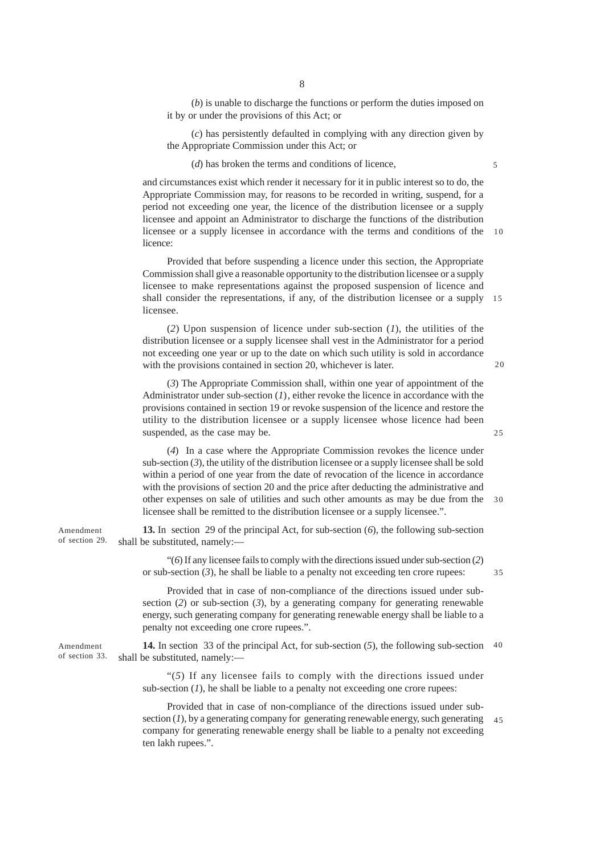(*b*) is unable to discharge the functions or perform the duties imposed on it by or under the provisions of this Act; or

(*c*) has persistently defaulted in complying with any direction given by the Appropriate Commission under this Act; or

(*d*) has broken the terms and conditions of licence,

and circumstances exist which render it necessary for it in public interest so to do, the Appropriate Commission may, for reasons to be recorded in writing, suspend, for a period not exceeding one year, the licence of the distribution licensee or a supply licensee and appoint an Administrator to discharge the functions of the distribution licensee or a supply licensee in accordance with the terms and conditions of the 10 licence:

Provided that before suspending a licence under this section, the Appropriate Commission shall give a reasonable opportunity to the distribution licensee or a supply licensee to make representations against the proposed suspension of licence and shall consider the representations, if any, of the distribution licensee or a supply licensee. 15

(*2*) Upon suspension of licence under sub-section (*1*), the utilities of the distribution licensee or a supply licensee shall vest in the Administrator for a period not exceeding one year or up to the date on which such utility is sold in accordance with the provisions contained in section 20, whichever is later.

(*3*) The Appropriate Commission shall, within one year of appointment of the Administrator under sub-section (*1*), either revoke the licence in accordance with the provisions contained in section 19 or revoke suspension of the licence and restore the utility to the distribution licensee or a supply licensee whose licence had been suspended, as the case may be.

(*4*) In a case where the Appropriate Commission revokes the licence under sub-section (*3*), the utility of the distribution licensee or a supply licensee shall be sold within a period of one year from the date of revocation of the licence in accordance with the provisions of section 20 and the price after deducting the administrative and other expenses on sale of utilities and such other amounts as may be due from the licensee shall be remitted to the distribution licensee or a supply licensee.". 30

**13.** In section 29 of the principal Act, for sub-section (*6*), the following sub-section shall be substituted, namely:—

> "(*6*) If any licensee fails to comply with the directions issued under sub-section (*2*) or sub-section (*3*), he shall be liable to a penalty not exceeding ten crore rupees:

> Provided that in case of non-compliance of the directions issued under subsection (*2*) or sub-section (*3*), by a generating company for generating renewable energy, such generating company for generating renewable energy shall be liable to a penalty not exceeding one crore rupees.".

**14.** In section 33 of the principal Act, for sub-section (*5*), the following sub-section 40shall be substituted, namely:—

"(*5*) If any licensee fails to comply with the directions issued under sub-section  $(I)$ , he shall be liable to a penalty not exceeding one crore rupees:

Provided that in case of non-compliance of the directions issued under subsection  $(I)$ , by a generating company for generating renewable energy, such generating  $45$ company for generating renewable energy shall be liable to a penalty not exceeding ten lakh rupees.".

Amendment of section 29.

Amendment of section 33. 5

 $20$ 

 $25$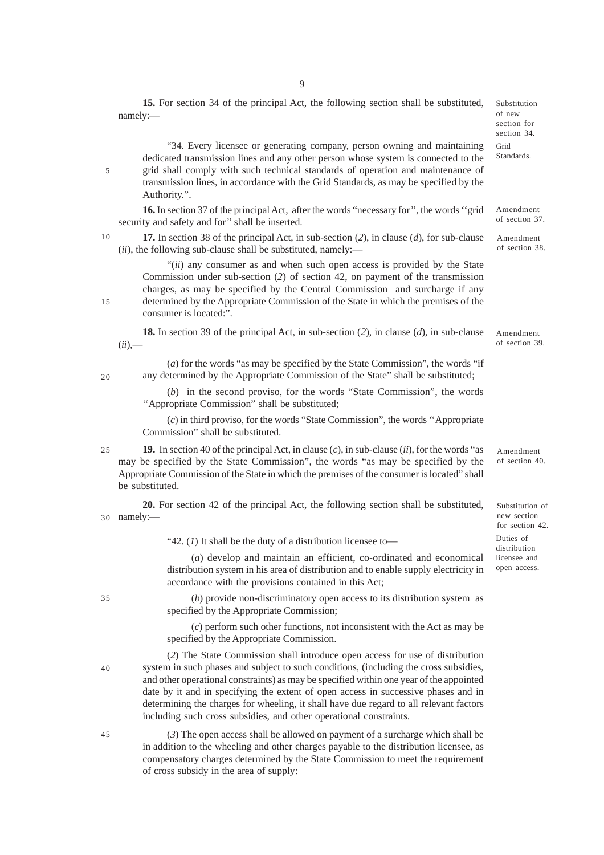**15.** For section 34 of the principal Act, the following section shall be substituted, namely:— "34. Every licensee or generating company, person owning and maintaining dedicated transmission lines and any other person whose system is connected to the grid shall comply with such technical standards of operation and maintenance of transmission lines, in accordance with the Grid Standards, as may be specified by the Authority.". **16.** In section 37 of the principal Act, after the words "necessary for'', the words ''grid security and safety and for'' shall be inserted. **17.** In section 38 of the principal Act, in sub-section (*2*), in clause (*d*), for sub-clause (*ii*), the following sub-clause shall be substituted, namely:— "(*ii*) any consumer as and when such open access is provided by the State Commission under sub-section (*2*) of section 42, on payment of the transmission charges, as may be specified by the Central Commission and surcharge if any determined by the Appropriate Commission of the State in which the premises of the consumer is located:". **18.** In section 39 of the principal Act, in sub-section (*2*), in clause (*d*), in sub-clause  $(ii)$ ,— (*a*) for the words "as may be specified by the State Commission", the words "if any determined by the Appropriate Commission of the State" shall be substituted; (*b*) in the second proviso, for the words "State Commission", the words ''Appropriate Commission" shall be substituted; (*c*) in third proviso, for the words "State Commission", the words ''Appropriate Commission" shall be substituted. **19.** In section 40 of the principal Act, in clause (*c*), in sub-clause (*ii*), for the words "as may be specified by the State Commission", the words "as may be specified by the Appropriate Commission of the State in which the premises of the consumer is located" shall be substituted. Substitution of new section for section 34. Grid Standards. Amendment of section 37. Amendment of section 38. Amendment of section 40. Amendment of section 39.

9

**20.** For section 42 of the principal Act, the following section shall be substituted, namely:— 30

"42. (*1*) It shall be the duty of a distribution licensee to—

(*a*) develop and maintain an efficient, co-ordinated and economical distribution system in his area of distribution and to enable supply electricity in accordance with the provisions contained in this Act;

Substitution of new section for section 42. Duties of distribution licensee and open access.

(*b*) provide non-discriminatory open access to its distribution system as specified by the Appropriate Commission;

(*c*) perform such other functions, not inconsistent with the Act as may be specified by the Appropriate Commission.

(*2*) The State Commission shall introduce open access for use of distribution system in such phases and subject to such conditions, (including the cross subsidies, and other operational constraints) as may be specified within one year of the appointed date by it and in specifying the extent of open access in successive phases and in determining the charges for wheeling, it shall have due regard to all relevant factors including such cross subsidies, and other operational constraints.

(*3*) The open access shall be allowed on payment of a surcharge which shall be in addition to the wheeling and other charges payable to the distribution licensee, as compensatory charges determined by the State Commission to meet the requirement of cross subsidy in the area of supply:

35

40

45

20

25

15

10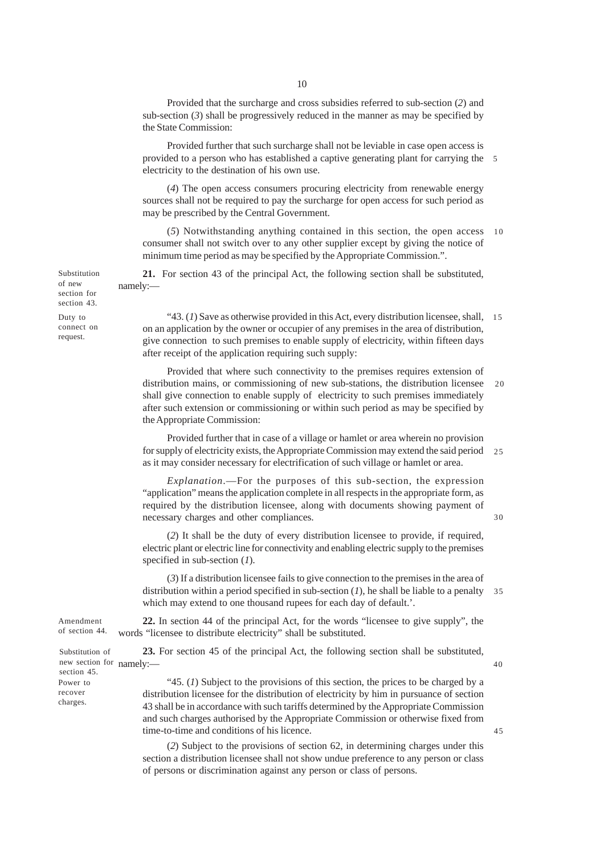Provided that the surcharge and cross subsidies referred to sub-section (*2*) and sub-section  $(3)$  shall be progressively reduced in the manner as may be specified by the State Commission:

Provided further that such surcharge shall not be leviable in case open access is provided to a person who has established a captive generating plant for carrying the 5 electricity to the destination of his own use.

(*4*) The open access consumers procuring electricity from renewable energy sources shall not be required to pay the surcharge for open access for such period as may be prescribed by the Central Government.

(*5*) Notwithstanding anything contained in this section, the open access consumer shall not switch over to any other supplier except by giving the notice of minimum time period as may be specified by the Appropriate Commission.". 10

**21.** For section 43 of the principal Act, the following section shall be substituted, namely:—

"43. (*1*) Save as otherwise provided in this Act, every distribution licensee, shall, 15 on an application by the owner or occupier of any premises in the area of distribution, give connection to such premises to enable supply of electricity, within fifteen days after receipt of the application requiring such supply:

Provided that where such connectivity to the premises requires extension of distribution mains, or commissioning of new sub-stations, the distribution licensee shall give connection to enable supply of electricity to such premises immediately after such extension or commissioning or within such period as may be specified by the Appropriate Commission: 20

Provided further that in case of a village or hamlet or area wherein no provision for supply of electricity exists, the Appropriate Commission may extend the said period 25 as it may consider necessary for electrification of such village or hamlet or area.

*Explanation*.—For the purposes of this sub-section, the expression "application" means the application complete in all respects in the appropriate form, as required by the distribution licensee, along with documents showing payment of necessary charges and other compliances.

30

 $\overline{45}$ 

40

(*2*) It shall be the duty of every distribution licensee to provide, if required, electric plant or electric line for connectivity and enabling electric supply to the premises specified in sub-section (*1*).

(*3*) If a distribution licensee fails to give connection to the premises in the area of distribution within a period specified in sub-section (*1*), he shall be liable to a penalty which may extend to one thousand rupees for each day of default.'. 35

**22.** In section 44 of the principal Act, for the words "licensee to give supply", the words "licensee to distribute electricity" shall be substituted.

**23.** For section 45 of the principal Act, the following section shall be substituted,

"45. (*1*) Subject to the provisions of this section, the prices to be charged by a distribution licensee for the distribution of electricity by him in pursuance of section 43 shall be in accordance with such tariffs determined by the Appropriate Commission and such charges authorised by the Appropriate Commission or otherwise fixed from time-to-time and conditions of his licence.

(*2*) Subject to the provisions of section 62, in determining charges under this section a distribution licensee shall not show undue preference to any person or class of persons or discrimination against any person or class of persons.

Substitution of new section for section 43.

Duty to connect on request.

Amendment of section 44.

new section for namely:-Substitution of section 45. Power to recover charges.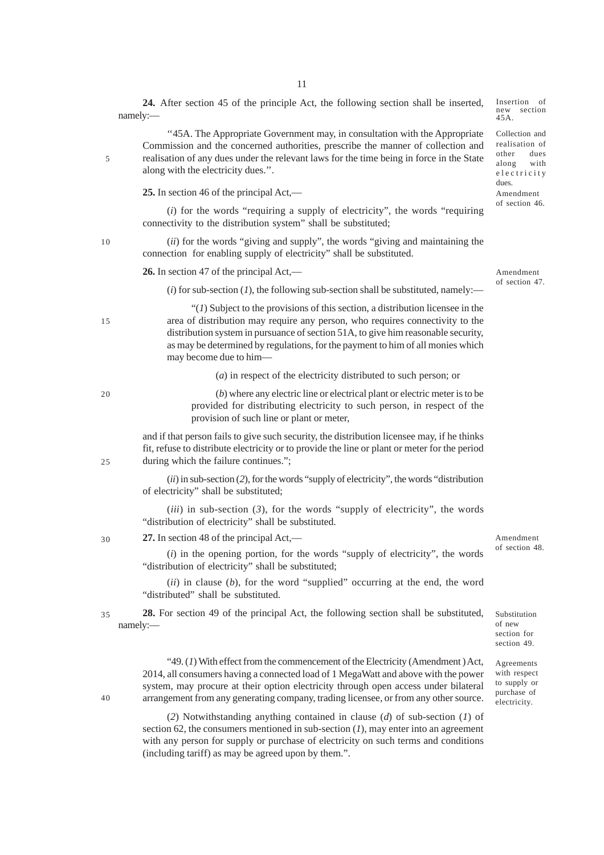**24.** After section 45 of the principle Act, the following section shall be inserted, namely:—

''45A. The Appropriate Government may, in consultation with the Appropriate Commission and the concerned authorities, prescribe the manner of collection and realisation of any dues under the relevant laws for the time being in force in the State along with the electricity dues.''.

**25.** In section 46 of the principal Act,—

(*i*) for the words "requiring a supply of electricity", the words "requiring connectivity to the distribution system" shall be substituted;

(*ii*) for the words "giving and supply", the words "giving and maintaining the connection for enabling supply of electricity" shall be substituted.

**26.** In section 47 of the principal Act,—

Amendment of section 47.

Amendment of section 48.

Substitution of new section for section 49. Agreements with respect to supply or purchase of electricity.

Amendment of section 46.

Insertion of new section 45A.

Collection and realisation of other dues along with electricity dues.

 $(i)$  for sub-section  $(I)$ , the following sub-section shall be substituted, namely:—

"(*1*) Subject to the provisions of this section, a distribution licensee in the area of distribution may require any person, who requires connectivity to the distribution system in pursuance of section 51A, to give him reasonable security, as may be determined by regulations, for the payment to him of all monies which may become due to him—

(*a*) in respect of the electricity distributed to such person; or

(*b*) where any electric line or electrical plant or electric meter is to be provided for distributing electricity to such person, in respect of the provision of such line or plant or meter,

and if that person fails to give such security, the distribution licensee may, if he thinks fit, refuse to distribute electricity or to provide the line or plant or meter for the period during which the failure continues.";

(*ii*) in sub-section (*2*), for the words "supply of electricity", the words "distribution of electricity" shall be substituted;

(*iii*) in sub-section (*3*), for the words "supply of electricity", the words "distribution of electricity" shall be substituted.

**27.** In section 48 of the principal Act,— 30

> (*i*) in the opening portion, for the words "supply of electricity", the words "distribution of electricity" shall be substituted;

> (*ii*) in clause (*b*), for the word "supplied" occurring at the end, the word "distributed" shall be substituted.

**28.** For section 49 of the principal Act, the following section shall be substituted, namely:— 35

> "49. (*1*) With effect from the commencement of the Electricity (Amendment ) Act, 2014, all consumers having a connected load of 1 MegaWatt and above with the power system, may procure at their option electricity through open access under bilateral arrangement from any generating company, trading licensee, or from any other source.

> (*2*) Notwithstanding anything contained in clause (*d*) of sub-section (*1*) of section 62, the consumers mentioned in sub-section (*1*), may enter into an agreement with any person for supply or purchase of electricity on such terms and conditions (including tariff) as may be agreed upon by them.".

 $40$ 

5

10

15

20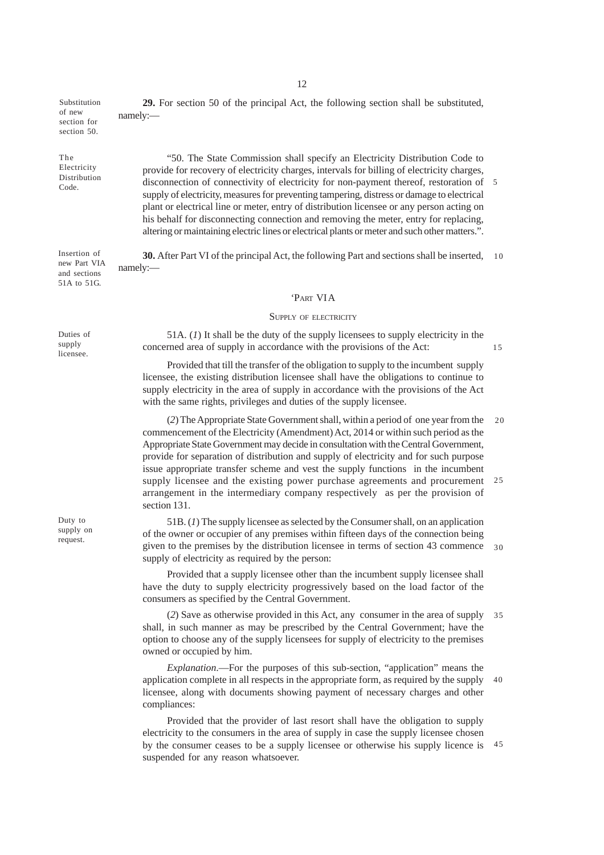Substitution of new section for section 50.

The Electricity Distribution Code.

Insertion of new Part VIA and sections 51A to 51G.

Duties of supply licensee.

Duty to supply on request.

**29.** For section 50 of the principal Act, the following section shall be substituted, namely:—

"50. The State Commission shall specify an Electricity Distribution Code to provide for recovery of electricity charges, intervals for billing of electricity charges, disconnection of connectivity of electricity for non-payment thereof, restoration of supply of electricity, measures for preventing tampering, distress or damage to electrical plant or electrical line or meter, entry of distribution licensee or any person acting on his behalf for disconnecting connection and removing the meter, entry for replacing, altering or maintaining electric lines or electrical plants or meter and such other matters.". 5

**30.** After Part VI of the principal Act, the following Part and sections shall be inserted, 10 namely:—

### 'PART VI A

#### SUPPLY OF ELECTRICITY

51A. (*1*) It shall be the duty of the supply licensees to supply electricity in the concerned area of supply in accordance with the provisions of the Act:

15

Provided that till the transfer of the obligation to supply to the incumbent supply licensee, the existing distribution licensee shall have the obligations to continue to supply electricity in the area of supply in accordance with the provisions of the Act with the same rights, privileges and duties of the supply licensee.

(*2*) The Appropriate State Government shall, within a period of one year from the commencement of the Electricity (Amendment) Act, 2014 or within such period as the Appropriate State Government may decide in consultation with the Central Government, provide for separation of distribution and supply of electricity and for such purpose issue appropriate transfer scheme and vest the supply functions in the incumbent supply licensee and the existing power purchase agreements and procurement arrangement in the intermediary company respectively as per the provision of section 131. 20 25

51B. (*1*) The supply licensee as selected by the Consumer shall, on an application of the owner or occupier of any premises within fifteen days of the connection being given to the premises by the distribution licensee in terms of section 43 commence supply of electricity as required by the person: 30

Provided that a supply licensee other than the incumbent supply licensee shall have the duty to supply electricity progressively based on the load factor of the consumers as specified by the Central Government.

(*2*) Save as otherwise provided in this Act, any consumer in the area of supply shall, in such manner as may be prescribed by the Central Government; have the option to choose any of the supply licensees for supply of electricity to the premises owned or occupied by him. 35

*Explanation*.—For the purposes of this sub-section, "application" means the application complete in all respects in the appropriate form, as required by the supply licensee, along with documents showing payment of necessary charges and other compliances: 40

Provided that the provider of last resort shall have the obligation to supply electricity to the consumers in the area of supply in case the supply licensee chosen by the consumer ceases to be a supply licensee or otherwise his supply licence is 45 suspended for any reason whatsoever.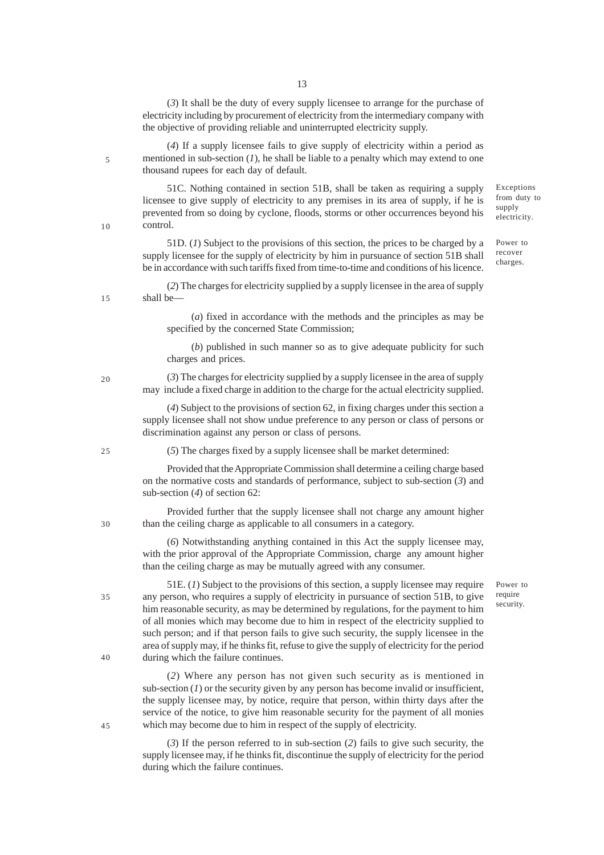(*3*) It shall be the duty of every supply licensee to arrange for the purchase of electricity including by procurement of electricity from the intermediary company with the objective of providing reliable and uninterrupted electricity supply.

(*4*) If a supply licensee fails to give supply of electricity within a period as mentioned in sub-section (*1*), he shall be liable to a penalty which may extend to one thousand rupees for each day of default.

51C. Nothing contained in section 51B, shall be taken as requiring a supply licensee to give supply of electricity to any premises in its area of supply, if he is prevented from so doing by cyclone, floods, storms or other occurrences beyond his control.

51D. (*1*) Subject to the provisions of this section, the prices to be charged by a supply licensee for the supply of electricity by him in pursuance of section 51B shall be in accordance with such tariffs fixed from time-to-time and conditions of his licence.

(*2*) The charges for electricity supplied by a supply licensee in the area of supply shall be—

> (*a*) fixed in accordance with the methods and the principles as may be specified by the concerned State Commission;

> (*b*) published in such manner so as to give adequate publicity for such charges and prices.

(*3*) The charges for electricity supplied by a supply licensee in the area of supply may include a fixed charge in addition to the charge for the actual electricity supplied.

(*4*) Subject to the provisions of section 62, in fixing charges under this section a supply licensee shall not show undue preference to any person or class of persons or discrimination against any person or class of persons.

(*5*) The charges fixed by a supply licensee shall be market determined:

Provided that the Appropriate Commission shall determine a ceiling charge based on the normative costs and standards of performance, subject to sub-section (*3*) and sub-section (*4*) of section 62:

Provided further that the supply licensee shall not charge any amount higher than the ceiling charge as applicable to all consumers in a category.

(*6*) Notwithstanding anything contained in this Act the supply licensee may, with the prior approval of the Appropriate Commission, charge any amount higher than the ceiling charge as may be mutually agreed with any consumer.

51E. (*1*) Subject to the provisions of this section, a supply licensee may require any person, who requires a supply of electricity in pursuance of section 51B, to give him reasonable security, as may be determined by regulations, for the payment to him of all monies which may become due to him in respect of the electricity supplied to such person; and if that person fails to give such security, the supply licensee in the area of supply may, if he thinks fit, refuse to give the supply of electricity for the period during which the failure continues.

(*2*) Where any person has not given such security as is mentioned in sub-section  $(1)$  or the security given by any person has become invalid or insufficient, the supply licensee may, by notice, require that person, within thirty days after the service of the notice, to give him reasonable security for the payment of all monies which may become due to him in respect of the supply of electricity.

(*3*) If the person referred to in sub-section (*2*) fails to give such security, the supply licensee may, if he thinks fit, discontinue the supply of electricity for the period during which the failure continues.

Power to require security.

Exceptions from duty to supply electricity.

Power to recover charges.

20

5

10

15

25

30

40

35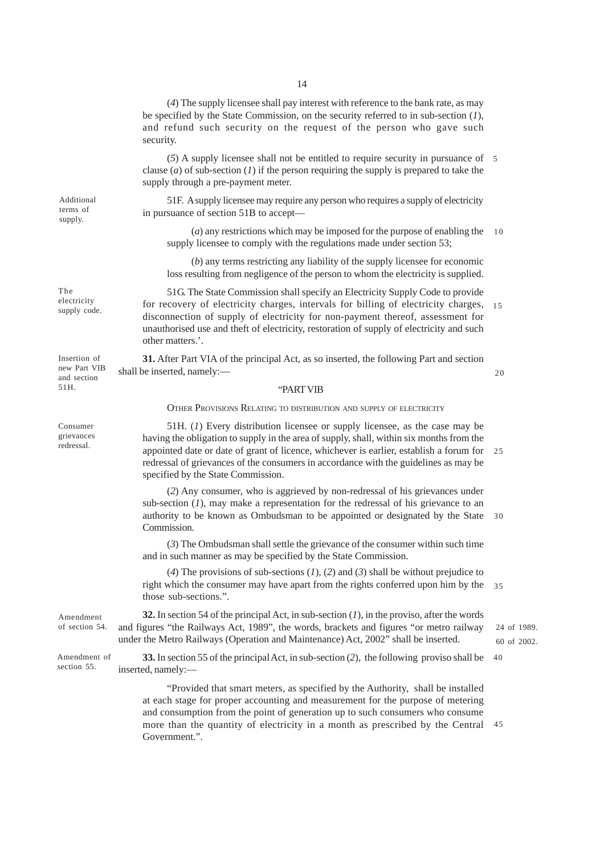(*4*) The supply licensee shall pay interest with reference to the bank rate, as may be specified by the State Commission, on the security referred to in sub-section (*1*), and refund such security on the request of the person who gave such security.

(*5*) A supply licensee shall not be entitled to require security in pursuance of 5 clause (*a*) of sub-section (*1*) if the person requiring the supply is prepared to take the supply through a pre-payment meter.

51F. A supply licensee may require any person who requires a supply of electricity in pursuance of section 51B to accept—

(*a*) any restrictions which may be imposed for the purpose of enabling the supply licensee to comply with the regulations made under section 53; 10

(*b*) any terms restricting any liability of the supply licensee for economic loss resulting from negligence of the person to whom the electricity is supplied.

51G. The State Commission shall specify an Electricity Supply Code to provide for recovery of electricity charges, intervals for billing of electricity charges, disconnection of supply of electricity for non-payment thereof, assessment for unauthorised use and theft of electricity, restoration of supply of electricity and such other matters.'. 15

**31.** After Part VIA of the principal Act, as so inserted, the following Part and section shall be inserted, namely:—

20

#### "PART VIB

OTHER PROVISIONS RELATING TO DISTRIBUTION AND SUPPLY OF ELECTRICITY

51H. (*1*) Every distribution licensee or supply licensee, as the case may be having the obligation to supply in the area of supply, shall, within six months from the appointed date or date of grant of licence, whichever is earlier, establish a forum for 25 redressal of grievances of the consumers in accordance with the guidelines as may be specified by the State Commission.

(*2*) Any consumer, who is aggrieved by non-redressal of his grievances under sub-section  $(I)$ , may make a representation for the redressal of his grievance to an authority to be known as Ombudsman to be appointed or designated by the State 30 Commission.

(*3*) The Ombudsman shall settle the grievance of the consumer within such time and in such manner as may be specified by the State Commission.

(*4*) The provisions of sub-sections (*1*), (*2*) and (*3*) shall be without prejudice to right which the consumer may have apart from the rights conferred upon him by the 35 those sub-sections.".

**32.** In section 54 of the principal Act, in sub-section (*1*), in the proviso, after the words of section 54. and figures "the Railways Act, 1989", the words, brackets and figures "or metro railway 24 of 1989. under the Metro Railways (Operation and Maintenance) Act, 2002" shall be inserted. Amendment

**33.** In section 55 of the principal Act, in sub-section (*2*), the following proviso shall be inserted, namely:— Amendment of section 55. 40

> "Provided that smart meters, as specified by the Authority, shall be installed at each stage for proper accounting and measurement for the purpose of metering and consumption from the point of generation up to such consumers who consume more than the quantity of electricity in a month as prescribed by the Central 45 Government.".

Additional terms of supply.

The electricity supply code.

Insertion of new Part VIB and section 51H.

Consumer grievances redressal.

60 of 2002.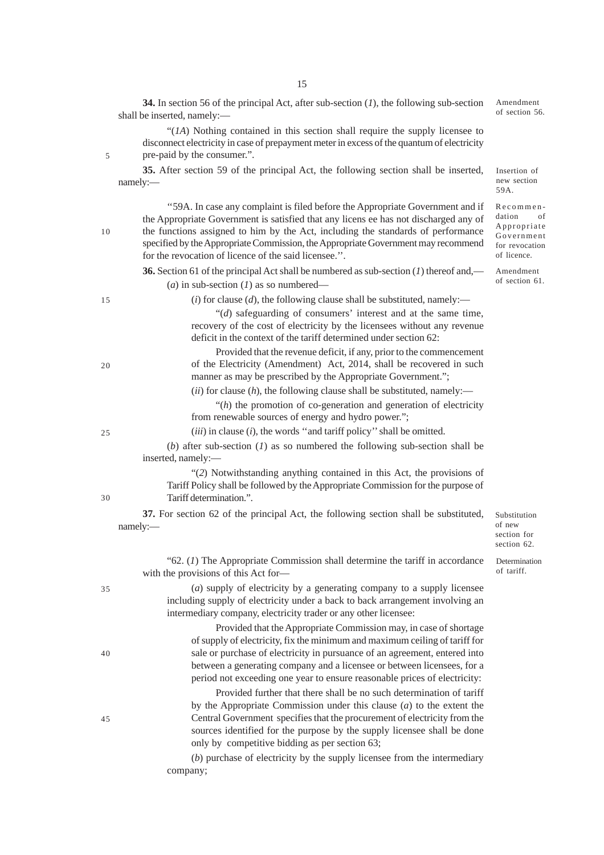**35.** After section 59 of the principal Act, the following section shall be inserted, namely:— ''59A. In case any complaint is filed before the Appropriate Government and if the Appropriate Government is satisfied that any licens ee has not discharged any of the functions assigned to him by the Act, including the standards of performance specified by the Appropriate Commission, the Appropriate Government may recommend for the revocation of licence of the said licensee.''. **36.** Section 61 of the principal Act shall be numbered as sub-section (*1*) thereof and,— (*a*) in sub-section (*1*) as so numbered—  $(i)$  for clause  $(d)$ , the following clause shall be substituted, namely:— "(*d*) safeguarding of consumers' interest and at the same time, recovery of the cost of electricity by the licensees without any revenue deficit in the context of the tariff determined under section 62: Provided that the revenue deficit, if any, prior to the commencement of the Electricity (Amendment) Act, 2014, shall be recovered in such manner as may be prescribed by the Appropriate Government."; (*ii*) for clause (*h*), the following clause shall be substituted, namely:— "(*h*) the promotion of co-generation and generation of electricity from renewable sources of energy and hydro power."; (*iii*) in clause (*i*), the words ''and tariff policy'' shall be omitted. (*b*) after sub-section (*1*) as so numbered the following sub-section shall be inserted, namely:— "(*2*) Notwithstanding anything contained in this Act, the provisions of Tariff Policy shall be followed by the Appropriate Commission for the purpose of Tariff determination.". **37.** For section 62 of the principal Act, the following section shall be substituted, namely:— "62. (*1*) The Appropriate Commission shall determine the tariff in accordance with the provisions of this Act for— (*a*) supply of electricity by a generating company to a supply licensee including supply of electricity under a back to back arrangement involving an intermediary company, electricity trader or any other licensee: Provided that the Appropriate Commission may, in case of shortage of supply of electricity, fix the minimum and maximum ceiling of tariff for sale or purchase of electricity in pursuance of an agreement, entered into between a generating company and a licensee or between licensees, for a period not exceeding one year to ensure reasonable prices of electricity: Provided further that there shall be no such determination of tariff by the Appropriate Commission under this clause (*a*) to the extent the Central Government specifies that the procurement of electricity from the sources identified for the purpose by the supply licensee shall be done Insertion of 59A. Substitution of new section for section 62. Determination of tariff. Recommen-10 15 20 25 30 35 40 45

> (*b*) purchase of electricity by the supply licensee from the intermediary company;

only by competitive bidding as per section 63;

15

shall be inserted, namely:—

pre-paid by the consumer.".

**34.** In section 56 of the principal Act, after sub-section (*1*), the following sub-section

"(*1A*) Nothing contained in this section shall require the supply licensee to disconnect electricity in case of prepayment meter in excess of the quantum of electricity Amendment of section 56.

new section

dation of Appropriate Government for revocation of licence.

Amendment of section 61.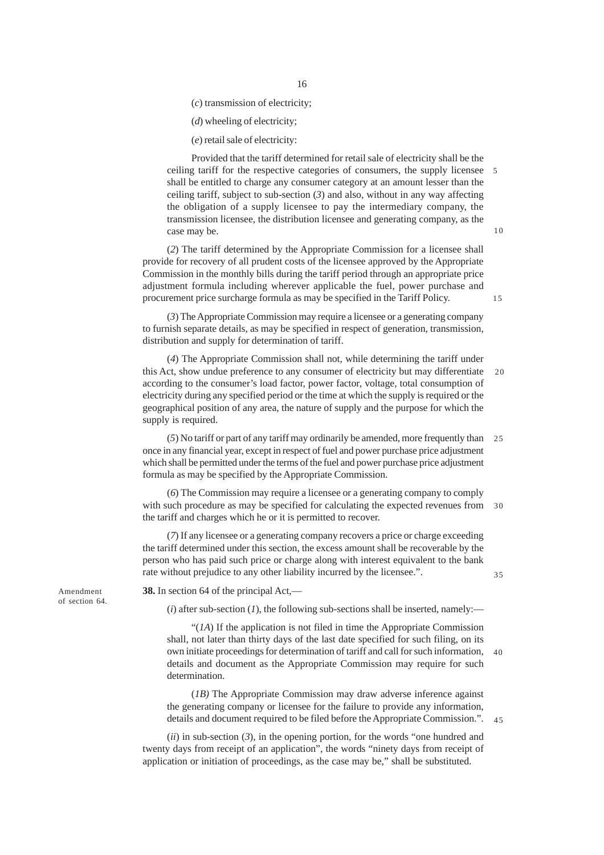(*c*) transmission of electricity;

(*d*) wheeling of electricity;

(*e*) retail sale of electricity:

Provided that the tariff determined for retail sale of electricity shall be the ceiling tariff for the respective categories of consumers, the supply licensee shall be entitled to charge any consumer category at an amount lesser than the ceiling tariff, subject to sub-section (*3*) and also, without in any way affecting the obligation of a supply licensee to pay the intermediary company, the transmission licensee, the distribution licensee and generating company, as the case may be. 5

(*2*) The tariff determined by the Appropriate Commission for a licensee shall provide for recovery of all prudent costs of the licensee approved by the Appropriate Commission in the monthly bills during the tariff period through an appropriate price adjustment formula including wherever applicable the fuel, power purchase and procurement price surcharge formula as may be specified in the Tariff Policy.

(*3*) The Appropriate Commission may require a licensee or a generating company to furnish separate details, as may be specified in respect of generation, transmission, distribution and supply for determination of tariff.

(*4*) The Appropriate Commission shall not, while determining the tariff under this Act, show undue preference to any consumer of electricity but may differentiate according to the consumer's load factor, power factor, voltage, total consumption of electricity during any specified period or the time at which the supply is required or the geographical position of any area, the nature of supply and the purpose for which the supply is required.

(*5*) No tariff or part of any tariff may ordinarily be amended, more frequently than 25 once in any financial year, except in respect of fuel and power purchase price adjustment which shall be permitted under the terms of the fuel and power purchase price adjustment formula as may be specified by the Appropriate Commission.

(*6*) The Commission may require a licensee or a generating company to comply with such procedure as may be specified for calculating the expected revenues from 30 the tariff and charges which he or it is permitted to recover.

(*7*) If any licensee or a generating company recovers a price or charge exceeding the tariff determined under this section, the excess amount shall be recoverable by the person who has paid such price or charge along with interest equivalent to the bank rate without prejudice to any other liability incurred by the licensee.".

35

Amendment of section 64. **38.** In section 64 of the principal Act,—

 $(i)$  after sub-section  $(I)$ , the following sub-sections shall be inserted, namely:—

"(*1A*) If the application is not filed in time the Appropriate Commission shall, not later than thirty days of the last date specified for such filing, on its own initiate proceedings for determination of tariff and call for such information, 40details and document as the Appropriate Commission may require for such determination.

(*1B)* The Appropriate Commission may draw adverse inference against the generating company or licensee for the failure to provide any information, details and document required to be filed before the Appropriate Commission.".  $\overline{45}$ 

(*ii*) in sub-section (*3*), in the opening portion, for the words "one hundred and twenty days from receipt of an application", the words "ninety days from receipt of application or initiation of proceedings, as the case may be," shall be substituted.

10

15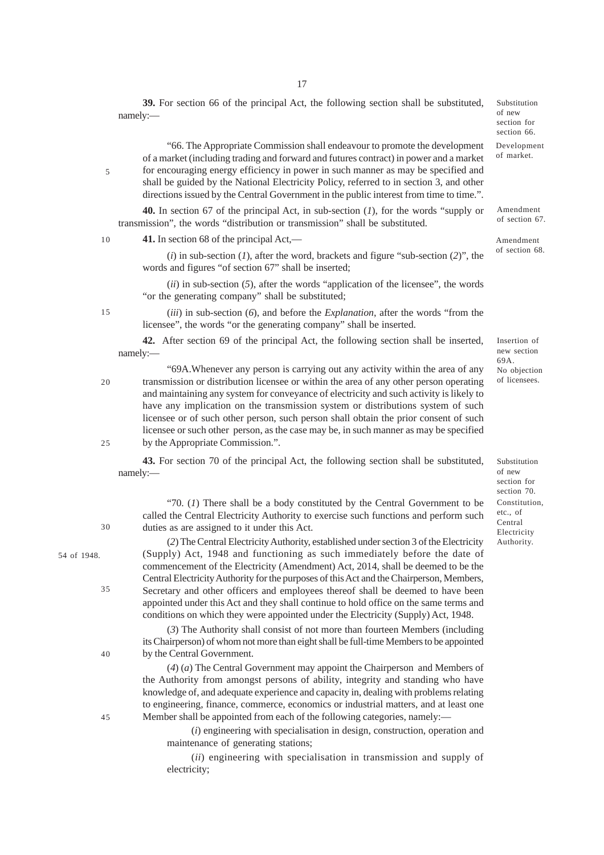17

**39.** For section 66 of the principal Act, the following section shall be substituted, namely:—

Development Substitution of new section for section 66.

of market.

"66. The Appropriate Commission shall endeavour to promote the development of a market (including trading and forward and futures contract) in power and a market for encouraging energy efficiency in power in such manner as may be specified and shall be guided by the National Electricity Policy, referred to in section 3, and other directions issued by the Central Government in the public interest from time to time.".

**40.** In section 67 of the principal Act, in sub-section (*1*), for the words "supply or transmission", the words "distribution or transmission" shall be substituted.

**41.** In section 68 of the principal Act,—

5

10

15

20

25

30

35

(*i*) in sub-section (*1*), after the word, brackets and figure "sub-section (*2*)", the words and figures "of section 67" shall be inserted;

(*ii*) in sub-section (*5*), after the words "application of the licensee", the words "or the generating company" shall be substituted;

(*iii*) in sub-section (*6*), and before the *Explanation*, after the words "from the licensee", the words "or the generating company" shall be inserted.

**42.** After section 69 of the principal Act, the following section shall be inserted, namely:—

"69A.Whenever any person is carrying out any activity within the area of any transmission or distribution licensee or within the area of any other person operating and maintaining any system for conveyance of electricity and such activity is likely to have any implication on the transmission system or distributions system of such licensee or of such other person, such person shall obtain the prior consent of such licensee or such other person, as the case may be, in such manner as may be specified by the Appropriate Commission.".

**43.** For section 70 of the principal Act, the following section shall be substituted, namely:—

"70. (*1*) There shall be a body constituted by the Central Government to be called the Central Electricity Authority to exercise such functions and perform such duties as are assigned to it under this Act.

(*2*) The Central Electricity Authority, established under section 3 of the Electricity (Supply) Act, 1948 and functioning as such immediately before the date of commencement of the Electricity (Amendment) Act, 2014, shall be deemed to be the Central Electricity Authority for the purposes of this Act and the Chairperson, Members, Secretary and other officers and employees thereof shall be deemed to have been appointed under this Act and they shall continue to hold office on the same terms and conditions on which they were appointed under the Electricity (Supply) Act, 1948.

(*3*) The Authority shall consist of not more than fourteen Members (including its Chairperson) of whom not more than eight shall be full-time Members to be appointed by the Central Government.

(*4*) (*a*) The Central Government may appoint the Chairperson and Members of the Authority from amongst persons of ability, integrity and standing who have knowledge of, and adequate experience and capacity in, dealing with problems relating to engineering, finance, commerce, economics or industrial matters, and at least one Member shall be appointed from each of the following categories, namely:—

(*i*) engineering with specialisation in design, construction, operation and maintenance of generating stations;

(*ii*) engineering with specialisation in transmission and supply of electricity;

Amendment of section 67.

Amendment of section 68.

Insertion of new section 69A. No objection of licensees.

Substitution of new section for section 70. Constitution, etc., of Central Electricity Authority.

40

54 of 1948.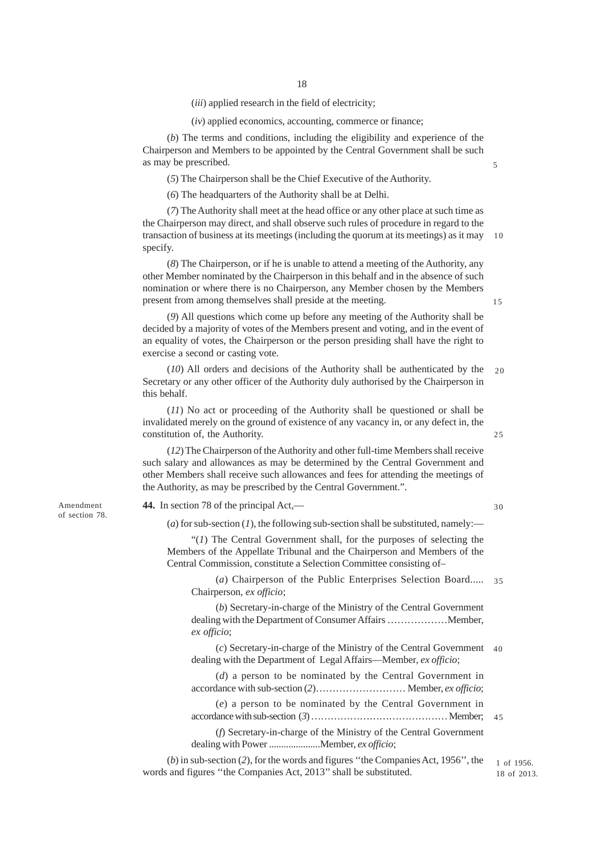(*iii*) applied research in the field of electricity;

(*iv*) applied economics, accounting, commerce or finance;

(*b*) The terms and conditions, including the eligibility and experience of the Chairperson and Members to be appointed by the Central Government shall be such as may be prescribed.

(*5*) The Chairperson shall be the Chief Executive of the Authority.

(*6*) The headquarters of the Authority shall be at Delhi.

(*7*) The Authority shall meet at the head office or any other place at such time as the Chairperson may direct, and shall observe such rules of procedure in regard to the transaction of business at its meetings (including the quorum at its meetings) as it may specify. 10

(*8*) The Chairperson, or if he is unable to attend a meeting of the Authority, any other Member nominated by the Chairperson in this behalf and in the absence of such nomination or where there is no Chairperson, any Member chosen by the Members present from among themselves shall preside at the meeting.

(*9*) All questions which come up before any meeting of the Authority shall be decided by a majority of votes of the Members present and voting, and in the event of an equality of votes, the Chairperson or the person presiding shall have the right to exercise a second or casting vote.

(*10*) All orders and decisions of the Authority shall be authenticated by the Secretary or any other officer of the Authority duly authorised by the Chairperson in this behalf.  $20$ 

(*11*) No act or proceeding of the Authority shall be questioned or shall be invalidated merely on the ground of existence of any vacancy in, or any defect in, the constitution of, the Authority.

(*12*) The Chairperson of the Authority and other full-time Members shall receive such salary and allowances as may be determined by the Central Government and other Members shall receive such allowances and fees for attending the meetings of the Authority, as may be prescribed by the Central Government.".

**44.** In section 78 of the principal Act,—

30

25

 $(a)$  for sub-section  $(I)$ , the following sub-section shall be substituted, namely:—

"(*1*) The Central Government shall, for the purposes of selecting the Members of the Appellate Tribunal and the Chairperson and Members of the Central Commission, constitute a Selection Committee consisting of–

(*a*) Chairperson of the Public Enterprises Selection Board..... 35 Chairperson, *ex officio*;

(*b*) Secretary-in-charge of the Ministry of the Central Government dealing with the Department of Consumer Affairs ………………Member, *ex officio*;

(*c*) Secretary-in-charge of the Ministry of the Central Government 40dealing with the Department of Legal Affairs—Member, *ex officio*;

(*d*) a person to be nominated by the Central Government in accordance with sub-section (*2*)……………………… Member, *ex officio*;

(*e*) a person to be nominated by the Central Government in accordance with sub-section (*3*) …………………………………… Member; 45

(*f*) Secretary-in-charge of the Ministry of the Central Government dealing with Power .....................Member, *ex officio*;

(*b*) in sub-section (*2*), for the words and figures ''the Companies Act, 1956'', the words and figures ''the Companies Act, 2013'' shall be substituted.

1 of 1956. 18 of 2013.

Amendment of section 78.

15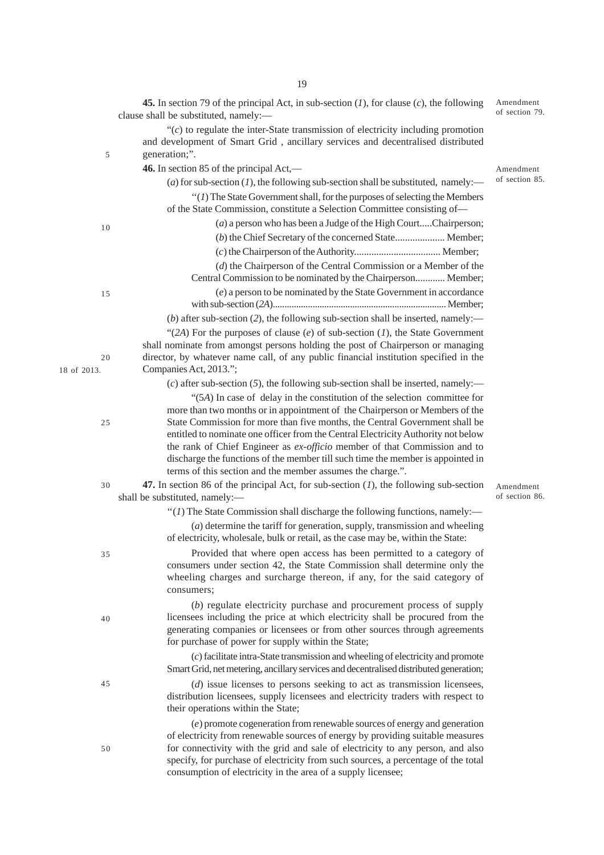|                   | <b>45.</b> In section 79 of the principal Act, in sub-section $(I)$ , for clause $(c)$ , the following<br>clause shall be substituted, namely:-                                                                                                                                                                                                                                                   | Amendment<br>of section 79. |
|-------------------|---------------------------------------------------------------------------------------------------------------------------------------------------------------------------------------------------------------------------------------------------------------------------------------------------------------------------------------------------------------------------------------------------|-----------------------------|
| 5                 | " $(c)$ to regulate the inter-State transmission of electricity including promotion<br>and development of Smart Grid, ancillary services and decentralised distributed<br>generation;".                                                                                                                                                                                                           |                             |
|                   | 46. In section 85 of the principal Act,-                                                                                                                                                                                                                                                                                                                                                          | Amendment                   |
|                   | (a) for sub-section (1), the following sub-section shall be substituted, namely:—                                                                                                                                                                                                                                                                                                                 | of section 85.              |
|                   | $\lq(1)$ The State Government shall, for the purposes of selecting the Members<br>of the State Commission, constitute a Selection Committee consisting of-                                                                                                                                                                                                                                        |                             |
| 10                | (a) a person who has been a Judge of the High CourtChairperson;                                                                                                                                                                                                                                                                                                                                   |                             |
|                   | (b) the Chief Secretary of the concerned State Member;                                                                                                                                                                                                                                                                                                                                            |                             |
|                   |                                                                                                                                                                                                                                                                                                                                                                                                   |                             |
|                   | $(d)$ the Chairperson of the Central Commission or a Member of the                                                                                                                                                                                                                                                                                                                                |                             |
|                   | Central Commission to be nominated by the Chairperson Member;                                                                                                                                                                                                                                                                                                                                     |                             |
| 15                | (e) a person to be nominated by the State Government in accordance                                                                                                                                                                                                                                                                                                                                |                             |
|                   | (b) after sub-section (2), the following sub-section shall be inserted, namely:—                                                                                                                                                                                                                                                                                                                  |                             |
| 20<br>18 of 2013. | "(2A) For the purposes of clause $(e)$ of sub-section $(1)$ , the State Government<br>shall nominate from amongst persons holding the post of Chairperson or managing<br>director, by whatever name call, of any public financial institution specified in the<br>Companies Act, 2013.";                                                                                                          |                             |
|                   | $(c)$ after sub-section (5), the following sub-section shall be inserted, namely:—                                                                                                                                                                                                                                                                                                                |                             |
|                   | "(5A) In case of delay in the constitution of the selection committee for<br>more than two months or in appointment of the Chairperson or Members of the                                                                                                                                                                                                                                          |                             |
| 25                | State Commission for more than five months, the Central Government shall be<br>entitled to nominate one officer from the Central Electricity Authority not below<br>the rank of Chief Engineer as ex-officio member of that Commission and to<br>discharge the functions of the member till such time the member is appointed in<br>terms of this section and the member assumes the charge.".    |                             |
| 30                | 47. In section 86 of the principal Act, for sub-section $(I)$ , the following sub-section<br>shall be substituted, namely:-                                                                                                                                                                                                                                                                       | Amendment<br>of section 86. |
|                   | "( $I$ ) The State Commission shall discharge the following functions, namely:—                                                                                                                                                                                                                                                                                                                   |                             |
|                   | $(a)$ determine the tariff for generation, supply, transmission and wheeling<br>of electricity, wholesale, bulk or retail, as the case may be, within the State:                                                                                                                                                                                                                                  |                             |
| 35                | Provided that where open access has been permitted to a category of<br>consumers under section 42, the State Commission shall determine only the<br>wheeling charges and surcharge thereon, if any, for the said category of<br>consumers;                                                                                                                                                        |                             |
| 40                | (b) regulate electricity purchase and procurement process of supply<br>licensees including the price at which electricity shall be procured from the<br>generating companies or licensees or from other sources through agreements<br>for purchase of power for supply within the State;                                                                                                          |                             |
|                   | (c) facilitate intra-State transmission and wheeling of electricity and promote<br>Smart Grid, net metering, ancillary services and decentralised distributed generation;                                                                                                                                                                                                                         |                             |
| 45                | $(d)$ issue licenses to persons seeking to act as transmission licensees,<br>distribution licensees, supply licensees and electricity traders with respect to<br>their operations within the State;                                                                                                                                                                                               |                             |
| 50                | (e) promote cogeneration from renewable sources of energy and generation<br>of electricity from renewable sources of energy by providing suitable measures<br>for connectivity with the grid and sale of electricity to any person, and also<br>specify, for purchase of electricity from such sources, a percentage of the total<br>consumption of electricity in the area of a supply licensee; |                             |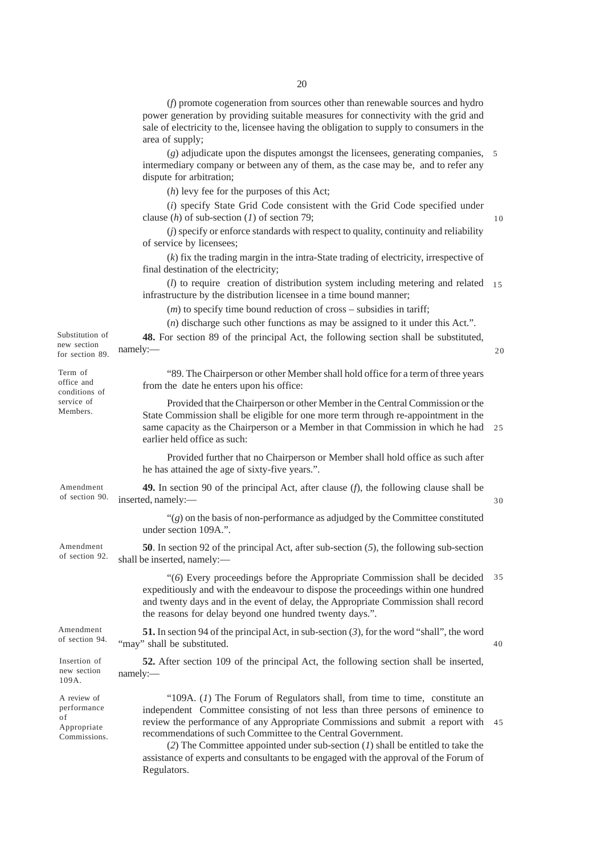(*f*) promote cogeneration from sources other than renewable sources and hydro power generation by providing suitable measures for connectivity with the grid and sale of electricity to the, licensee having the obligation to supply to consumers in the area of supply;

(*g*) adjudicate upon the disputes amongst the licensees, generating companies, 5 intermediary company or between any of them, as the case may be, and to refer any dispute for arbitration;

(*h*) levy fee for the purposes of this Act;

(*i*) specify State Grid Code consistent with the Grid Code specified under clause (*h*) of sub-section (*1*) of section 79;

10

20

(*j*) specify or enforce standards with respect to quality, continuity and reliability of service by licensees;

(*k*) fix the trading margin in the intra-State trading of electricity, irrespective of final destination of the electricity;

(*l*) to require creation of distribution system including metering and related 15 infrastructure by the distribution licensee in a time bound manner;

(*m*) to specify time bound reduction of cross – subsidies in tariff;

(*n*) discharge such other functions as may be assigned to it under this Act.".

| Substitution of | 48. For section 89 of the principal Act, the following section shall be substituted, |
|-----------------|--------------------------------------------------------------------------------------|
| new section     |                                                                                      |
| for section 89. | namely:                                                                              |

| Term of<br>office and<br>conditions of                          | "89. The Chairperson or other Member shall hold office for a term of three years<br>from the date he enters upon his office:                                                                                                                                                                                                                                                                                                                                                                                  |    |
|-----------------------------------------------------------------|---------------------------------------------------------------------------------------------------------------------------------------------------------------------------------------------------------------------------------------------------------------------------------------------------------------------------------------------------------------------------------------------------------------------------------------------------------------------------------------------------------------|----|
| service of<br>Members.                                          | Provided that the Chairperson or other Member in the Central Commission or the<br>State Commission shall be eligible for one more term through re-appointment in the<br>same capacity as the Chairperson or a Member in that Commission in which he had<br>earlier held office as such:                                                                                                                                                                                                                       | 25 |
|                                                                 | Provided further that no Chairperson or Member shall hold office as such after<br>he has attained the age of sixty-five years.".                                                                                                                                                                                                                                                                                                                                                                              |    |
| Amendment<br>of section 90.                                     | 49. In section 90 of the principal Act, after clause $(f)$ , the following clause shall be<br>inserted, namely:-                                                                                                                                                                                                                                                                                                                                                                                              | 30 |
|                                                                 | " $(g)$ on the basis of non-performance as adjudged by the Committee constituted<br>under section 109A.".                                                                                                                                                                                                                                                                                                                                                                                                     |    |
| Amendment<br>of section 92.                                     | <b>50</b> . In section 92 of the principal Act, after sub-section $(5)$ , the following sub-section<br>shall be inserted, namely:-                                                                                                                                                                                                                                                                                                                                                                            |    |
|                                                                 | "(6) Every proceedings before the Appropriate Commission shall be decided<br>expeditiously and with the endeavour to dispose the proceedings within one hundred<br>and twenty days and in the event of delay, the Appropriate Commission shall record<br>the reasons for delay beyond one hundred twenty days.".                                                                                                                                                                                              | 35 |
| Amendment<br>of section 94.                                     | <b>51.</b> In section 94 of the principal Act, in sub-section $(3)$ , for the word "shall", the word<br>"may" shall be substituted.                                                                                                                                                                                                                                                                                                                                                                           | 40 |
| Insertion of<br>new section<br>109A.                            | 52. After section 109 of the principal Act, the following section shall be inserted,<br>namely:                                                                                                                                                                                                                                                                                                                                                                                                               |    |
| A review of<br>performance<br>οf<br>Appropriate<br>Commissions. | "109A. $(I)$ The Forum of Regulators shall, from time to time, constitute an<br>independent Committee consisting of not less than three persons of eminence to<br>review the performance of any Appropriate Commissions and submit a report with<br>recommendations of such Committee to the Central Government.<br>(2) The Committee appointed under sub-section $(I)$ shall be entitled to take the<br>assistance of experts and consultants to be engaged with the approval of the Forum of<br>Regulators. | 45 |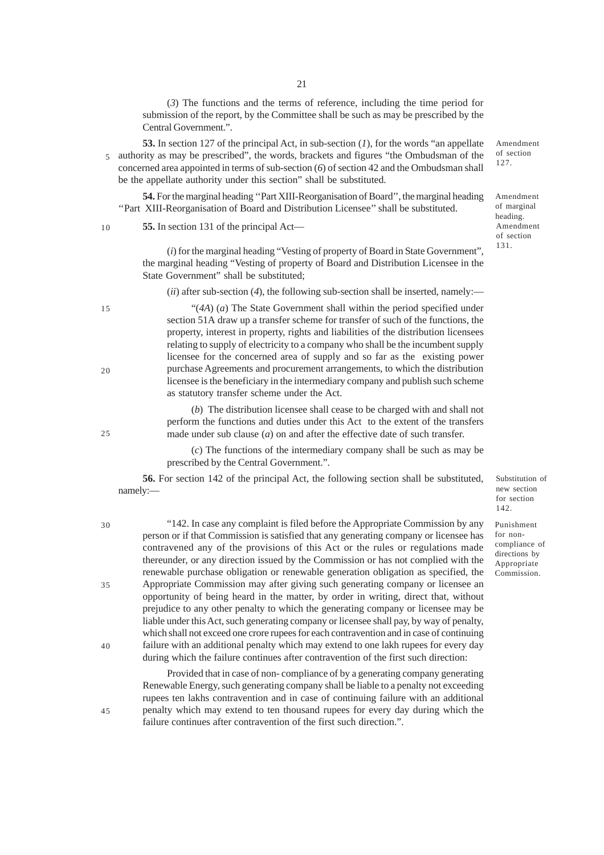(*3*) The functions and the terms of reference, including the time period for submission of the report, by the Committee shall be such as may be prescribed by the Central Government.".

**53.** In section 127 of the principal Act, in sub-section (*1*), for the words "an appellate 5 authority as may be prescribed", the words, brackets and figures "the Ombudsman of the concerned area appointed in terms of sub-section (*6*) of section 42 and the Ombudsman shall be the appellate authority under this section" shall be substituted.

**54.** For the marginal heading ''Part XIII-Reorganisation of Board'', the marginal heading ''Part XIII-Reorganisation of Board and Distribution Licensee'' shall be substituted.

**55.** In section 131 of the principal Act— 10

> (*i*) for the marginal heading "Vesting of property of Board in State Government", the marginal heading "Vesting of property of Board and Distribution Licensee in the State Government" shall be substituted;

(*ii*) after sub-section (*4*), the following sub-section shall be inserted, namely:—

"(*4A*) (*a*) The State Government shall within the period specified under section 51A draw up a transfer scheme for transfer of such of the functions, the property, interest in property, rights and liabilities of the distribution licensees relating to supply of electricity to a company who shall be the incumbent supply licensee for the concerned area of supply and so far as the existing power purchase Agreements and procurement arrangements, to which the distribution licensee is the beneficiary in the intermediary company and publish such scheme as statutory transfer scheme under the Act.

(*b*) The distribution licensee shall cease to be charged with and shall not perform the functions and duties under this Act to the extent of the transfers made under sub clause (*a*) on and after the effective date of such transfer.

(*c*) The functions of the intermediary company shall be such as may be prescribed by the Central Government.".

**56.** For section 142 of the principal Act, the following section shall be substituted, namely:—

"142. In case any complaint is filed before the Appropriate Commission by any person or if that Commission is satisfied that any generating company or licensee has contravened any of the provisions of this Act or the rules or regulations made thereunder, or any direction issued by the Commission or has not complied with the renewable purchase obligation or renewable generation obligation as specified, the Appropriate Commission may after giving such generating company or licensee an opportunity of being heard in the matter, by order in writing, direct that, without prejudice to any other penalty to which the generating company or licensee may be liable under this Act, such generating company or licensee shall pay, by way of penalty, which shall not exceed one crore rupees for each contravention and in case of continuing failure with an additional penalty which may extend to one lakh rupees for every day during which the failure continues after contravention of the first such direction: 30 35 40

> Provided that in case of non- compliance of by a generating company generating Renewable Energy, such generating company shall be liable to a penalty not exceeding rupees ten lakhs contravention and in case of continuing failure with an additional penalty which may extend to ten thousand rupees for every day during which the failure continues after contravention of the first such direction.".

21

Amendment of section 127.

Amendment of section 131. Amendment of marginal heading.

Substitution of new section for section 142.

Punishment for noncompliance of directions by Appropriate Commission.

20

15

 $25$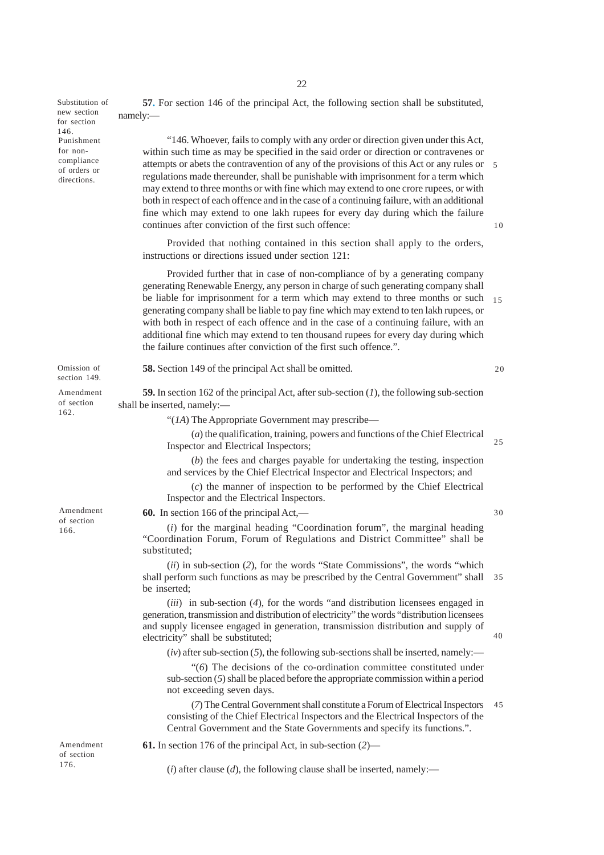Substitution of new section for section 146. Punishment for noncompliance of orders or directions.

Omission of section 149.

Amendment of section 162.

Amendment of section 166.

Amendment of section 176.

**57.** For section 146 of the principal Act, the following section shall be substituted, namely:—

"146. Whoever, fails to comply with any order or direction given under this Act, within such time as may be specified in the said order or direction or contravenes or attempts or abets the contravention of any of the provisions of this Act or any rules or 5 regulations made thereunder, shall be punishable with imprisonment for a term which may extend to three months or with fine which may extend to one crore rupees, or with both in respect of each offence and in the case of a continuing failure, with an additional fine which may extend to one lakh rupees for every day during which the failure continues after conviction of the first such offence: 10

Provided that nothing contained in this section shall apply to the orders, instructions or directions issued under section 121:

Provided further that in case of non-compliance of by a generating company generating Renewable Energy, any person in charge of such generating company shall be liable for imprisonment for a term which may extend to three months or such generating company shall be liable to pay fine which may extend to ten lakh rupees, or with both in respect of each offence and in the case of a continuing failure, with an additional fine which may extend to ten thousand rupees for every day during which the failure continues after conviction of the first such offence.". 15

**58.** Section 149 of the principal Act shall be omitted.

 $20$ 

30

40

**59.** In section 162 of the principal Act, after sub-section (*1*), the following sub-section shall be inserted, namely:—

"(*1A*) The Appropriate Government may prescribe—

(*a*) the qualification, training, powers and functions of the Chief Electrical Inspector and Electrical Inspectors;  $25$ 

(*b*) the fees and charges payable for undertaking the testing, inspection and services by the Chief Electrical Inspector and Electrical Inspectors; and

(*c*) the manner of inspection to be performed by the Chief Electrical Inspector and the Electrical Inspectors.

**60.** In section 166 of the principal Act,—

(*i*) for the marginal heading "Coordination forum", the marginal heading "Coordination Forum, Forum of Regulations and District Committee" shall be substituted;

(*ii*) in sub-section (*2*), for the words "State Commissions", the words "which shall perform such functions as may be prescribed by the Central Government" shall 35 be inserted;

(*iii*) in sub-section (*4*), for the words "and distribution licensees engaged in generation, transmission and distribution of electricity" the words "distribution licensees and supply licensee engaged in generation, transmission distribution and supply of electricity" shall be substituted;

 $(iv)$  after sub-section  $(5)$ , the following sub-sections shall be inserted, namely:—

"(*6*) The decisions of the co-ordination committee constituted under sub-section (*5*) shall be placed before the appropriate commission within a period not exceeding seven days.

(*7*) The Central Government shall constitute a Forum of Electrical Inspectors consisting of the Chief Electrical Inspectors and the Electrical Inspectors of the Central Government and the State Governments and specify its functions.". 45

**61.** In section 176 of the principal Act, in sub-section (*2*)—

 $(i)$  after clause  $(d)$ , the following clause shall be inserted, namely:—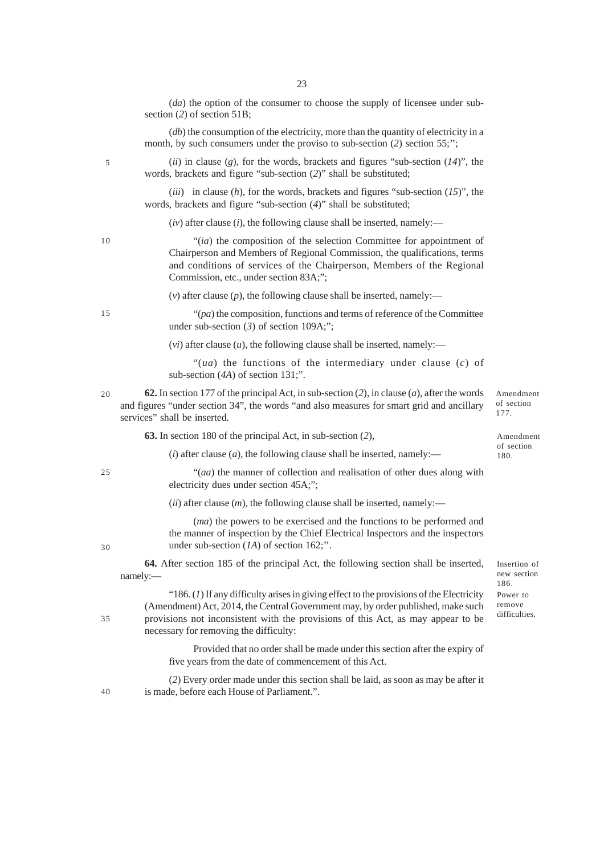23

month, by such consumers under the proviso to sub-section  $(2)$  section 55;";

section (*2*) of section 51B; (*db*) the consumption of the electricity, more than the quantity of electricity in a

5

(*ii*) in clause (*g*), for the words, brackets and figures "sub-section (*14*)", the words, brackets and figure "sub-section (*2*)" shall be substituted;

(*iii*) in clause (*h*), for the words, brackets and figures "sub-section (*15*)", the words, brackets and figure "sub-section (*4*)" shall be substituted;

(*iv*) after clause (*i*), the following clause shall be inserted, namely:—

"(*ia*) the composition of the selection Committee for appointment of Chairperson and Members of Regional Commission, the qualifications, terms and conditions of services of the Chairperson, Members of the Regional Commission, etc., under section 83A;";

 $(v)$  after clause  $(p)$ , the following clause shall be inserted, namely:—

"(*pa*) the composition, functions and terms of reference of the Committee under sub-section (3) of section 109A;";

 $(vi)$  after clause  $(u)$ , the following clause shall be inserted, namely:—

"(*ua*) the functions of the intermediary under clause (*c*) of sub-section (*4A*) of section 131;".

**62.** In section 177 of the principal Act, in sub-section (*2*), in clause (*a*), after the words and figures "under section 34", the words "and also measures for smart grid and ancillary services" shall be inserted.

**63.** In section 180 of the principal Act, in sub-section (*2*),

Amendment of section 180.

Amendment of section 177.

 $(i)$  after clause  $(a)$ , the following clause shall be inserted, namely:—

"(*aa*) the manner of collection and realisation of other dues along with electricity dues under section 45A;";

 $(iii)$  after clause  $(m)$ , the following clause shall be inserted, namely:—

(*ma*) the powers to be exercised and the functions to be performed and the manner of inspection by the Chief Electrical Inspectors and the inspectors under sub-section (*1A*) of section 162;''.

**64.** After section 185 of the principal Act, the following section shall be inserted, namely:—

"186. (*1*) If any difficulty arises in giving effect to the provisions of the Electricity (Amendment) Act, 2014, the Central Government may, by order published, make such provisions not inconsistent with the provisions of this Act, as may appear to be necessary for removing the difficulty:

> Provided that no order shall be made under this section after the expiry of five years from the date of commencement of this Act.

(*2*) Every order made under this section shall be laid, as soon as may be after it is made, before each House of Parliament.".

40

15

10

20

25

30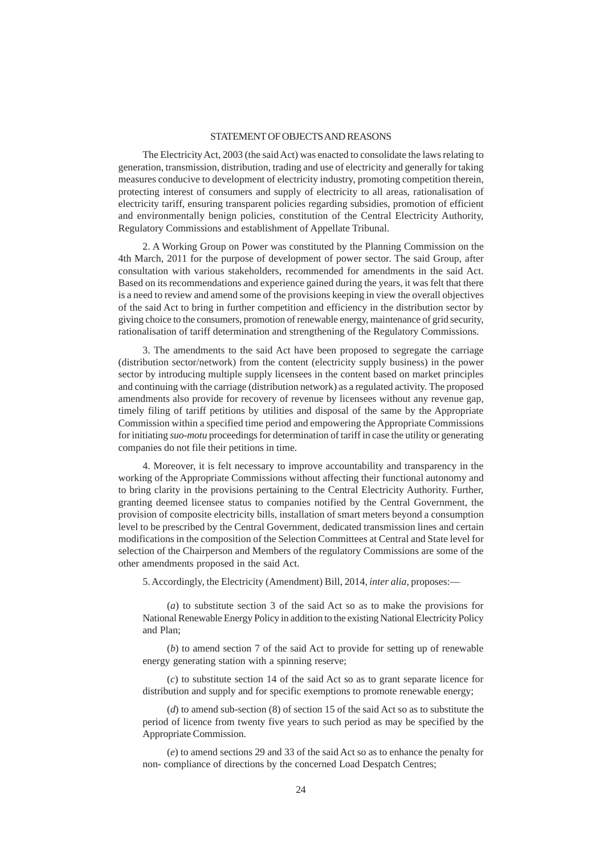#### STATEMENT OF OBJECTS AND REASONS

The Electricity Act, 2003 (the said Act) was enacted to consolidate the laws relating to generation, transmission, distribution, trading and use of electricity and generally for taking measures conducive to development of electricity industry, promoting competition therein, protecting interest of consumers and supply of electricity to all areas, rationalisation of electricity tariff, ensuring transparent policies regarding subsidies, promotion of efficient and environmentally benign policies, constitution of the Central Electricity Authority, Regulatory Commissions and establishment of Appellate Tribunal.

2. A Working Group on Power was constituted by the Planning Commission on the 4th March, 2011 for the purpose of development of power sector. The said Group, after consultation with various stakeholders, recommended for amendments in the said Act. Based on its recommendations and experience gained during the years, it was felt that there is a need to review and amend some of the provisions keeping in view the overall objectives of the said Act to bring in further competition and efficiency in the distribution sector by giving choice to the consumers, promotion of renewable energy, maintenance of grid security, rationalisation of tariff determination and strengthening of the Regulatory Commissions.

3. The amendments to the said Act have been proposed to segregate the carriage (distribution sector/network) from the content (electricity supply business) in the power sector by introducing multiple supply licensees in the content based on market principles and continuing with the carriage (distribution network) as a regulated activity. The proposed amendments also provide for recovery of revenue by licensees without any revenue gap, timely filing of tariff petitions by utilities and disposal of the same by the Appropriate Commission within a specified time period and empowering the Appropriate Commissions for initiating *suo-motu* proceedings for determination of tariff in case the utility or generating companies do not file their petitions in time.

4. Moreover, it is felt necessary to improve accountability and transparency in the working of the Appropriate Commissions without affecting their functional autonomy and to bring clarity in the provisions pertaining to the Central Electricity Authority. Further, granting deemed licensee status to companies notified by the Central Government, the provision of composite electricity bills, installation of smart meters beyond a consumption level to be prescribed by the Central Government, dedicated transmission lines and certain modifications in the composition of the Selection Committees at Central and State level for selection of the Chairperson and Members of the regulatory Commissions are some of the other amendments proposed in the said Act.

5. Accordingly, the Electricity (Amendment) Bill, 2014, *inter alia,* proposes:—

(*a*) to substitute section 3 of the said Act so as to make the provisions for National Renewable Energy Policy in addition to the existing National Electricity Policy and Plan;

(*b*) to amend section 7 of the said Act to provide for setting up of renewable energy generating station with a spinning reserve;

(*c*) to substitute section 14 of the said Act so as to grant separate licence for distribution and supply and for specific exemptions to promote renewable energy;

(*d*) to amend sub-section (8) of section 15 of the said Act so as to substitute the period of licence from twenty five years to such period as may be specified by the Appropriate Commission.

(*e*) to amend sections 29 and 33 of the said Act so as to enhance the penalty for non- compliance of directions by the concerned Load Despatch Centres;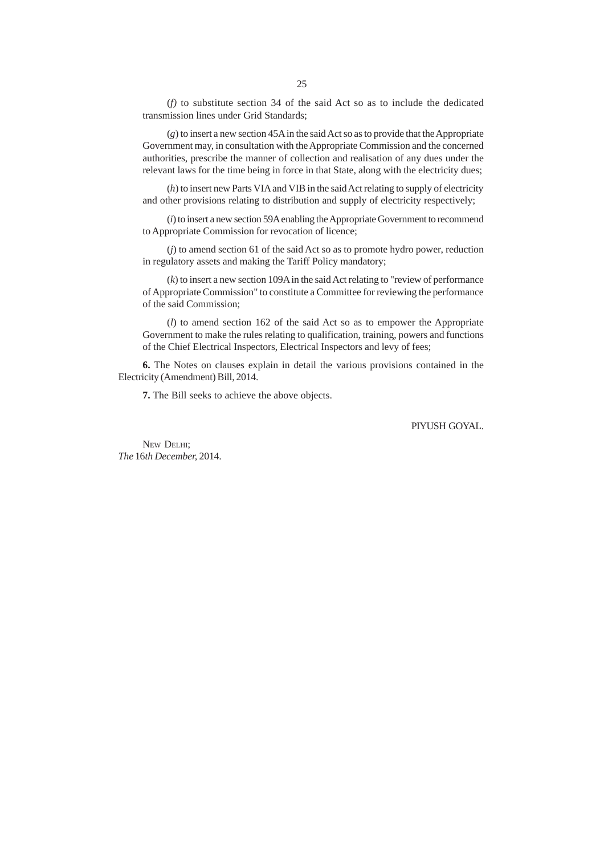(*f)* to substitute section 34 of the said Act so as to include the dedicated transmission lines under Grid Standards;

(*g*) to insert a new section 45A in the said Act so as to provide that the Appropriate Government may, in consultation with the Appropriate Commission and the concerned authorities, prescribe the manner of collection and realisation of any dues under the relevant laws for the time being in force in that State, along with the electricity dues;

(*h*) to insert new Parts VIA and VIB in the said Act relating to supply of electricity and other provisions relating to distribution and supply of electricity respectively;

(*i*) to insert a new section 59A enabling the Appropriate Government to recommend to Appropriate Commission for revocation of licence;

(*j*) to amend section 61 of the said Act so as to promote hydro power, reduction in regulatory assets and making the Tariff Policy mandatory;

(*k*) to insert a new section 109A in the said Act relating to "review of performance of Appropriate Commission" to constitute a Committee for reviewing the performance of the said Commission;

(*l*) to amend section 162 of the said Act so as to empower the Appropriate Government to make the rules relating to qualification, training, powers and functions of the Chief Electrical Inspectors, Electrical Inspectors and levy of fees;

**6.** The Notes on clauses explain in detail the various provisions contained in the Electricity (Amendment) Bill, 2014.

**7.** The Bill seeks to achieve the above objects.

PIYUSH GOYAL.

NEW DELHI: *The* 16*th December,* 2014.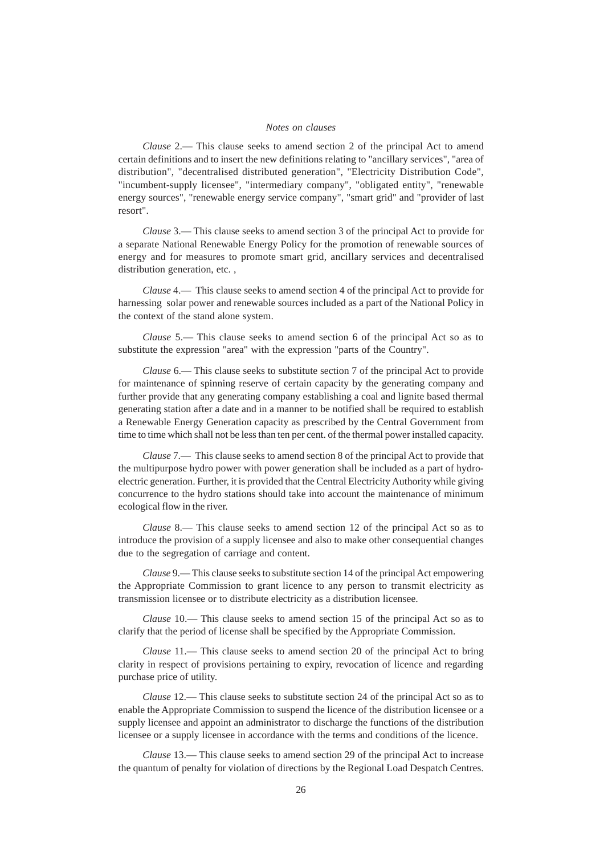#### *Notes on clauses*

*Clause* 2.— This clause seeks to amend section 2 of the principal Act to amend certain definitions and to insert the new definitions relating to "ancillary services", "area of distribution", "decentralised distributed generation", "Electricity Distribution Code", "incumbent-supply licensee", "intermediary company", "obligated entity", "renewable energy sources", "renewable energy service company", "smart grid" and "provider of last resort".

*Clause* 3.— This clause seeks to amend section 3 of the principal Act to provide for a separate National Renewable Energy Policy for the promotion of renewable sources of energy and for measures to promote smart grid, ancillary services and decentralised distribution generation, etc. ,

*Clause* 4.— This clause seeks to amend section 4 of the principal Act to provide for harnessing solar power and renewable sources included as a part of the National Policy in the context of the stand alone system.

*Clause* 5.— This clause seeks to amend section 6 of the principal Act so as to substitute the expression "area" with the expression "parts of the Country".

*Clause* 6.— This clause seeks to substitute section 7 of the principal Act to provide for maintenance of spinning reserve of certain capacity by the generating company and further provide that any generating company establishing a coal and lignite based thermal generating station after a date and in a manner to be notified shall be required to establish a Renewable Energy Generation capacity as prescribed by the Central Government from time to time which shall not be less than ten per cent. of the thermal power installed capacity.

*Clause* 7.— This clause seeks to amend section 8 of the principal Act to provide that the multipurpose hydro power with power generation shall be included as a part of hydroelectric generation. Further, it is provided that the Central Electricity Authority while giving concurrence to the hydro stations should take into account the maintenance of minimum ecological flow in the river.

*Clause* 8.— This clause seeks to amend section 12 of the principal Act so as to introduce the provision of a supply licensee and also to make other consequential changes due to the segregation of carriage and content.

*Clause* 9.— This clause seeks to substitute section 14 of the principal Act empowering the Appropriate Commission to grant licence to any person to transmit electricity as transmission licensee or to distribute electricity as a distribution licensee.

*Clause* 10.— This clause seeks to amend section 15 of the principal Act so as to clarify that the period of license shall be specified by the Appropriate Commission.

*Clause* 11.— This clause seeks to amend section 20 of the principal Act to bring clarity in respect of provisions pertaining to expiry, revocation of licence and regarding purchase price of utility.

*Clause* 12.— This clause seeks to substitute section 24 of the principal Act so as to enable the Appropriate Commission to suspend the licence of the distribution licensee or a supply licensee and appoint an administrator to discharge the functions of the distribution licensee or a supply licensee in accordance with the terms and conditions of the licence.

*Clause* 13.— This clause seeks to amend section 29 of the principal Act to increase the quantum of penalty for violation of directions by the Regional Load Despatch Centres.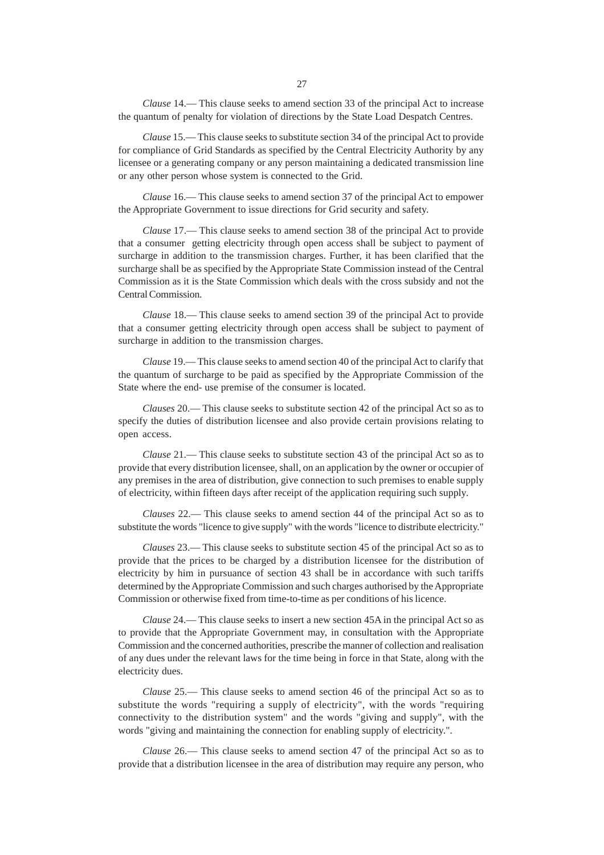*Clause* 15.— This clause seeks to substitute section 34 of the principal Act to provide for compliance of Grid Standards as specified by the Central Electricity Authority by any licensee or a generating company or any person maintaining a dedicated transmission line or any other person whose system is connected to the Grid.

*Clause* 16.— This clause seeks to amend section 37 of the principal Act to empower the Appropriate Government to issue directions for Grid security and safety.

*Clause* 17.— This clause seeks to amend section 38 of the principal Act to provide that a consumer getting electricity through open access shall be subject to payment of surcharge in addition to the transmission charges. Further, it has been clarified that the surcharge shall be as specified by the Appropriate State Commission instead of the Central Commission as it is the State Commission which deals with the cross subsidy and not the Central Commission.

*Clause* 18.— This clause seeks to amend section 39 of the principal Act to provide that a consumer getting electricity through open access shall be subject to payment of surcharge in addition to the transmission charges.

*Clause* 19.— This clause seeks to amend section 40 of the principal Act to clarify that the quantum of surcharge to be paid as specified by the Appropriate Commission of the State where the end- use premise of the consumer is located.

*Clauses* 20.— This clause seeks to substitute section 42 of the principal Act so as to specify the duties of distribution licensee and also provide certain provisions relating to open access.

*Clause* 21.— This clause seeks to substitute section 43 of the principal Act so as to provide that every distribution licensee, shall, on an application by the owner or occupier of any premises in the area of distribution, give connection to such premises to enable supply of electricity, within fifteen days after receipt of the application requiring such supply.

*Clauses* 22.— This clause seeks to amend section 44 of the principal Act so as to substitute the words "licence to give supply" with the words "licence to distribute electricity."

*Clauses* 23.— This clause seeks to substitute section 45 of the principal Act so as to provide that the prices to be charged by a distribution licensee for the distribution of electricity by him in pursuance of section 43 shall be in accordance with such tariffs determined by the Appropriate Commission and such charges authorised by the Appropriate Commission or otherwise fixed from time-to-time as per conditions of his licence.

*Clause* 24.— This clause seeks to insert a new section 45A in the principal Act so as to provide that the Appropriate Government may, in consultation with the Appropriate Commission and the concerned authorities, prescribe the manner of collection and realisation of any dues under the relevant laws for the time being in force in that State, along with the electricity dues.

*Clause* 25.— This clause seeks to amend section 46 of the principal Act so as to substitute the words "requiring a supply of electricity", with the words "requiring connectivity to the distribution system" and the words "giving and supply", with the words "giving and maintaining the connection for enabling supply of electricity.".

*Clause* 26.— This clause seeks to amend section 47 of the principal Act so as to provide that a distribution licensee in the area of distribution may require any person, who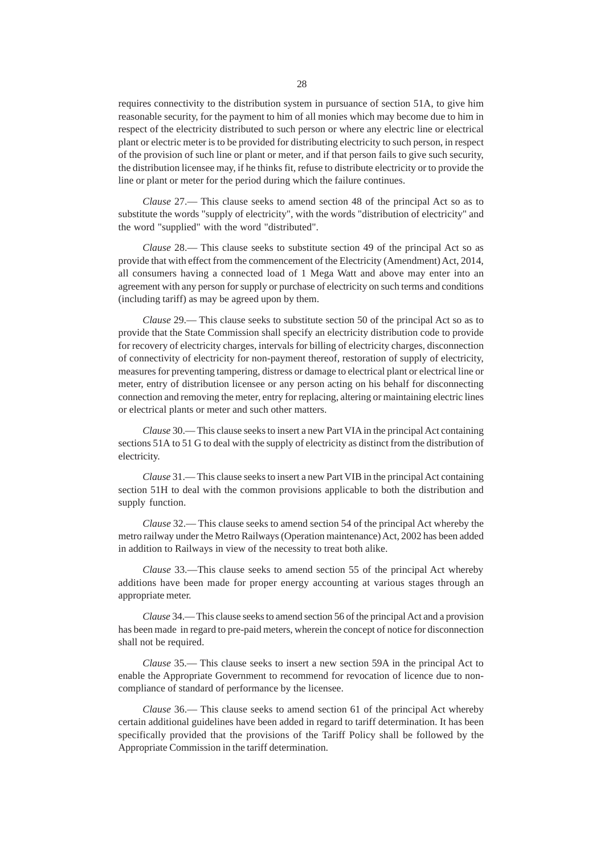requires connectivity to the distribution system in pursuance of section 51A, to give him reasonable security, for the payment to him of all monies which may become due to him in respect of the electricity distributed to such person or where any electric line or electrical plant or electric meter is to be provided for distributing electricity to such person, in respect of the provision of such line or plant or meter, and if that person fails to give such security, the distribution licensee may, if he thinks fit, refuse to distribute electricity or to provide the line or plant or meter for the period during which the failure continues.

*Clause* 27.— This clause seeks to amend section 48 of the principal Act so as to substitute the words "supply of electricity", with the words "distribution of electricity" and the word "supplied" with the word "distributed".

*Clause* 28.— This clause seeks to substitute section 49 of the principal Act so as provide that with effect from the commencement of the Electricity (Amendment) Act, 2014, all consumers having a connected load of 1 Mega Watt and above may enter into an agreement with any person for supply or purchase of electricity on such terms and conditions (including tariff) as may be agreed upon by them.

*Clause* 29.— This clause seeks to substitute section 50 of the principal Act so as to provide that the State Commission shall specify an electricity distribution code to provide for recovery of electricity charges, intervals for billing of electricity charges, disconnection of connectivity of electricity for non-payment thereof, restoration of supply of electricity, measures for preventing tampering, distress or damage to electrical plant or electrical line or meter, entry of distribution licensee or any person acting on his behalf for disconnecting connection and removing the meter, entry for replacing, altering or maintaining electric lines or electrical plants or meter and such other matters.

*Clause* 30.— This clause seeks to insert a new Part VIA in the principal Act containing sections 51A to 51 G to deal with the supply of electricity as distinct from the distribution of electricity.

*Clause* 31.— This clause seeks to insert a new Part VIB in the principal Act containing section 51H to deal with the common provisions applicable to both the distribution and supply function.

*Clause* 32.— This clause seeks to amend section 54 of the principal Act whereby the metro railway under the Metro Railways (Operation maintenance) Act, 2002 has been added in addition to Railways in view of the necessity to treat both alike.

*Clause* 33.—This clause seeks to amend section 55 of the principal Act whereby additions have been made for proper energy accounting at various stages through an appropriate meter.

*Clause* 34.— This clause seeks to amend section 56 of the principal Act and a provision has been made in regard to pre-paid meters, wherein the concept of notice for disconnection shall not be required.

*Clause* 35.— This clause seeks to insert a new section 59A in the principal Act to enable the Appropriate Government to recommend for revocation of licence due to noncompliance of standard of performance by the licensee.

*Clause* 36.— This clause seeks to amend section 61 of the principal Act whereby certain additional guidelines have been added in regard to tariff determination. It has been specifically provided that the provisions of the Tariff Policy shall be followed by the Appropriate Commission in the tariff determination.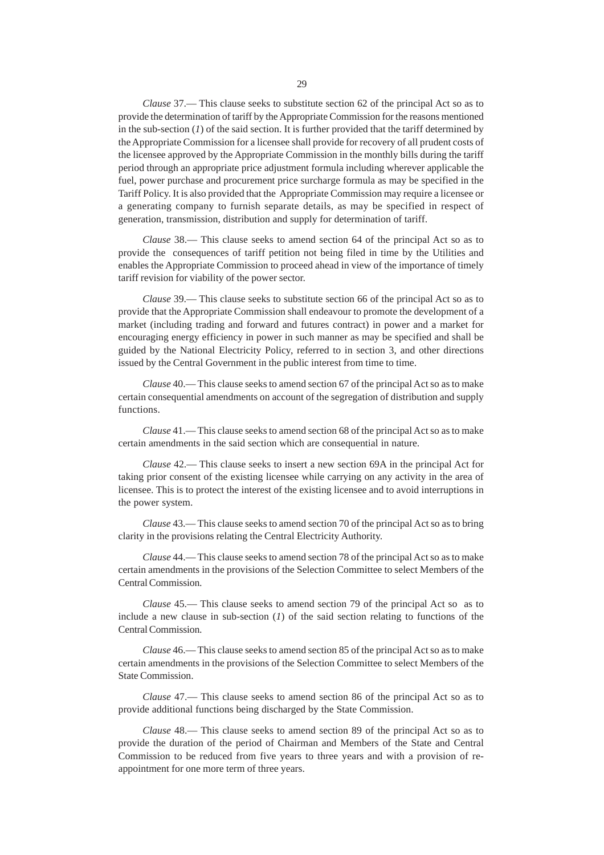*Clause* 37.— This clause seeks to substitute section 62 of the principal Act so as to provide the determination of tariff by the Appropriate Commission for the reasons mentioned in the sub-section  $(I)$  of the said section. It is further provided that the tariff determined by the Appropriate Commission for a licensee shall provide for recovery of all prudent costs of the licensee approved by the Appropriate Commission in the monthly bills during the tariff period through an appropriate price adjustment formula including wherever applicable the fuel, power purchase and procurement price surcharge formula as may be specified in the Tariff Policy. It is also provided that the Appropriate Commission may require a licensee or a generating company to furnish separate details, as may be specified in respect of generation, transmission, distribution and supply for determination of tariff.

*Clause* 38.— This clause seeks to amend section 64 of the principal Act so as to provide the consequences of tariff petition not being filed in time by the Utilities and enables the Appropriate Commission to proceed ahead in view of the importance of timely tariff revision for viability of the power sector.

*Clause* 39.— This clause seeks to substitute section 66 of the principal Act so as to provide that the Appropriate Commission shall endeavour to promote the development of a market (including trading and forward and futures contract) in power and a market for encouraging energy efficiency in power in such manner as may be specified and shall be guided by the National Electricity Policy, referred to in section 3, and other directions issued by the Central Government in the public interest from time to time.

*Clause* 40.— This clause seeks to amend section 67 of the principal Act so as to make certain consequential amendments on account of the segregation of distribution and supply functions.

*Clause* 41.— This clause seeks to amend section 68 of the principal Act so as to make certain amendments in the said section which are consequential in nature.

*Clause* 42.— This clause seeks to insert a new section 69A in the principal Act for taking prior consent of the existing licensee while carrying on any activity in the area of licensee. This is to protect the interest of the existing licensee and to avoid interruptions in the power system.

*Clause* 43.— This clause seeks to amend section 70 of the principal Act so as to bring clarity in the provisions relating the Central Electricity Authority.

*Clause* 44.— This clause seeks to amend section 78 of the principal Act so as to make certain amendments in the provisions of the Selection Committee to select Members of the Central Commission.

*Clause* 45.— This clause seeks to amend section 79 of the principal Act so as to include a new clause in sub-section (*1*) of the said section relating to functions of the Central Commission.

*Clause* 46.— This clause seeks to amend section 85 of the principal Act so as to make certain amendments in the provisions of the Selection Committee to select Members of the State Commission.

*Clause* 47.— This clause seeks to amend section 86 of the principal Act so as to provide additional functions being discharged by the State Commission.

*Clause* 48.— This clause seeks to amend section 89 of the principal Act so as to provide the duration of the period of Chairman and Members of the State and Central Commission to be reduced from five years to three years and with a provision of reappointment for one more term of three years.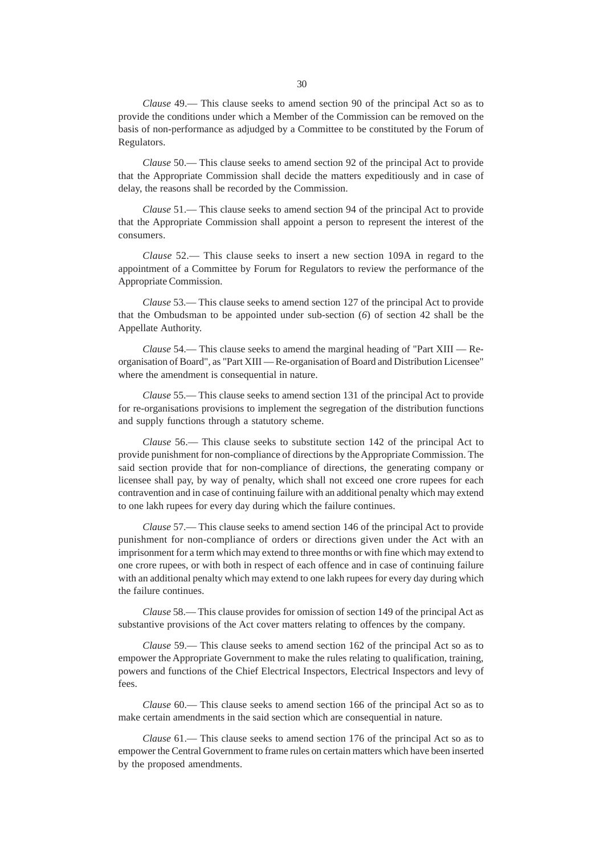*Clause* 49.— This clause seeks to amend section 90 of the principal Act so as to provide the conditions under which a Member of the Commission can be removed on the basis of non-performance as adjudged by a Committee to be constituted by the Forum of Regulators.

*Clause* 50.— This clause seeks to amend section 92 of the principal Act to provide that the Appropriate Commission shall decide the matters expeditiously and in case of delay, the reasons shall be recorded by the Commission.

*Clause* 51.— This clause seeks to amend section 94 of the principal Act to provide that the Appropriate Commission shall appoint a person to represent the interest of the consumers.

*Clause* 52.— This clause seeks to insert a new section 109A in regard to the appointment of a Committee by Forum for Regulators to review the performance of the Appropriate Commission.

*Clause* 53.— This clause seeks to amend section 127 of the principal Act to provide that the Ombudsman to be appointed under sub-section (*6*) of section 42 shall be the Appellate Authority.

*Clause* 54.— This clause seeks to amend the marginal heading of "Part XIII — Reorganisation of Board", as "Part XIII — Re-organisation of Board and Distribution Licensee" where the amendment is consequential in nature.

*Clause* 55.— This clause seeks to amend section 131 of the principal Act to provide for re-organisations provisions to implement the segregation of the distribution functions and supply functions through a statutory scheme.

*Clause* 56.— This clause seeks to substitute section 142 of the principal Act to provide punishment for non-compliance of directions by the Appropriate Commission. The said section provide that for non-compliance of directions, the generating company or licensee shall pay, by way of penalty, which shall not exceed one crore rupees for each contravention and in case of continuing failure with an additional penalty which may extend to one lakh rupees for every day during which the failure continues.

*Clause* 57.— This clause seeks to amend section 146 of the principal Act to provide punishment for non-compliance of orders or directions given under the Act with an imprisonment for a term which may extend to three months or with fine which may extend to one crore rupees, or with both in respect of each offence and in case of continuing failure with an additional penalty which may extend to one lakh rupees for every day during which the failure continues.

*Clause* 58.— This clause provides for omission of section 149 of the principal Act as substantive provisions of the Act cover matters relating to offences by the company.

*Clause* 59.— This clause seeks to amend section 162 of the principal Act so as to empower the Appropriate Government to make the rules relating to qualification, training, powers and functions of the Chief Electrical Inspectors, Electrical Inspectors and levy of fees.

*Clause* 60.— This clause seeks to amend section 166 of the principal Act so as to make certain amendments in the said section which are consequential in nature.

*Clause* 61.— This clause seeks to amend section 176 of the principal Act so as to empower the Central Government to frame rules on certain matters which have been inserted by the proposed amendments.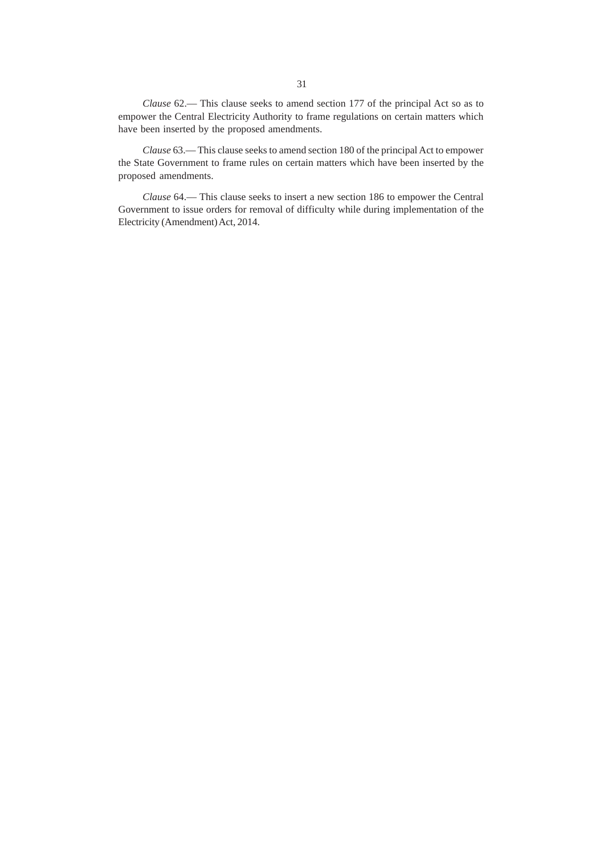*Clause* 62.— This clause seeks to amend section 177 of the principal Act so as to empower the Central Electricity Authority to frame regulations on certain matters which have been inserted by the proposed amendments.

*Clause* 63.— This clause seeks to amend section 180 of the principal Act to empower the State Government to frame rules on certain matters which have been inserted by the proposed amendments.

*Clause* 64.— This clause seeks to insert a new section 186 to empower the Central Government to issue orders for removal of difficulty while during implementation of the Electricity (Amendment) Act, 2014.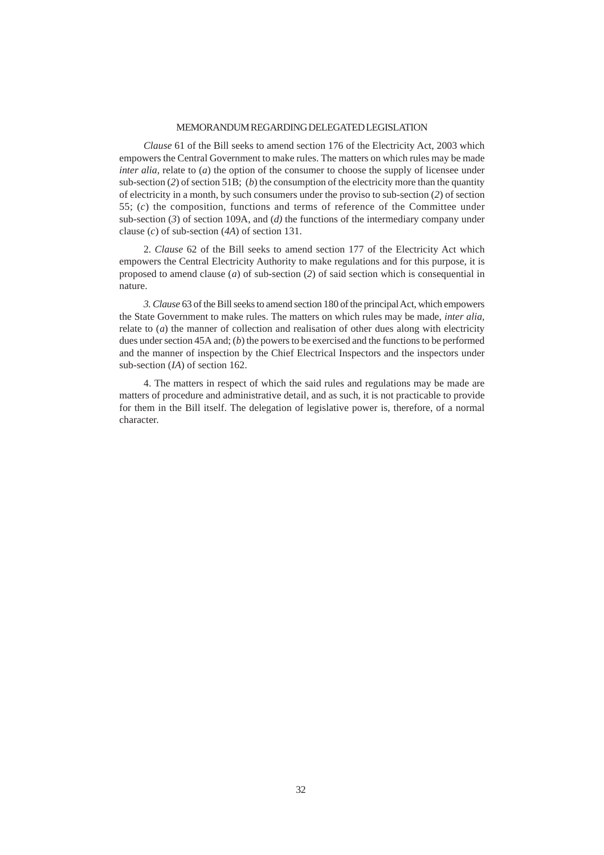### MEMORANDUM REGARDING DELEGATED LEGISLATION

*Clause* 61 of the Bill seeks to amend section 176 of the Electricity Act, 2003 which empowers the Central Government to make rules. The matters on which rules may be made *inter alia,* relate to (*a*) the option of the consumer to choose the supply of licensee under sub-section (*2*) of section 51B; (*b*) the consumption of the electricity more than the quantity of electricity in a month, by such consumers under the proviso to sub-section (*2*) of section 55; (*c*) the composition, functions and terms of reference of the Committee under sub-section (*3*) of section 109A, and (*d)* the functions of the intermediary company under clause (*c*) of sub-section (*4A*) of section 131.

2. *Clause* 62 of the Bill seeks to amend section 177 of the Electricity Act which empowers the Central Electricity Authority to make regulations and for this purpose, it is proposed to amend clause (*a*) of sub-section (*2*) of said section which is consequential in nature.

*3. Clause* 63 of the Bill seeks to amend section 180 of the principal Act, which empowers the State Government to make rules. The matters on which rules may be made, *inter alia,* relate to (*a*) the manner of collection and realisation of other dues along with electricity dues under section 45A and; (*b*) the powers to be exercised and the functions to be performed and the manner of inspection by the Chief Electrical Inspectors and the inspectors under sub-section (*IA*) of section 162.

4. The matters in respect of which the said rules and regulations may be made are matters of procedure and administrative detail, and as such, it is not practicable to provide for them in the Bill itself. The delegation of legislative power is, therefore, of a normal character.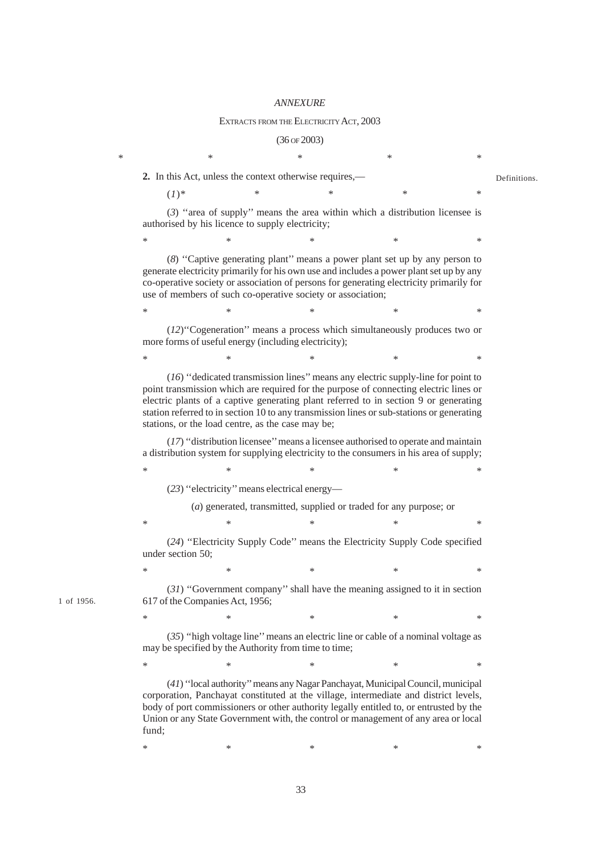#### *ANNEXURE*

#### EXTRACTS FROM THE ELECTRICITY ACT, 2003

#### (36 OF 2003)

 $*$  \*  $*$  \*  $*$  \*  $*$  \* **2.** In this Act, unless the context otherwise requires,— (*1*)\* \* \* \* \* (*3*) ''area of supply'' means the area within which a distribution licensee is authorised by his licence to supply electricity;  $\begin{matrix} * & * & * \ * & * & * \end{matrix}$ (*8*) ''Captive generating plant'' means a power plant set up by any person to generate electricity primarily for his own use and includes a power plant set up by any co-operative society or association of persons for generating electricity primarily for use of members of such co-operative society or association;  $*$  \*  $*$  \*  $*$  \*  $*$  \* (*12*)''Cogeneration'' means a process which simultaneously produces two or more forms of useful energy (including electricity);  $*$  \*  $*$  \*  $*$  \*  $*$ (*16*) ''dedicated transmission lines'' means any electric supply-line for point to point transmission which are required for the purpose of connecting electric lines or electric plants of a captive generating plant referred to in section 9 or generating station referred to in section 10 to any transmission lines or sub-stations or generating stations, or the load centre, as the case may be; (*17*) ''distribution licensee'' means a licensee authorised to operate and maintain a distribution system for supplying electricity to the consumers in his area of supply;  $*$  \*  $*$  \*  $*$  \*  $*$ (*23*) ''electricity'' means electrical energy— (*a*) generated, transmitted, supplied or traded for any purpose; or  $*$  \*  $*$  \*  $*$  \*  $*$ (*24*) ''Electricity Supply Code'' means the Electricity Supply Code specified under section 50;  $*$  \*  $*$  \*  $*$  \*  $*$ (*31*) ''Government company'' shall have the meaning assigned to it in section 617 of the Companies Act, 1956;  $*$  \*  $*$  \*  $*$  \*  $*$  \* (*35*) ''high voltage line'' means an electric line or cable of a nominal voltage as may be specified by the Authority from time to time;  $*$  \*  $*$  \*  $*$  \*  $*$ (*41*) ''local authority'' means any Nagar Panchayat, Municipal Council, municipal corporation, Panchayat constituted at the village, intermediate and district levels, body of port commissioners or other authority legally entitled to, or entrusted by the Union or any State Government with, the control or management of any area or local fund; **Definitions** 

 $\begin{matrix} * & * & * \ * & * & * \end{matrix}$ 

1 of 1956.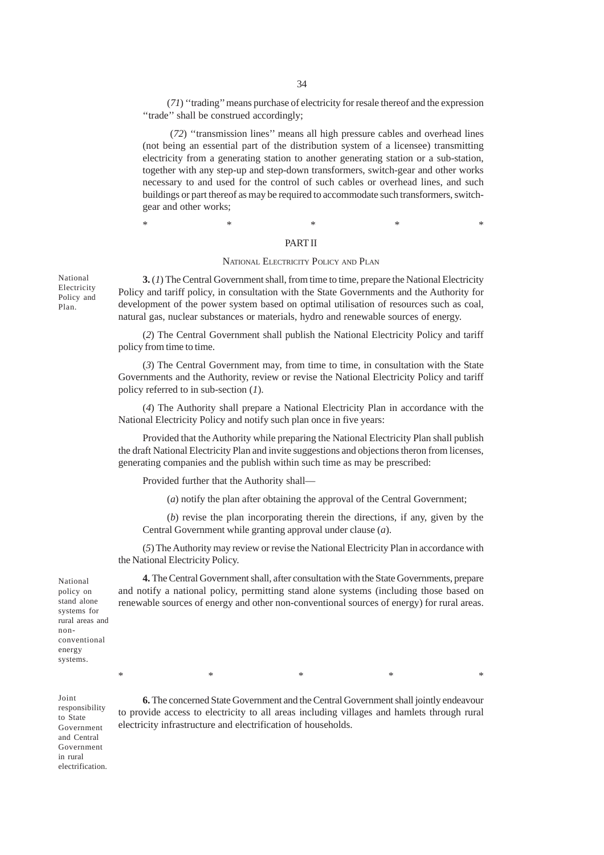(*71*) ''trading'' means purchase of electricity for resale thereof and the expression "trade" shall be construed accordingly;

 (*72*) ''transmission lines'' means all high pressure cables and overhead lines (not being an essential part of the distribution system of a licensee) transmitting electricity from a generating station to another generating station or a sub-station, together with any step-up and step-down transformers, switch-gear and other works necessary to and used for the control of such cables or overhead lines, and such buildings or part thereof as may be required to accommodate such transformers, switchgear and other works;

\* \* \* \* \* \* \* \* \*

#### PART II

#### NATIONAL ELECTRICITY POLICY AND PLAN

**3.** (*1*) The Central Government shall, from time to time, prepare the National Electricity Policy and tariff policy, in consultation with the State Governments and the Authority for development of the power system based on optimal utilisation of resources such as coal, natural gas, nuclear substances or materials, hydro and renewable sources of energy.

(*2*) The Central Government shall publish the National Electricity Policy and tariff policy from time to time.

(*3*) The Central Government may, from time to time, in consultation with the State Governments and the Authority, review or revise the National Electricity Policy and tariff policy referred to in sub-section (*1*).

(*4*) The Authority shall prepare a National Electricity Plan in accordance with the National Electricity Policy and notify such plan once in five years:

Provided that the Authority while preparing the National Electricity Plan shall publish the draft National Electricity Plan and invite suggestions and objections theron from licenses, generating companies and the publish within such time as may be prescribed:

Provided further that the Authority shall—

(*a*) notify the plan after obtaining the approval of the Central Government;

(*b*) revise the plan incorporating therein the directions, if any, given by the Central Government while granting approval under clause (*a*).

(*5*) The Authority may review or revise the National Electricity Plan in accordance with the National Electricity Policy.

**4.** The Central Government shall, after consultation with the State Governments, prepare and notify a national policy, permitting stand alone systems (including those based on renewable sources of energy and other non-conventional sources of energy) for rural areas.

National policy on stand alone systems for rural areas and nonconventional energy systems.

> **6.** The concerned State Government and the Central Government shall jointly endeavour to provide access to electricity to all areas including villages and hamlets through rural electricity infrastructure and electrification of households.

> $*$  \*  $*$  \*  $*$  \*  $*$  \*

National Electricity Policy and Plan.

Joint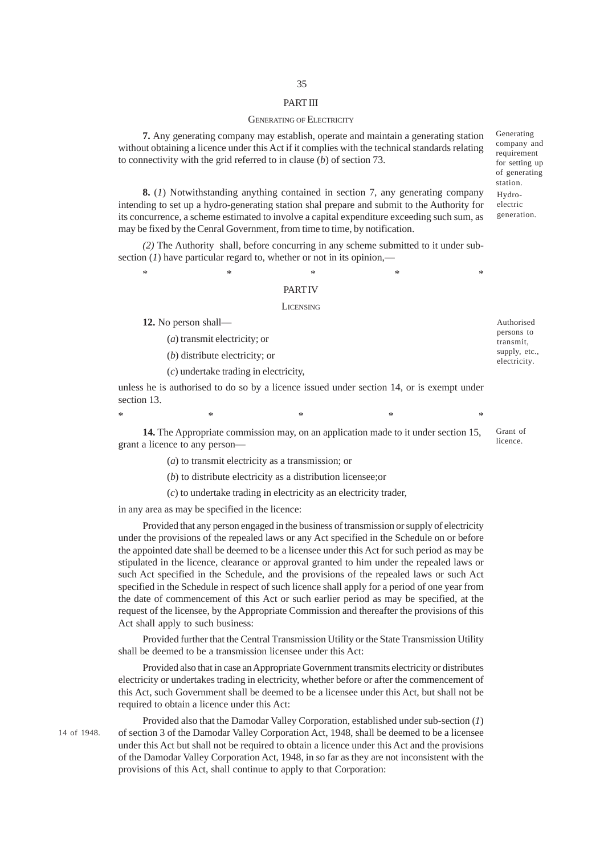### PART III

#### GENERATING OF ELECTRICITY

**7.** Any generating company may establish, operate and maintain a generating station without obtaining a licence under this Act if it complies with the technical standards relating to connectivity with the grid referred to in clause (*b*) of section 73.

**8.** (*1*) Notwithstanding anything contained in section 7, any generating company intending to set up a hydro-generating station shal prepare and submit to the Authority for its concurrence, a scheme estimated to involve a capital expenditure exceeding such sum, as may be fixed by the Cenral Government, from time to time, by notification.

*(2)* The Authority shall, before concurring in any scheme submitted to it under subsection  $(I)$  have particular regard to, whether or not in its opinion,—

\* \* \* \* \* \* \* \* \*

### **PART IV**

#### **LICENSING**

**12.** No person shall—

(*a*) transmit electricity; or

(*b*) distribute electricity; or

(*c*) undertake trading in electricity,

unless he is authorised to do so by a licence issued under section 14, or is exempt under section 13.

 $*$  \*  $*$  \*  $*$  \*  $*$  \*

**14.** The Appropriate commission may, on an application made to it under section 15, grant a licence to any person—

(*a*) to transmit electricity as a transmission; or

(*b*) to distribute electricity as a distribution licensee;or

(*c*) to undertake trading in electricity as an electricity trader,

in any area as may be specified in the licence:

Provided that any person engaged in the business of transmission or supply of electricity under the provisions of the repealed laws or any Act specified in the Schedule on or before the appointed date shall be deemed to be a licensee under this Act for such period as may be stipulated in the licence, clearance or approval granted to him under the repealed laws or such Act specified in the Schedule, and the provisions of the repealed laws or such Act specified in the Schedule in respect of such licence shall apply for a period of one year from the date of commencement of this Act or such earlier period as may be specified, at the request of the licensee, by the Appropriate Commission and thereafter the provisions of this Act shall apply to such business:

Provided further that the Central Transmission Utility or the State Transmission Utility shall be deemed to be a transmission licensee under this Act:

Provided also that in case an Appropriate Government transmits electricity or distributes electricity or undertakes trading in electricity, whether before or after the commencement of this Act, such Government shall be deemed to be a licensee under this Act, but shall not be required to obtain a licence under this Act:

14 of 1948.

Provided also that the Damodar Valley Corporation, established under sub-section (*1*) of section 3 of the Damodar Valley Corporation Act, 1948, shall be deemed to be a licensee under this Act but shall not be required to obtain a licence under this Act and the provisions of the Damodar Valley Corporation Act, 1948, in so far as they are not inconsistent with the provisions of this Act, shall continue to apply to that Corporation:

Generating company and requirement for setting up of generating station. Hydro-

electric generation.

Grant of licence.

Authorised persons to transmit, supply, etc., electricity.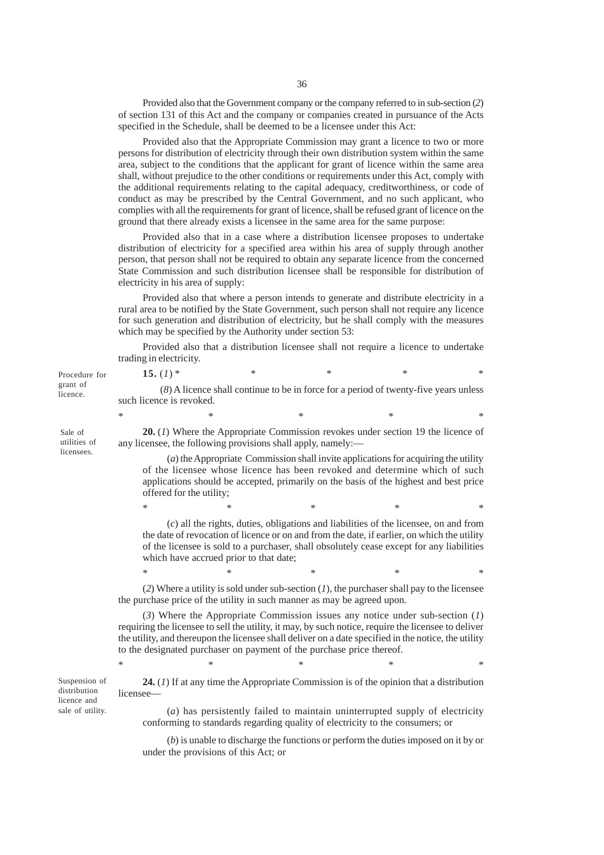Provided also that the Government company or the company referred to in sub-section (*2*) of section 131 of this Act and the company or companies created in pursuance of the Acts specified in the Schedule, shall be deemed to be a licensee under this Act:

Provided also that the Appropriate Commission may grant a licence to two or more persons for distribution of electricity through their own distribution system within the same area, subject to the conditions that the applicant for grant of licence within the same area shall, without prejudice to the other conditions or requirements under this Act, comply with the additional requirements relating to the capital adequacy, creditworthiness, or code of conduct as may be prescribed by the Central Government, and no such applicant, who complies with all the requirements for grant of licence, shall be refused grant of licence on the ground that there already exists a licensee in the same area for the same purpose:

Provided also that in a case where a distribution licensee proposes to undertake distribution of electricity for a specified area within his area of supply through another person, that person shall not be required to obtain any separate licence from the concerned State Commission and such distribution licensee shall be responsible for distribution of electricity in his area of supply:

Provided also that where a person intends to generate and distribute electricity in a rural area to be notified by the State Government, such person shall not require any licence for such generation and distribution of electricity, but he shall comply with the measures which may be specified by the Authority under section 53:

Provided also that a distribution licensee shall not require a licence to undertake trading in electricity.

**15.** (*1*) \* \* \* \* \* \* (*8*) A licence shall continue to be in force for a period of twenty-five years unless such licence is revoked.

 $*$  and  $*$  and  $*$  and  $*$  and  $*$ **20.** (*1*) Where the Appropriate Commission revokes under section 19 the licence of any licensee, the following provisions shall apply, namely:—

(*a*) the Appropriate Commission shall invite applications for acquiring the utility of the licensee whose licence has been revoked and determine which of such applications should be accepted, primarily on the basis of the highest and best price offered for the utility;

(*c*) all the rights, duties, obligations and liabilities of the licensee, on and from the date of revocation of licence or on and from the date, if earlier, on which the utility of the licensee is sold to a purchaser, shall obsolutely cease except for any liabilities which have accrued prior to that date;

\* \* \* \* \* \* \* \* \*

\* \* \* \* \* \* \* \* \*

(*2*) Where a utility is sold under sub-section (*1*), the purchaser shall pay to the licensee the purchase price of the utility in such manner as may be agreed upon.

(*3*) Where the Appropriate Commission issues any notice under sub-section (*1*) requiring the licensee to sell the utility, it may, by such notice, require the licensee to deliver the utility, and thereupon the licensee shall deliver on a date specified in the notice, the utility to the designated purchaser on payment of the purchase price thereof.

 $*$  and  $*$  and  $*$  and  $*$  and  $*$ 

Suspension of distribution licence and sale of utility.

**24.** (*1*) If at any time the Appropriate Commission is of the opinion that a distribution licensee

(*a*) has persistently failed to maintain uninterrupted supply of electricity conforming to standards regarding quality of electricity to the consumers; or

(*b*) is unable to discharge the functions or perform the duties imposed on it by or under the provisions of this Act; or

Procedure for grant of licence.

Sale of utilities of licensees.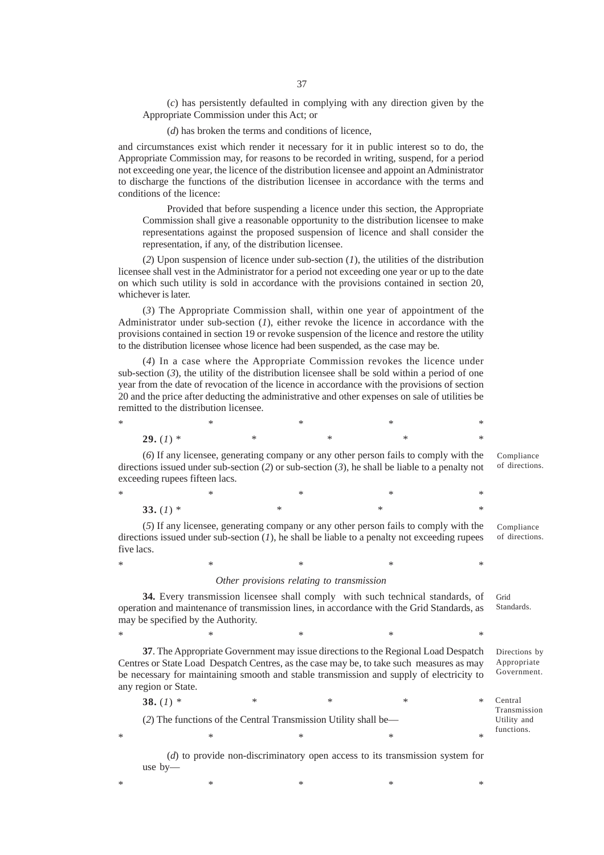(*c*) has persistently defaulted in complying with any direction given by the Appropriate Commission under this Act; or

(*d*) has broken the terms and conditions of licence,

and circumstances exist which render it necessary for it in public interest so to do, the Appropriate Commission may, for reasons to be recorded in writing, suspend, for a period not exceeding one year, the licence of the distribution licensee and appoint an Administrator to discharge the functions of the distribution licensee in accordance with the terms and conditions of the licence:

Provided that before suspending a licence under this section, the Appropriate Commission shall give a reasonable opportunity to the distribution licensee to make representations against the proposed suspension of licence and shall consider the representation, if any, of the distribution licensee.

(*2*) Upon suspension of licence under sub-section (*1*), the utilities of the distribution licensee shall vest in the Administrator for a period not exceeding one year or up to the date on which such utility is sold in accordance with the provisions contained in section 20, whichever is later.

(*3*) The Appropriate Commission shall, within one year of appointment of the Administrator under sub-section (*1*), either revoke the licence in accordance with the provisions contained in section 19 or revoke suspension of the licence and restore the utility to the distribution licensee whose licence had been suspended, as the case may be.

(*4*) In a case where the Appropriate Commission revokes the licence under sub-section (*3*), the utility of the distribution licensee shall be sold within a period of one year from the date of revocation of the licence in accordance with the provisions of section 20 and the price after deducting the administrative and other expenses on sale of utilities be remitted to the distribution licensee.

 $*$  \*  $*$  \*  $*$  \*  $*$  \* **29.** (*1*) \* \* \* \* \* \* \*

(*6*) If any licensee, generating company or any other person fails to comply with the directions issued under sub-section (*2*) or sub-section (*3*), he shall be liable to a penalty not exceeding rupees fifteen lacs. Compliance

of directions.

Compliance of directions.

Directions by Appropriate Government.

 $*$  \*  $*$  \*  $*$  \*  $*$  \* **33.** (*1*) \* \* \* \* \* \*

(*5*) If any licensee, generating company or any other person fails to comply with the directions issued under sub-section (*1*), he shall be liable to a penalty not exceeding rupees five lacs.

### $*$  \*  $*$  \*  $*$  \*  $*$  \* *Other provisions relating to transmission*

**34.** Every transmission licensee shall comply with such technical standards, of operation and maintenance of transmission lines, in accordance with the Grid Standards, as may be specified by the Authority. Grid Standards.

**37**. The Appropriate Government may issue directions to the Regional Load Despatch Centres or State Load Despatch Centres, as the case may be, to take such measures as may be necessary for maintaining smooth and stable transmission and supply of electricity to any region or State.

 $*$  \*  $*$  \*  $*$  \*  $*$  \*

**38.** (1) \* \* \* \* \* \* \* (*2*) The functions of the Central Transmission Utility shall be—  $*$  \*  $*$  \*  $*$  \*  $*$  \* Central Transmission Utility and functions.

(*d*) to provide non-discriminatory open access to its transmission system for use by—

 $*$  \*  $*$  \*  $*$  \*  $*$  \*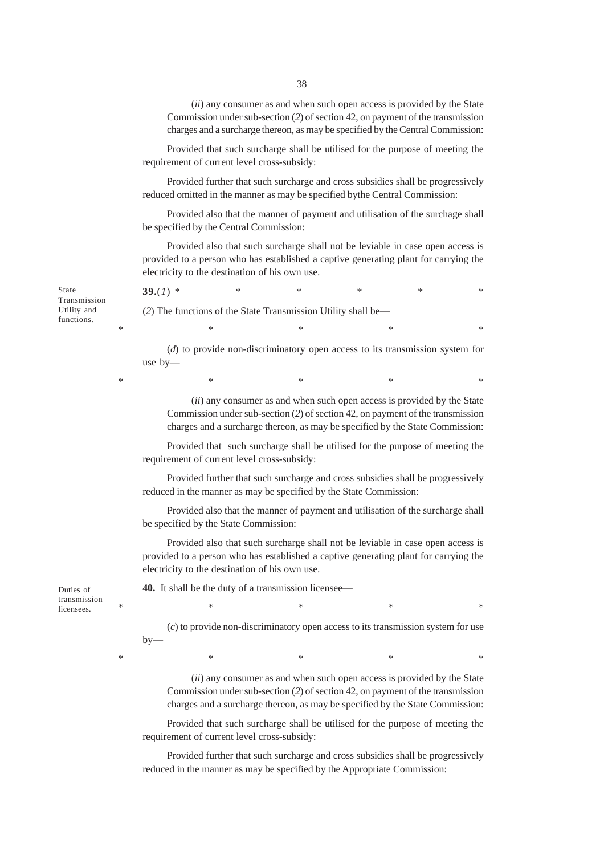(*ii*) any consumer as and when such open access is provided by the State Commission under sub-section (*2*) of section 42, on payment of the transmission charges and a surcharge thereon, as may be specified by the Central Commission:

Provided that such surcharge shall be utilised for the purpose of meeting the requirement of current level cross-subsidy:

Provided further that such surcharge and cross subsidies shall be progressively reduced omitted in the manner as may be specified bythe Central Commission:

Provided also that the manner of payment and utilisation of the surchage shall be specified by the Central Commission:

Provided also that such surcharge shall not be leviable in case open access is provided to a person who has established a captive generating plant for carrying the electricity to the destination of his own use.

**39.**(*1*) \* \* \* \* \* \* \* (*2*) The functions of the State Transmission Utility shall be—  $*$  \*  $*$  \*  $*$  \*  $*$  \* (*d*) to provide non-discriminatory open access to its transmission system for use by—

 $*$  \*  $*$  \*  $*$  \*  $*$  \*

(*ii*) any consumer as and when such open access is provided by the State Commission under sub-section (*2*) of section 42, on payment of the transmission charges and a surcharge thereon, as may be specified by the State Commission:

Provided that such surcharge shall be utilised for the purpose of meeting the requirement of current level cross-subsidy:

Provided further that such surcharge and cross subsidies shall be progressively reduced in the manner as may be specified by the State Commission:

Provided also that the manner of payment and utilisation of the surcharge shall be specified by the State Commission:

Provided also that such surcharge shall not be leviable in case open access is provided to a person who has established a captive generating plant for carrying the electricity to the destination of his own use.

 $*$  \*  $*$  \*  $*$  \*  $*$  \*

**40.** It shall be the duty of a transmission licensee—

(*c*) to provide non-discriminatory open access to its transmission system for use  $by-$ 

(*ii*) any consumer as and when such open access is provided by the State Commission under sub-section (*2*) of section 42, on payment of the transmission charges and a surcharge thereon, as may be specified by the State Commission:

Provided that such surcharge shall be utilised for the purpose of meeting the requirement of current level cross-subsidy:

Provided further that such surcharge and cross subsidies shall be progressively reduced in the manner as may be specified by the Appropriate Commission:

State Transmission Utility and functions.

Duties of transmission licensees.

 $*$   $*$   $*$   $*$   $*$   $*$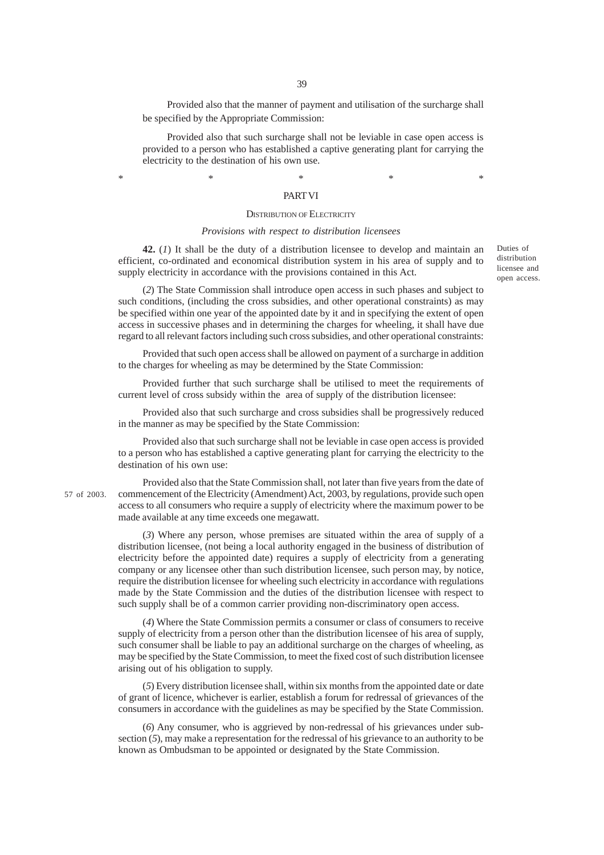Provided also that the manner of payment and utilisation of the surcharge shall be specified by the Appropriate Commission:

Provided also that such surcharge shall not be leviable in case open access is provided to a person who has established a captive generating plant for carrying the electricity to the destination of his own use.

## $*$  \*  $*$  \*  $*$  \*  $*$  \* PART VI

#### DISTRIBUTION OF ELECTRICITY

### *Provisions with respect to distribution licensees*

**42.** (*1*) It shall be the duty of a distribution licensee to develop and maintain an efficient, co-ordinated and economical distribution system in his area of supply and to supply electricity in accordance with the provisions contained in this Act.

(*2*) The State Commission shall introduce open access in such phases and subject to such conditions, (including the cross subsidies, and other operational constraints) as may be specified within one year of the appointed date by it and in specifying the extent of open access in successive phases and in determining the charges for wheeling, it shall have due regard to all relevant factors including such cross subsidies, and other operational constraints:

Provided that such open access shall be allowed on payment of a surcharge in addition to the charges for wheeling as may be determined by the State Commission:

Provided further that such surcharge shall be utilised to meet the requirements of current level of cross subsidy within the area of supply of the distribution licensee:

Provided also that such surcharge and cross subsidies shall be progressively reduced in the manner as may be specified by the State Commission:

Provided also that such surcharge shall not be leviable in case open access is provided to a person who has established a captive generating plant for carrying the electricity to the destination of his own use:

Provided also that the State Commission shall, not later than five years from the date of commencement of the Electricity (Amendment) Act, 2003, by regulations, provide such open access to all consumers who require a supply of electricity where the maximum power to be made available at any time exceeds one megawatt. 57 of 2003.

> (*3*) Where any person, whose premises are situated within the area of supply of a distribution licensee, (not being a local authority engaged in the business of distribution of electricity before the appointed date) requires a supply of electricity from a generating company or any licensee other than such distribution licensee, such person may, by notice, require the distribution licensee for wheeling such electricity in accordance with regulations made by the State Commission and the duties of the distribution licensee with respect to such supply shall be of a common carrier providing non-discriminatory open access.

> (*4*) Where the State Commission permits a consumer or class of consumers to receive supply of electricity from a person other than the distribution licensee of his area of supply, such consumer shall be liable to pay an additional surcharge on the charges of wheeling, as may be specified by the State Commission, to meet the fixed cost of such distribution licensee arising out of his obligation to supply.

> (*5*) Every distribution licensee shall, within six months from the appointed date or date of grant of licence, whichever is earlier, establish a forum for redressal of grievances of the consumers in accordance with the guidelines as may be specified by the State Commission.

> (*6*) Any consumer, who is aggrieved by non-redressal of his grievances under subsection (*5*), may make a representation for the redressal of his grievance to an authority to be known as Ombudsman to be appointed or designated by the State Commission.

Duties of distribution licensee and open access.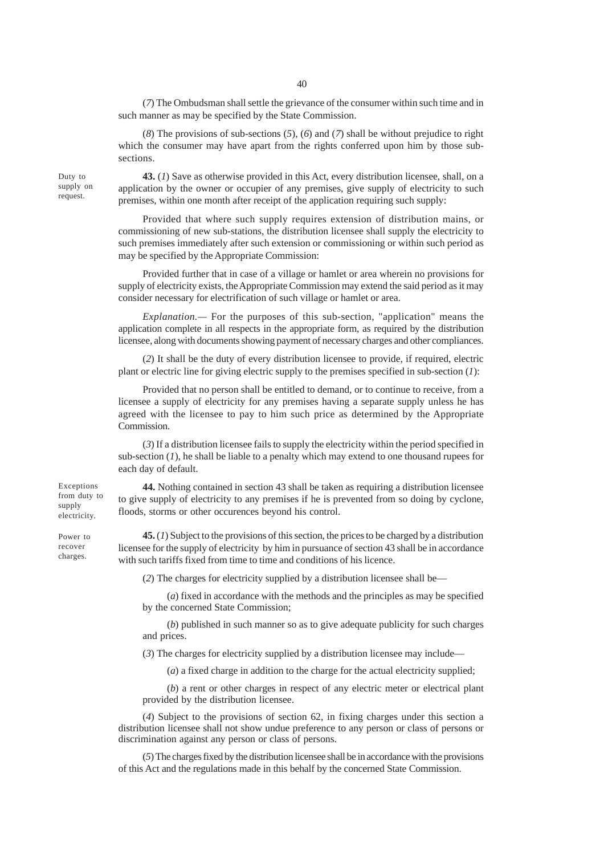(*7*) The Ombudsman shall settle the grievance of the consumer within such time and in such manner as may be specified by the State Commission.

(*8*) The provisions of sub-sections (*5*), (*6*) and (*7*) shall be without prejudice to right which the consumer may have apart from the rights conferred upon him by those subsections.

**43.** (*1*) Save as otherwise provided in this Act, every distribution licensee, shall, on a application by the owner or occupier of any premises, give supply of electricity to such premises, within one month after receipt of the application requiring such supply:

Provided that where such supply requires extension of distribution mains, or commissioning of new sub-stations, the distribution licensee shall supply the electricity to such premises immediately after such extension or commissioning or within such period as may be specified by the Appropriate Commission:

Provided further that in case of a village or hamlet or area wherein no provisions for supply of electricity exists, the Appropriate Commission may extend the said period as it may consider necessary for electrification of such village or hamlet or area.

*Explanation.—* For the purposes of this sub-section, "application" means the application complete in all respects in the appropriate form, as required by the distribution licensee, along with documents showing payment of necessary charges and other compliances.

(*2*) It shall be the duty of every distribution licensee to provide, if required, electric plant or electric line for giving electric supply to the premises specified in sub-section (*1*):

Provided that no person shall be entitled to demand, or to continue to receive, from a licensee a supply of electricity for any premises having a separate supply unless he has agreed with the licensee to pay to him such price as determined by the Appropriate Commission.

(*3*) If a distribution licensee fails to supply the electricity within the period specified in sub-section  $(1)$ , he shall be liable to a penalty which may extend to one thousand rupees for each day of default.

**44.** Nothing contained in section 43 shall be taken as requiring a distribution licensee to give supply of electricity to any premises if he is prevented from so doing by cyclone, floods, storms or other occurences beyond his control.

**45.** (*1*) Subject to the provisions of this section, the prices to be charged by a distribution licensee for the supply of electricity by him in pursuance of section 43 shall be in accordance with such tariffs fixed from time to time and conditions of his licence.

(*2*) The charges for electricity supplied by a distribution licensee shall be—

(*a*) fixed in accordance with the methods and the principles as may be specified by the concerned State Commission;

(*b*) published in such manner so as to give adequate publicity for such charges and prices.

(*3*) The charges for electricity supplied by a distribution licensee may include—

(*a*) a fixed charge in addition to the charge for the actual electricity supplied;

(*b*) a rent or other charges in respect of any electric meter or electrical plant provided by the distribution licensee.

(*4*) Subject to the provisions of section 62, in fixing charges under this section a distribution licensee shall not show undue preference to any person or class of persons or discrimination against any person or class of persons.

(*5*) The charges fixed by the distribution licensee shall be in accordance with the provisions of this Act and the regulations made in this behalf by the concerned State Commission.

Exceptions from duty to supply electricity.

Duty to supply on request.

Power to recover charges.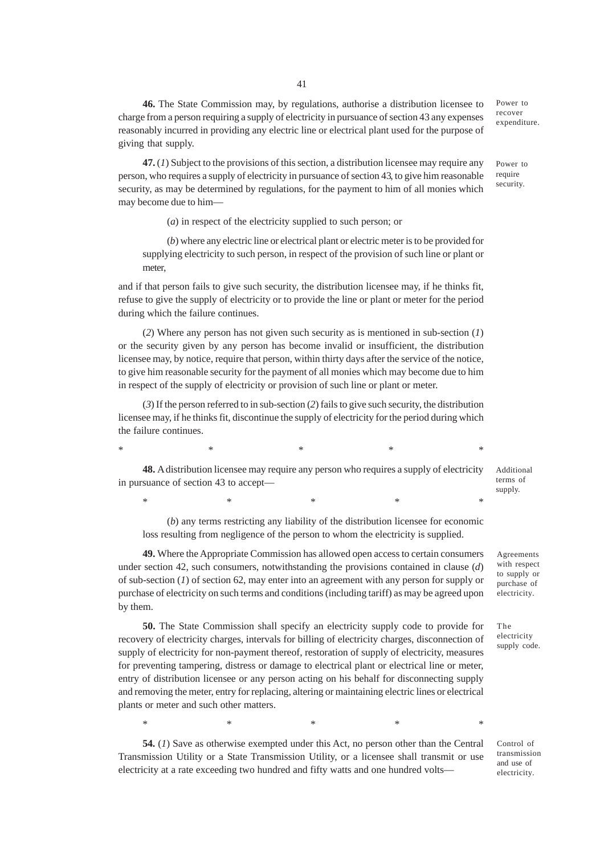**46.** The State Commission may, by regulations, authorise a distribution licensee to charge from a person requiring a supply of electricity in pursuance of section 43 any expenses reasonably incurred in providing any electric line or electrical plant used for the purpose of giving that supply.

Power to recover expenditure.

**47.** (*1*) Subject to the provisions of this section, a distribution licensee may require any person, who requires a supply of electricity in pursuance of section 43, to give him reasonable security, as may be determined by regulations, for the payment to him of all monies which may become due to him—

(*a*) in respect of the electricity supplied to such person; or

(*b*) where any electric line or electrical plant or electric meter is to be provided for supplying electricity to such person, in respect of the provision of such line or plant or meter,

and if that person fails to give such security, the distribution licensee may, if he thinks fit, refuse to give the supply of electricity or to provide the line or plant or meter for the period during which the failure continues.

(*2*) Where any person has not given such security as is mentioned in sub-section (*1*) or the security given by any person has become invalid or insufficient, the distribution licensee may, by notice, require that person, within thirty days after the service of the notice, to give him reasonable security for the payment of all monies which may become due to him in respect of the supply of electricity or provision of such line or plant or meter.

(*3*) If the person referred to in sub-section (*2*) fails to give such security, the distribution licensee may, if he thinks fit, discontinue the supply of electricity for the period during which the failure continues.

 $*$   $*$   $*$   $*$   $*$   $*$ 

**48.** A distribution licensee may require any person who requires a supply of electricity in pursuance of section 43 to accept—

\* \* \* \* \* \* \* \* \*

(*b*) any terms restricting any liability of the distribution licensee for economic loss resulting from negligence of the person to whom the electricity is supplied.

**49.** Where the Appropriate Commission has allowed open access to certain consumers under section 42, such consumers, notwithstanding the provisions contained in clause (*d*) of sub-section (*1*) of section 62, may enter into an agreement with any person for supply or purchase of electricity on such terms and conditions (including tariff) as may be agreed upon by them.

**50.** The State Commission shall specify an electricity supply code to provide for recovery of electricity charges, intervals for billing of electricity charges, disconnection of supply of electricity for non-payment thereof, restoration of supply of electricity, measures for preventing tampering, distress or damage to electrical plant or electrical line or meter, entry of distribution licensee or any person acting on his behalf for disconnecting supply and removing the meter, entry for replacing, altering or maintaining electric lines or electrical plants or meter and such other matters.

\* \* \* \* \* \* \* \* \*

**54.** (*1*) Save as otherwise exempted under this Act, no person other than the Central Transmission Utility or a State Transmission Utility, or a licensee shall transmit or use electricity at a rate exceeding two hundred and fifty watts and one hundred volts—

Agreements with respect to supply or purchase of electricity.

Additional terms of supply.

The electricity supply code.

Control of transmission and use of electricity.

security.

Power to require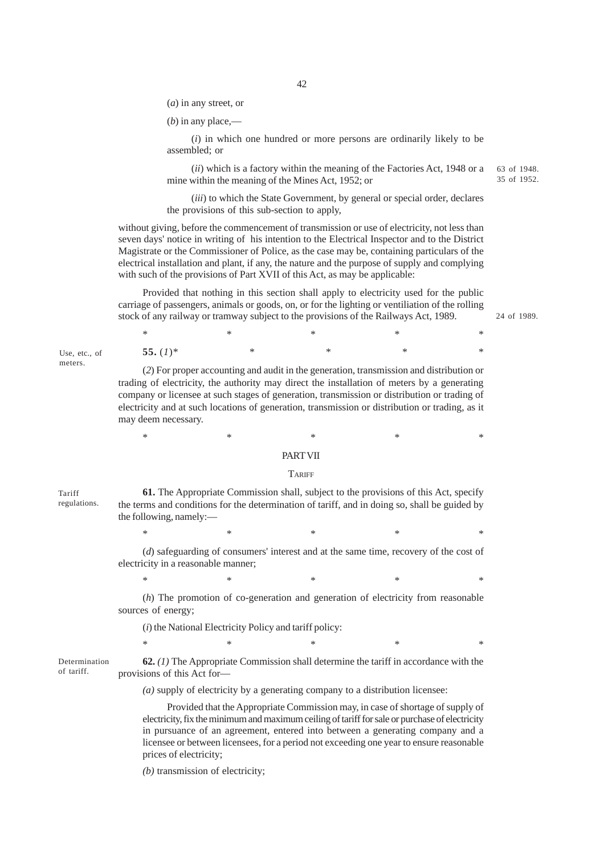(*a*) in any street, or

(*b*) in any place,—

(*i*) in which one hundred or more persons are ordinarily likely to be assembled; or

(*ii*) which is a factory within the meaning of the Factories Act, 1948 or a mine within the meaning of the Mines Act, 1952; or 63 of 1948. 35 of 1952.

(*iii*) to which the State Government, by general or special order, declares the provisions of this sub-section to apply,

without giving, before the commencement of transmission or use of electricity, not less than seven days' notice in writing of his intention to the Electrical Inspector and to the District Magistrate or the Commissioner of Police, as the case may be, containing particulars of the electrical installation and plant, if any, the nature and the purpose of supply and complying with such of the provisions of Part XVII of this Act, as may be applicable:

Provided that nothing in this section shall apply to electricity used for the public carriage of passengers, animals or goods, on, or for the lighting or ventiliation of the rolling stock of any railway or tramway subject to the provisions of the Railways Act, 1989.

24 of 1989.

| $*$         |   |  | $\ast$ |
|-------------|---|--|--------|
| 55. $(I)^*$ | ∗ |  | $\ast$ |

(*2*) For proper accounting and audit in the generation, transmission and distribution or trading of electricity, the authority may direct the installation of meters by a generating company or licensee at such stages of generation, transmission or distribution or trading of electricity and at such locations of generation, transmission or distribution or trading, as it may deem necessary.

Use, etc., of meters.

PART VII

\* \* \* \* \* \* \* \* \*

### **TARIFF**

**61.** The Appropriate Commission shall, subject to the provisions of this Act, specify the terms and conditions for the determination of tariff, and in doing so, shall be guided by the following, namely:— Tariff regulations.

\* \* \* \* \* \* \* \* \*

(*d*) safeguarding of consumers' interest and at the same time, recovery of the cost of electricity in a reasonable manner;

\* \* \* \* \* \* \* \* \*

(*h*) The promotion of co-generation and generation of electricity from reasonable sources of energy;

(*i*) the National Electricity Policy and tariff policy:

Determination of tariff.

**62.** *(1)* The Appropriate Commission shall determine the tariff in accordance with the provisions of this Act for—

*(a)* supply of electricity by a generating company to a distribution licensee:

Provided that the Appropriate Commission may, in case of shortage of supply of electricity, fix the minimum and maximum ceiling of tariff for sale or purchase of electricity in pursuance of an agreement, entered into between a generating company and a licensee or between licensees, for a period not exceeding one year to ensure reasonable prices of electricity;

 $\begin{matrix} * & * & * \ * & * & * \end{matrix}$ 

*(b)* transmission of electricity;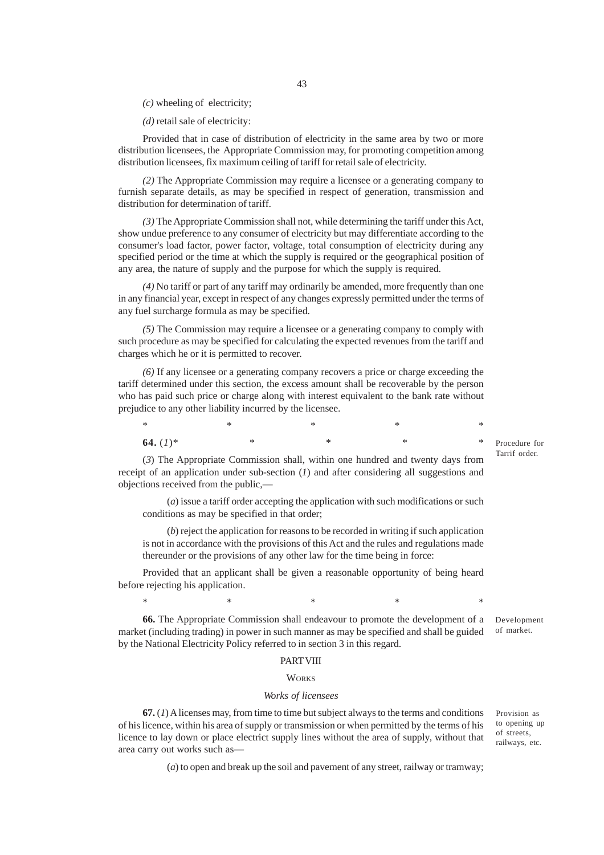*(c)* wheeling of electricity;

*(d)* retail sale of electricity:

Provided that in case of distribution of electricity in the same area by two or more distribution licensees, the Appropriate Commission may, for promoting competition among distribution licensees, fix maximum ceiling of tariff for retail sale of electricity.

*(2)* The Appropriate Commission may require a licensee or a generating company to furnish separate details, as may be specified in respect of generation, transmission and distribution for determination of tariff.

*(3)* The Appropriate Commission shall not, while determining the tariff under this Act, show undue preference to any consumer of electricity but may differentiate according to the consumer's load factor, power factor, voltage, total consumption of electricity during any specified period or the time at which the supply is required or the geographical position of any area, the nature of supply and the purpose for which the supply is required.

*(4)* No tariff or part of any tariff may ordinarily be amended, more frequently than one in any financial year, except in respect of any changes expressly permitted under the terms of any fuel surcharge formula as may be specified.

*(5)* The Commission may require a licensee or a generating company to comply with such procedure as may be specified for calculating the expected revenues from the tariff and charges which he or it is permitted to recover.

*(6)* If any licensee or a generating company recovers a price or charge exceeding the tariff determined under this section, the excess amount shall be recoverable by the person who has paid such price or charge along with interest equivalent to the bank rate without prejudice to any other liability incurred by the licensee.

**64.** (1)\* \* \* \* \* \* \*

Procedure for Tarrif order.

(*3*) The Appropriate Commission shall, within one hundred and twenty days from receipt of an application under sub-section (*1*) and after considering all suggestions and objections received from the public,—

(*a*) issue a tariff order accepting the application with such modifications or such conditions as may be specified in that order;

\* \* \* \* \* \* \* \* \*

(*b*) reject the application for reasons to be recorded in writing if such application is not in accordance with the provisions of this Act and the rules and regulations made thereunder or the provisions of any other law for the time being in force:

Provided that an applicant shall be given a reasonable opportunity of being heard before rejecting his application.

**66.** The Appropriate Commission shall endeavour to promote the development of a market (including trading) in power in such manner as may be specified and shall be guided by the National Electricity Policy referred to in section 3 in this regard. Development of market.

\* \* \* \* \* \* \* \* \*

### PART VIII

#### **WORKS**

### *Works of licensees*

**67.** (*1*) A licenses may, from time to time but subject always to the terms and conditions of his licence, within his area of supply or transmission or when permitted by the terms of his licence to lay down or place electrict supply lines without the area of supply, without that area carry out works such asProvision as to opening up of streets, railways, etc.

(*a*) to open and break up the soil and pavement of any street, railway or tramway;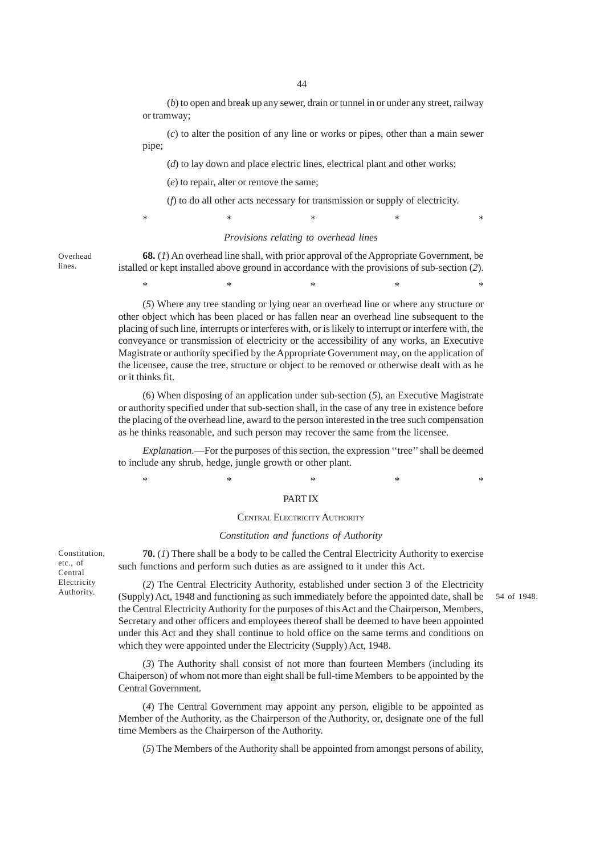(*b*) to open and break up any sewer, drain or tunnel in or under any street, railway or tramway;

(*c*) to alter the position of any line or works or pipes, other than a main sewer pipe;

(*d*) to lay down and place electric lines, electrical plant and other works;

(*e*) to repair, alter or remove the same;

(*f*) to do all other acts necessary for transmission or supply of electricity.

\* \* \* \* \* \* \* \* \*

#### *Provisions relating to overhead lines*

Overhead lines.

**68.** (*1*) An overhead line shall, with prior approval of the Appropriate Government, be istalled or kept installed above ground in accordance with the provisions of sub-section (*2*).

\* \* \* \* \* \* \* \* \*

(*5*) Where any tree standing or lying near an overhead line or where any structure or other object which has been placed or has fallen near an overhead line subsequent to the placing of such line, interrupts or interferes with, or is likely to interrupt or interfere with, the conveyance or transmission of electricity or the accessibility of any works, an Executive Magistrate or authority specified by the Appropriate Government may, on the application of the licensee, cause the tree, structure or object to be removed or otherwise dealt with as he or it thinks fit.

(6) When disposing of an application under sub-section (*5*), an Executive Magistrate or authority specified under that sub-section shall, in the case of any tree in existence before the placing of the overhead line, award to the person interested in the tree such compensation as he thinks reasonable, and such person may recover the same from the licensee.

*Explanation.*—For the purposes of this section, the expression ''tree'' shall be deemed to include any shrub, hedge, jungle growth or other plant.

#### PART IX

\* \* \* \* \* \* \* \* \*

#### CENTRAL ELECTRICITY AUTHORITY

#### *Constitution and functions of Authority*

**70.** (*1*) There shall be a body to be called the Central Electricity Authority to exercise such functions and perform such duties as are assigned to it under this Act.

(*2*) The Central Electricity Authority, established under section 3 of the Electricity Authority. (Supply) Act, 1948 and functioning as such immediately before the appointed date, shall be 54 of 1948. the Central Electricity Authority for the purposes of this Act and the Chairperson, Members, Secretary and other officers and employees thereof shall be deemed to have been appointed under this Act and they shall continue to hold office on the same terms and conditions on which they were appointed under the Electricity (Supply) Act, 1948.

> (*3*) The Authority shall consist of not more than fourteen Members (including its Chaiperson) of whom not more than eight shall be full-time Members to be appointed by the Central Government.

> (*4*) The Central Government may appoint any person, eligible to be appointed as Member of the Authority, as the Chairperson of the Authority, or, designate one of the full time Members as the Chairperson of the Authority.

(*5*) The Members of the Authority shall be appointed from amongst persons of ability,

Constitution, etc., of Central Electricity<br>Authority.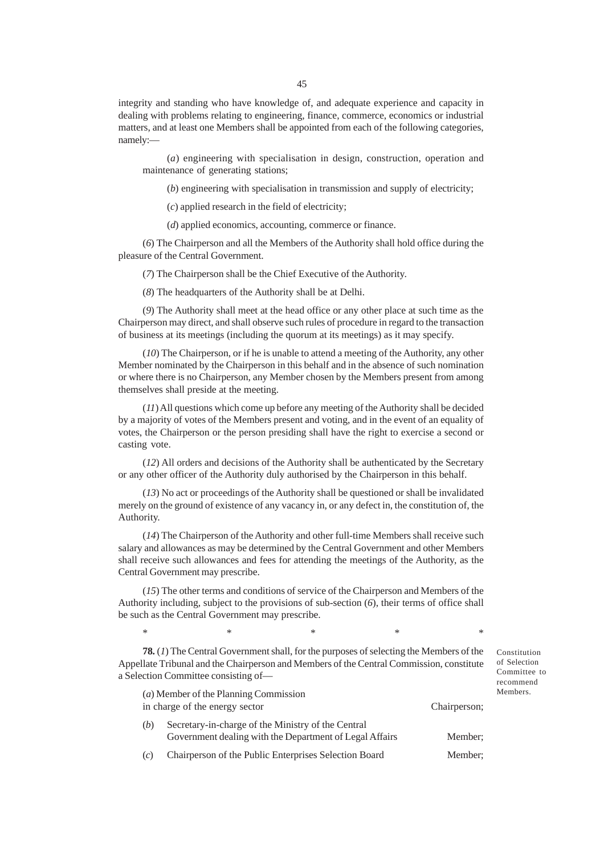integrity and standing who have knowledge of, and adequate experience and capacity in dealing with problems relating to engineering, finance, commerce, economics or industrial matters, and at least one Members shall be appointed from each of the following categories, namely:—

(*a*) engineering with specialisation in design, construction, operation and maintenance of generating stations;

(*b*) engineering with specialisation in transmission and supply of electricity;

(*c*) applied research in the field of electricity;

(*d*) applied economics, accounting, commerce or finance.

(*6*) The Chairperson and all the Members of the Authority shall hold office during the pleasure of the Central Government.

(*7*) The Chairperson shall be the Chief Executive of the Authority.

(*8*) The headquarters of the Authority shall be at Delhi.

(*9*) The Authority shall meet at the head office or any other place at such time as the Chairperson may direct, and shall observe such rules of procedure in regard to the transaction of business at its meetings (including the quorum at its meetings) as it may specify.

(*10*) The Chairperson, or if he is unable to attend a meeting of the Authority, any other Member nominated by the Chairperson in this behalf and in the absence of such nomination or where there is no Chairperson, any Member chosen by the Members present from among themselves shall preside at the meeting.

(*11*) All questions which come up before any meeting of the Authority shall be decided by a majority of votes of the Members present and voting, and in the event of an equality of votes, the Chairperson or the person presiding shall have the right to exercise a second or casting vote.

(*12*) All orders and decisions of the Authority shall be authenticated by the Secretary or any other officer of the Authority duly authorised by the Chairperson in this behalf.

(*13*) No act or proceedings of the Authority shall be questioned or shall be invalidated merely on the ground of existence of any vacancy in, or any defect in, the constitution of, the Authority.

(*14*) The Chairperson of the Authority and other full-time Members shall receive such salary and allowances as may be determined by the Central Government and other Members shall receive such allowances and fees for attending the meetings of the Authority, as the Central Government may prescribe.

(*15*) The other terms and conditions of service of the Chairperson and Members of the Authority including, subject to the provisions of sub-section (*6*), their terms of office shall be such as the Central Government may prescribe.

\* \* \* \* \* \* \* \* \*

**78.** (*1*) The Central Government shall, for the purposes of selecting the Members of the Appellate Tribunal and the Chairperson and Members of the Central Commission, constitute a Selection Committee consisting of—

(*a*) Member of the Planning Commission in charge of the energy sector Chairperson; (*b*) Secretary-in-charge of the Ministry of the Central Government dealing with the Department of Legal Affairs Member; (*c*) Chairperson of the Public Enterprises Selection Board Member;

Constitution of Selection Committee to recommend Members.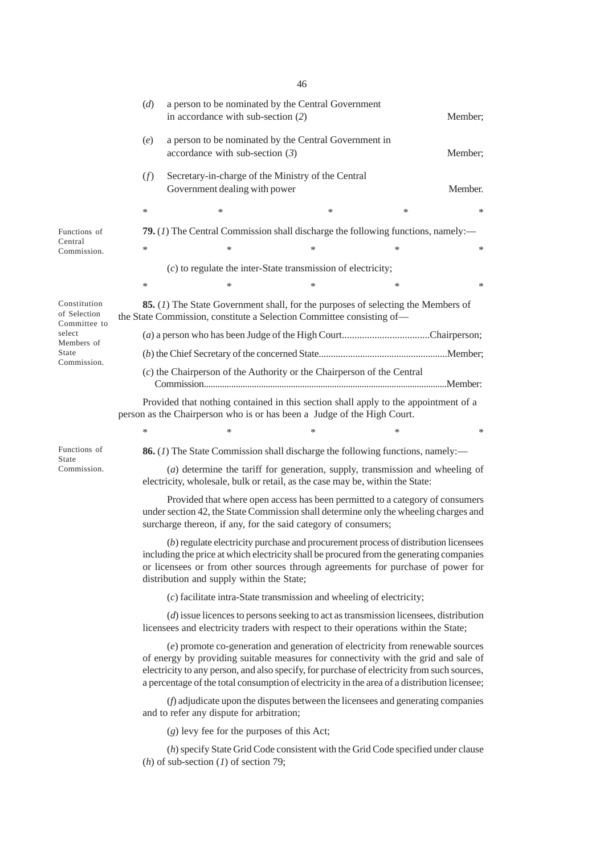| a person to be nominated by the Central Government in<br>(e)<br>accordance with sub-section $(3)$<br>(f)<br>Secretary-in-charge of the Ministry of the Central                                                                                                                                                                                                       | Member; |
|----------------------------------------------------------------------------------------------------------------------------------------------------------------------------------------------------------------------------------------------------------------------------------------------------------------------------------------------------------------------|---------|
|                                                                                                                                                                                                                                                                                                                                                                      |         |
| Government dealing with power                                                                                                                                                                                                                                                                                                                                        | Member. |
| ∗<br>∗<br>*<br>∗                                                                                                                                                                                                                                                                                                                                                     | *       |
| <b>79.</b> (1) The Central Commission shall discharge the following functions, namely:—<br>Functions of                                                                                                                                                                                                                                                              |         |
| Central<br>∗<br>$\ast$<br>$\ast$<br>∗<br>Commission.                                                                                                                                                                                                                                                                                                                 | *       |
| $(c)$ to regulate the inter-State transmission of electricity;                                                                                                                                                                                                                                                                                                       |         |
| ∗<br>$\ast$<br>$\ast$<br>∗                                                                                                                                                                                                                                                                                                                                           | *       |
| Constitution<br><b>85.</b> (1) The State Government shall, for the purposes of selecting the Members of<br>of Selection<br>the State Commission, constitute a Selection Committee consisting of-<br>Committee to                                                                                                                                                     |         |
| select<br>Members of                                                                                                                                                                                                                                                                                                                                                 |         |
| State<br>Commission.                                                                                                                                                                                                                                                                                                                                                 |         |
| $(c)$ the Chairperson of the Authority or the Chairperson of the Central                                                                                                                                                                                                                                                                                             |         |
| Provided that nothing contained in this section shall apply to the appointment of a<br>person as the Chairperson who is or has been a Judge of the High Court.                                                                                                                                                                                                       |         |
| ∗<br>$\ast$<br>$\ast$<br>$\ast$                                                                                                                                                                                                                                                                                                                                      | *       |
| Functions of<br><b>86.</b> (1) The State Commission shall discharge the following functions, namely:—<br>State                                                                                                                                                                                                                                                       |         |
| (a) determine the tariff for generation, supply, transmission and wheeling of<br>Commission.<br>electricity, wholesale, bulk or retail, as the case may be, within the State:                                                                                                                                                                                        |         |
| Provided that where open access has been permitted to a category of consumers<br>under section 42, the State Commission shall determine only the wheeling charges and<br>surcharge thereon, if any, for the said category of consumers;                                                                                                                              |         |
| $(b)$ regulate electricity purchase and procurement process of distribution licensees<br>including the price at which electricity shall be procured from the generating companies<br>or licensees or from other sources through agreements for purchase of power for<br>distribution and supply within the State;                                                    |         |
| (c) facilitate intra-State transmission and wheeling of electricity;                                                                                                                                                                                                                                                                                                 |         |
| $(d)$ issue licences to persons seeking to act as transmission licensees, distribution<br>licensees and electricity traders with respect to their operations within the State;                                                                                                                                                                                       |         |
| (e) promote co-generation and generation of electricity from renewable sources<br>of energy by providing suitable measures for connectivity with the grid and sale of<br>electricity to any person, and also specify, for purchase of electricity from such sources,<br>a percentage of the total consumption of electricity in the area of a distribution licensee; |         |
| (f) adjudicate upon the disputes between the licensees and generating companies<br>and to refer any dispute for arbitration;                                                                                                                                                                                                                                         |         |
| $(g)$ levy fee for the purposes of this Act;                                                                                                                                                                                                                                                                                                                         |         |
| (h) specify State Grid Code consistent with the Grid Code specified under clause<br>( <i>h</i> ) of sub-section ( <i>l</i> ) of section 79;                                                                                                                                                                                                                          |         |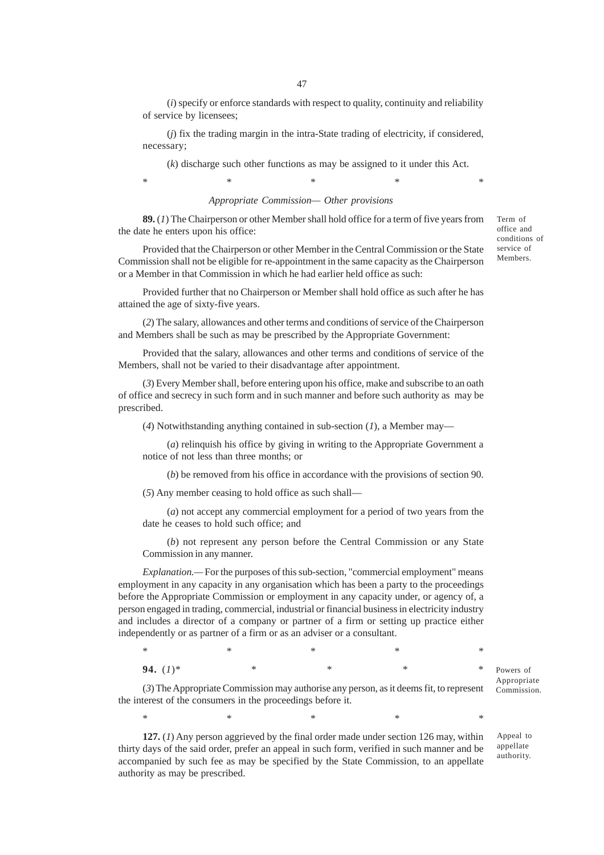(*i*) specify or enforce standards with respect to quality, continuity and reliability of service by licensees;

(*j*) fix the trading margin in the intra-State trading of electricity, if considered, necessary;

(*k*) discharge such other functions as may be assigned to it under this Act.

\* \* \* \* \* \* \* \* \*

### *Appropriate Commission— Other provisions*

**89.** (*1*) The Chairperson or other Member shall hold office for a term of five years from the date he enters upon his office:

Provided that the Chairperson or other Member in the Central Commission or the State Commission shall not be eligible for re-appointment in the same capacity as the Chairperson or a Member in that Commission in which he had earlier held office as such:

Provided further that no Chairperson or Member shall hold office as such after he has attained the age of sixty-five years.

(*2*) The salary, allowances and other terms and conditions of service of the Chairperson and Members shall be such as may be prescribed by the Appropriate Government:

Provided that the salary, allowances and other terms and conditions of service of the Members, shall not be varied to their disadvantage after appointment.

(*3*) Every Member shall, before entering upon his office, make and subscribe to an oath of office and secrecy in such form and in such manner and before such authority as may be prescribed.

(*4*) Notwithstanding anything contained in sub-section (*1*), a Member may—

(*a*) relinquish his office by giving in writing to the Appropriate Government a notice of not less than three months; or

(*b*) be removed from his office in accordance with the provisions of section 90.

(*5*) Any member ceasing to hold office as such shall—

(*a*) not accept any commercial employment for a period of two years from the date he ceases to hold such office; and

(*b*) not represent any person before the Central Commission or any State Commission in any manner.

*Explanation.—* For the purposes of this sub-section, "commercial employment" means employment in any capacity in any organisation which has been a party to the proceedings before the Appropriate Commission or employment in any capacity under, or agency of, a person engaged in trading, commercial, industrial or financial business in electricity industry and includes a director of a company or partner of a firm or setting up practice either independently or as partner of a firm or as an adviser or a consultant.

| $\ast$      |  | ∗      |
|-------------|--|--------|
| 94. $(I)^*$ |  | $\ast$ |

(*3*) The Appropriate Commission may authorise any person, as it deems fit, to represent the interest of the consumers in the proceedings before it.

\* \* \* \* \* \* \* \* \*

**127.** (*1*) Any person aggrieved by the final order made under section 126 may, within thirty days of the said order, prefer an appeal in such form, verified in such manner and be accompanied by such fee as may be specified by the State Commission, to an appellate authority as may be prescribed.

Term of office and conditions of service of Members.

Powers of Appropriate Commission.

Appeal to appellate authority.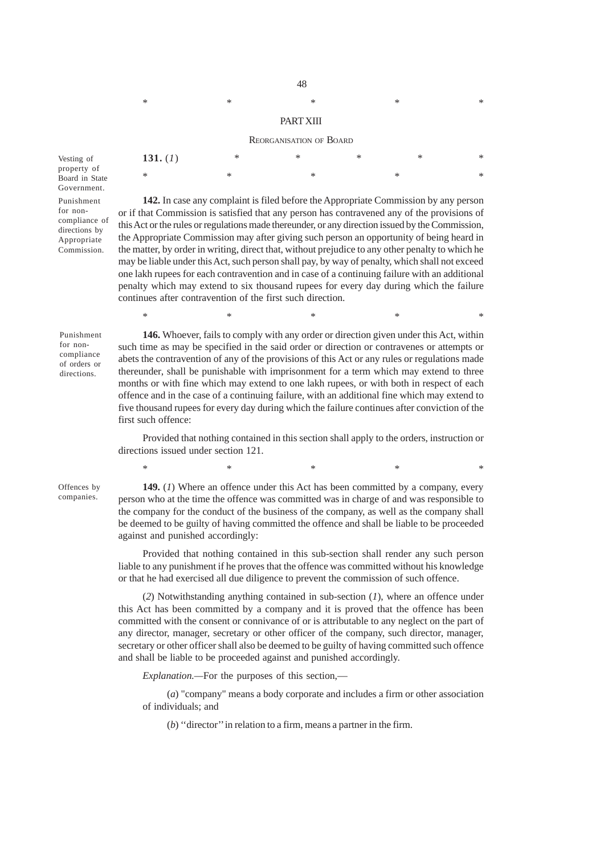\* \* \* \* \* \* \* \* \*

#### PART XIII

#### REORGANISATION OF BOARD

| 131. $(I)$ | ∗ | $\ast$ | $\ast$ | $\ast$ | $\ast$ |
|------------|---|--------|--------|--------|--------|
| $\ast$     | × |        |        | ×      | $\ast$ |

Punishment for noncompliance of directions by Appropriate Commission. Government.

Vesting of property of Board in State

> **142.** In case any complaint is filed before the Appropriate Commission by any person or if that Commission is satisfied that any person has contravened any of the provisions of this Act or the rules or regulations made thereunder, or any direction issued by the Commission, the Appropriate Commission may after giving such person an opportunity of being heard in the matter, by order in writing, direct that, without prejudice to any other penalty to which he may be liable under this Act, such person shall pay, by way of penalty, which shall not exceed one lakh rupees for each contravention and in case of a continuing failure with an additional penalty which may extend to six thousand rupees for every day during which the failure continues after contravention of the first such direction.

 $*$  \*  $*$  \*  $*$  \*

Punishment for noncompliance of orders or directions.

**146.** Whoever, fails to comply with any order or direction given under this Act, within such time as may be specified in the said order or direction or contravenes or attempts or abets the contravention of any of the provisions of this Act or any rules or regulations made thereunder, shall be punishable with imprisonment for a term which may extend to three months or with fine which may extend to one lakh rupees, or with both in respect of each offence and in the case of a continuing failure, with an additional fine which may extend to five thousand rupees for every day during which the failure continues after conviction of the first such offence:

Provided that nothing contained in this section shall apply to the orders, instruction or directions issued under section 121.

 $*$  \*  $*$  \*  $*$  \*

Offences by companies.

**149.** (*1*) Where an offence under this Act has been committed by a company, every person who at the time the offence was committed was in charge of and was responsible to the company for the conduct of the business of the company, as well as the company shall be deemed to be guilty of having committed the offence and shall be liable to be proceeded against and punished accordingly:

Provided that nothing contained in this sub-section shall render any such person liable to any punishment if he proves that the offence was committed without his knowledge or that he had exercised all due diligence to prevent the commission of such offence.

(*2*) Notwithstanding anything contained in sub-section (*1*), where an offence under this Act has been committed by a company and it is proved that the offence has been committed with the consent or connivance of or is attributable to any neglect on the part of any director, manager, secretary or other officer of the company, such director, manager, secretary or other officer shall also be deemed to be guilty of having committed such offence and shall be liable to be proceeded against and punished accordingly.

*Explanation.—*For the purposes of this section,—

(*a*) "company" means a body corporate and includes a firm or other association of individuals; and

(*b*) ''director'' in relation to a firm, means a partner in the firm.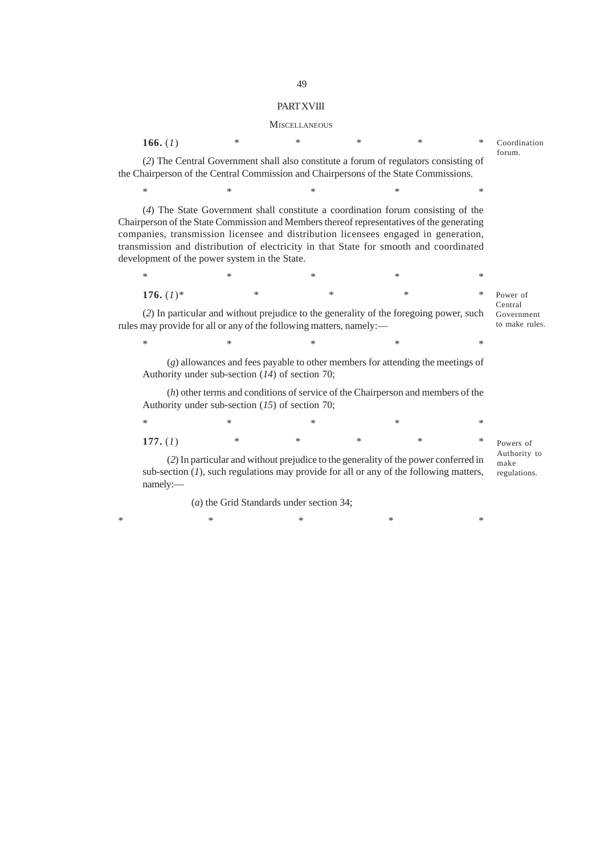### **PART XVIII**

### MISCELLANEOUS

| 166. $(I)$                                                                                                                                                                                                                                                                                                                                                                                                    | $\ast$                                    | $\ast$ | $\ast$ | $\ast$                                                                              | $\ast$ | Coordination                            |
|---------------------------------------------------------------------------------------------------------------------------------------------------------------------------------------------------------------------------------------------------------------------------------------------------------------------------------------------------------------------------------------------------------------|-------------------------------------------|--------|--------|-------------------------------------------------------------------------------------|--------|-----------------------------------------|
| (2) The Central Government shall also constitute a forum of regulators consisting of<br>the Chairperson of the Central Commission and Chairpersons of the State Commissions.                                                                                                                                                                                                                                  |                                           |        |        |                                                                                     |        | forum.                                  |
| *                                                                                                                                                                                                                                                                                                                                                                                                             | *                                         | $\ast$ | *      |                                                                                     | *      |                                         |
| (4) The State Government shall constitute a coordination forum consisting of the<br>Chairperson of the State Commission and Members thereof representatives of the generating<br>companies, transmission licensee and distribution licensees engaged in generation,<br>transmission and distribution of electricity in that State for smooth and coordinated<br>development of the power system in the State. |                                           |        |        |                                                                                     |        |                                         |
| *                                                                                                                                                                                                                                                                                                                                                                                                             | *                                         | $\ast$ | *      |                                                                                     | *      |                                         |
| 176. $(I)^*$                                                                                                                                                                                                                                                                                                                                                                                                  | *                                         | *      |        | ∗                                                                                   | ∗      | Power of                                |
| (2) In particular and without prejudice to the generality of the foregoing power, such<br>rules may provide for all or any of the following matters, namely:-                                                                                                                                                                                                                                                 |                                           |        |        |                                                                                     |        | Central<br>Government<br>to make rules. |
| *                                                                                                                                                                                                                                                                                                                                                                                                             | *                                         | $\ast$ | *      |                                                                                     | ∗      |                                         |
| Authority under sub-section $(14)$ of section 70;                                                                                                                                                                                                                                                                                                                                                             |                                           |        |        | (g) allowances and fees payable to other members for attending the meetings of      |        |                                         |
| Authority under sub-section $(15)$ of section 70;                                                                                                                                                                                                                                                                                                                                                             |                                           |        |        | $(h)$ other terms and conditions of service of the Chairperson and members of the   |        |                                         |
| *                                                                                                                                                                                                                                                                                                                                                                                                             | *                                         | $\ast$ | *      |                                                                                     | *      |                                         |
| 177. $(I)$                                                                                                                                                                                                                                                                                                                                                                                                    | *                                         | *      | *      | *                                                                                   | ∗      | Powers of                               |
| sub-section $(I)$ , such regulations may provide for all or any of the following matters,<br>namely:-                                                                                                                                                                                                                                                                                                         |                                           |        |        | (2) In particular and without prejudice to the generality of the power conferred in |        | Authority to<br>make<br>regulations.    |
|                                                                                                                                                                                                                                                                                                                                                                                                               | (a) the Crid Standards under section $34$ |        |        |                                                                                     |        |                                         |

(*a*) the Grid Standards under section 34;

\*\*\*\*\*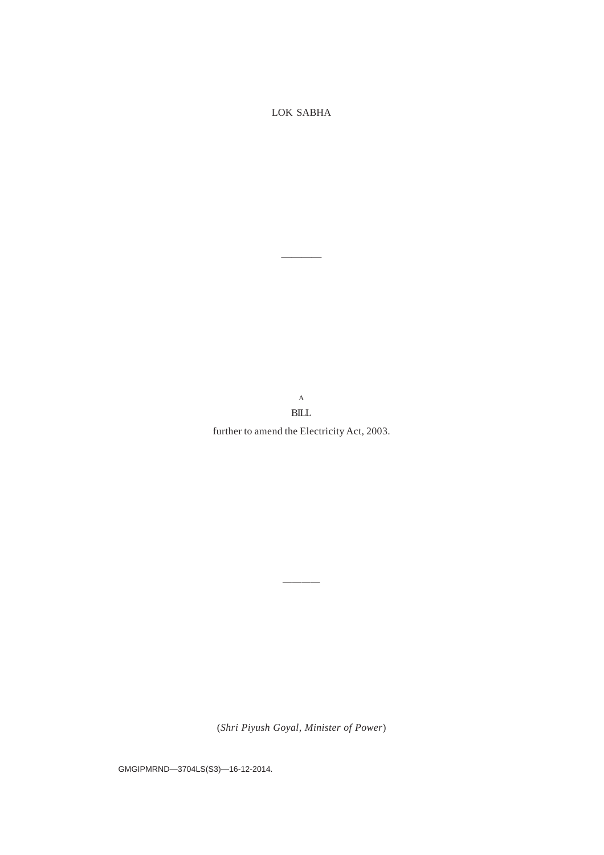LOK SABHA

 $\overline{\phantom{a}}$  and  $\overline{\phantom{a}}$  and  $\overline{\phantom{a}}$ 

A BILL

further to amend the Electricity Act, 2003.

(*Shri Piyush Goyal, Minister of Power*)

*————*

GMGIPMRND—3704LS(S3)—16-12-2014.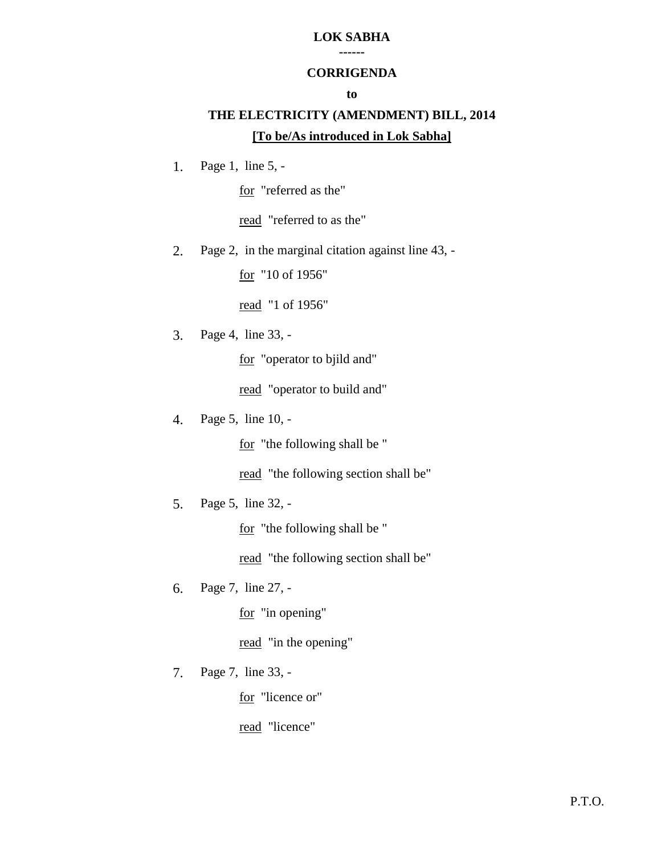#### **LOK SABHA ------**

### **CORRIGENDA**

### **to**

# **THE ELECTRICITY (AMENDMENT) BILL, 2014 [To be/As introduced in Lok Sabha]**

1. Page 1, line 5, -

for "referred as the"

read "referred to as the"

2. Page 2, in the marginal citation against line 43, -

for "10 of 1956"

read "1 of 1956"

3. Page 4, line 33, -

for "operator to bjild and"

read "operator to build and"

4. Page 5, line 10, -

for "the following shall be "

read "the following section shall be"

5. Page 5, line 32, -

for "the following shall be "

read "the following section shall be"

6. Page 7, line 27, -

for "in opening"

read "in the opening"

7. Page 7, line 33, -

for "licence or"

read "licence"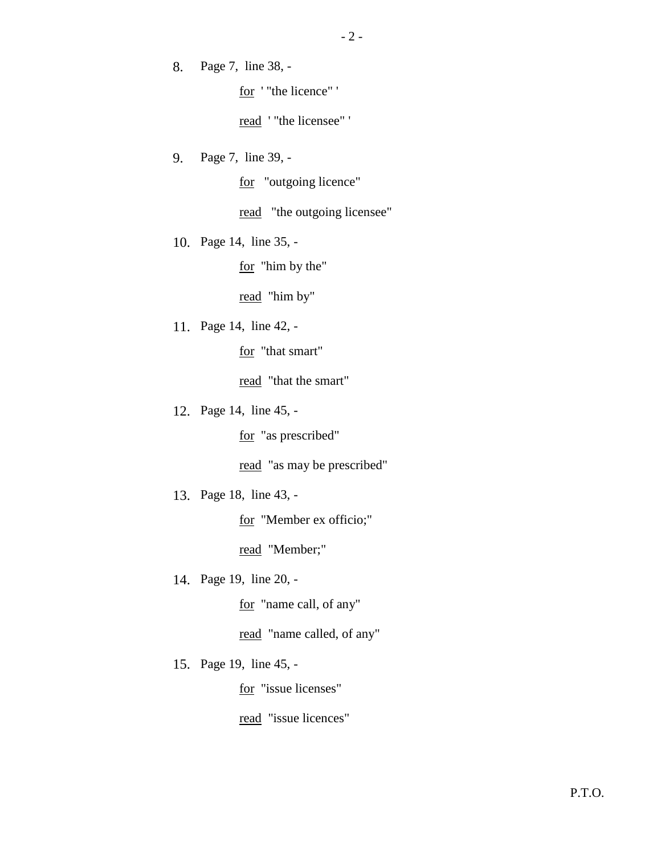8. Page 7, line 38, -

for ' "the licence" '

read ' "the licensee" '

9. Page 7, line 39, -

for "outgoing licence"

read "the outgoing licensee"

10. Page 14, line 35, -

for "him by the"

read "him by"

11. Page 14, line 42, -

for "that smart"

read "that the smart"

12. Page 14, line 45, -

for "as prescribed"

read "as may be prescribed"

13. Page 18, line 43, -

for "Member ex officio;"

read "Member;"

14. Page 19, line 20, -

for "name call, of any"

read "name called, of any"

15. Page 19, line 45, -

for "issue licenses"

read "issue licences"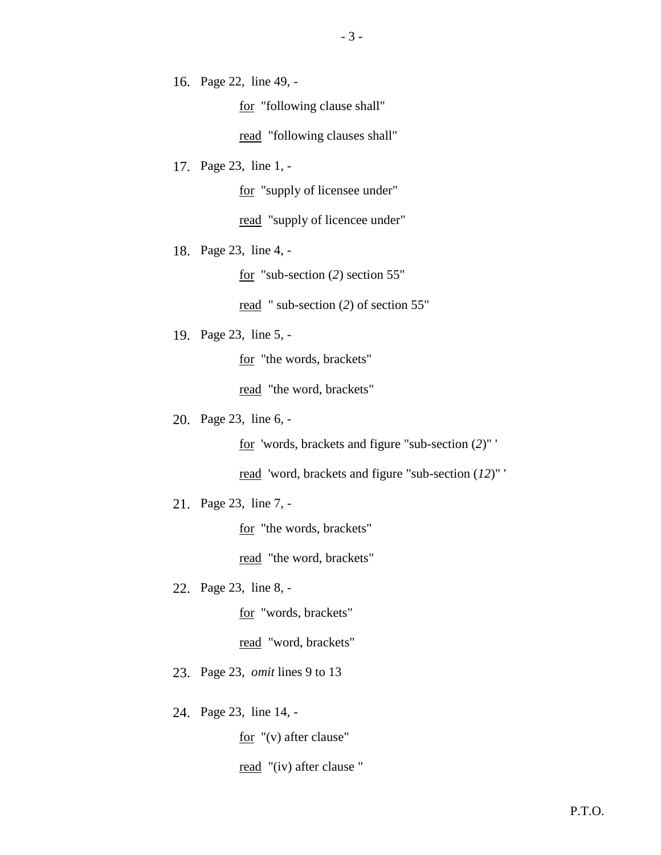16. Page 22, line 49, -

for "following clause shall"

read "following clauses shall"

17. Page 23, line 1, -

for "supply of licensee under"

read "supply of licencee under"

18. Page 23, line 4, -

for "sub-section (*2*) section 55"

read " sub-section (*2*) of section 55"

19. Page 23, line 5, -

for "the words, brackets"

read "the word, brackets"

20. Page 23, line 6, -

for 'words, brackets and figure "sub-section (*2*)" '

read 'word, brackets and figure "sub-section (*12*)" '

21. Page 23, line 7, -

for "the words, brackets"

read "the word, brackets"

22. Page 23, line 8, -

for "words, brackets"

read "word, brackets"

23. Page 23, *omit* lines 9 to 13

24. Page 23, line 14, -

for "(v) after clause"

read "(iv) after clause "